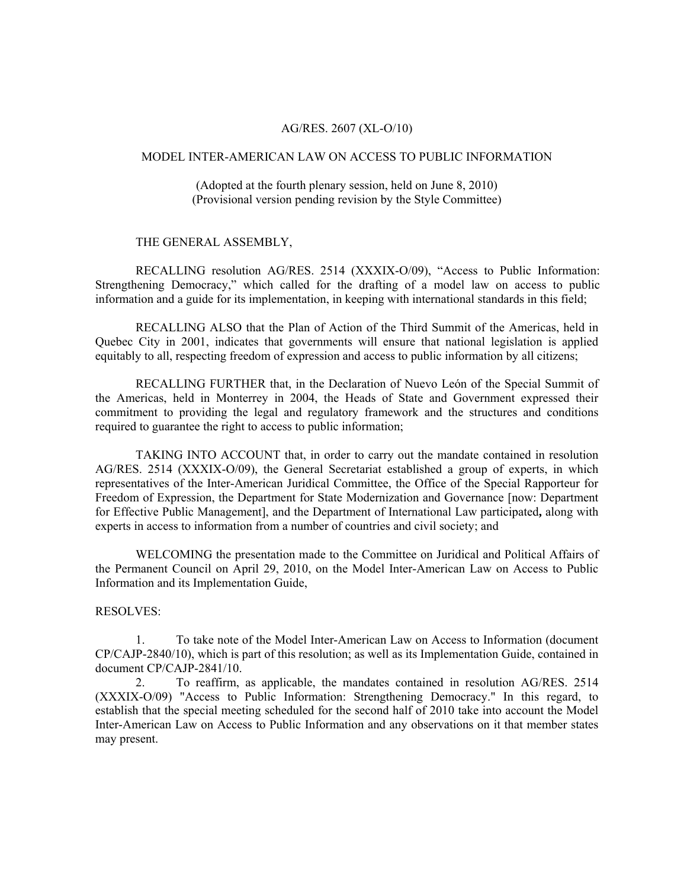## AG/RES. 2607 (XL-O/10)

## MODEL INTER-AMERICAN LAW ON ACCESS TO PUBLIC INFORMATION

(Adopted at the fourth plenary session, held on June 8, 2010) (Provisional version pending revision by the Style Committee)

### THE GENERAL ASSEMBLY,

RECALLING resolution AG/RES. 2514 (XXXIX-O/09), "Access to Public Information: Strengthening Democracy," which called for the drafting of a model law on access to public information and a guide for its implementation, in keeping with international standards in this field;

RECALLING ALSO that the Plan of Action of the Third Summit of the Americas, held in Quebec City in 2001, indicates that governments will ensure that national legislation is applied equitably to all, respecting freedom of expression and access to public information by all citizens;

 RECALLING FURTHER that, in the Declaration of Nuevo León of the Special Summit of the Americas, held in Monterrey in 2004, the Heads of State and Government expressed their commitment to providing the legal and regulatory framework and the structures and conditions required to guarantee the right to access to public information;

 TAKING INTO ACCOUNT that, in order to carry out the mandate contained in resolution AG/RES. 2514 (XXXIX-O/09), the General Secretariat established a group of experts, in which representatives of the Inter-American Juridical Committee, the Office of the Special Rapporteur for Freedom of Expression, the Department for State Modernization and Governance [now: Department for Effective Public Management], and the Department of International Law participated**,** along with experts in access to information from a number of countries and civil society; and

 WELCOMING the presentation made to the Committee on Juridical and Political Affairs of the Permanent Council on April 29, 2010, on the Model Inter-American Law on Access to Public Information and its Implementation Guide,

### RESOLVES:

1. To take note of the Model Inter-American Law on Access to Information (document CP/CAJP-2840/10), which is part of this resolution; as well as its Implementation Guide, contained in document CP/CAJP-2841/10.

2. To reaffirm, as applicable, the mandates contained in resolution AG/RES. 2514 (XXXIX-O/09) "Access to Public Information: Strengthening Democracy." In this regard, to establish that the special meeting scheduled for the second half of 2010 take into account the Model Inter-American Law on Access to Public Information and any observations on it that member states may present.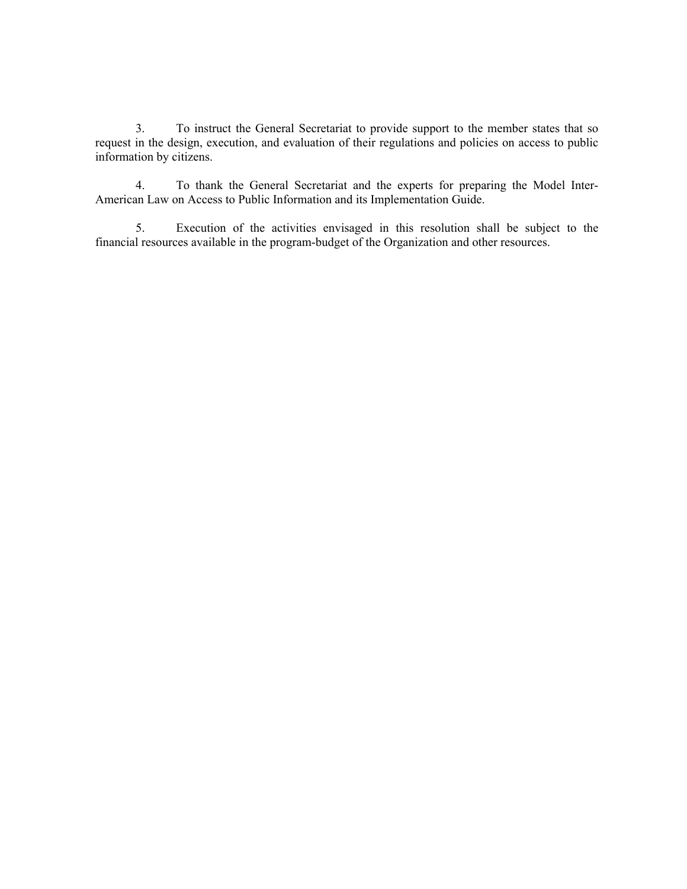3. To instruct the General Secretariat to provide support to the member states that so request in the design, execution, and evaluation of their regulations and policies on access to public information by citizens.

4. To thank the General Secretariat and the experts for preparing the Model Inter-American Law on Access to Public Information and its Implementation Guide.

 5. Execution of the activities envisaged in this resolution shall be subject to the financial resources available in the program-budget of the Organization and other resources.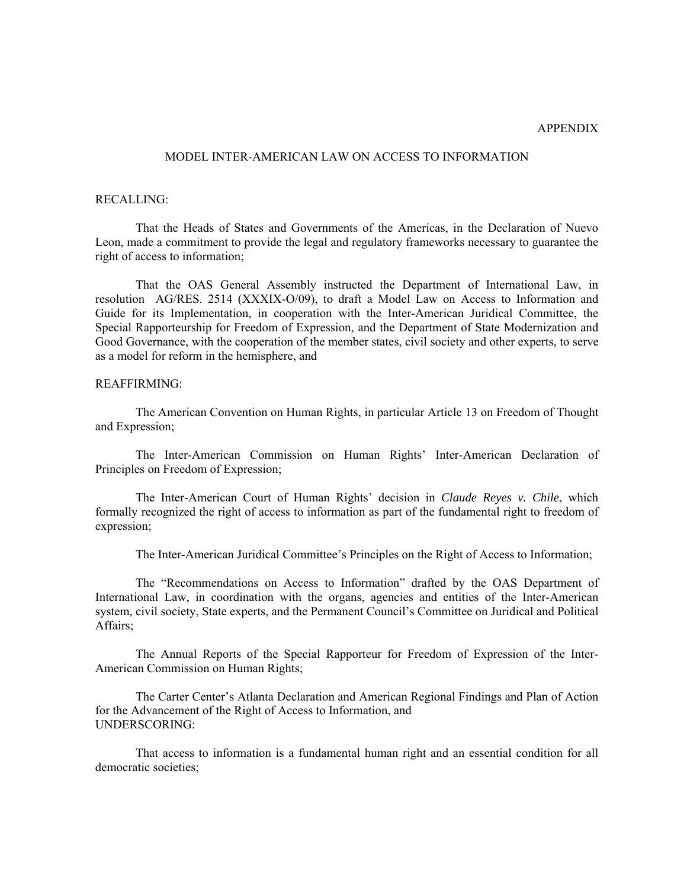## APPENDIX

## MODEL INTER-AMERICAN LAW ON ACCESS TO INFORMATION

#### RECALLING:

That the Heads of States and Governments of the Americas, in the Declaration of Nuevo Leon, made a commitment to provide the legal and regulatory frameworks necessary to guarantee the right of access to information;

That the OAS General Assembly instructed the Department of International Law, in resolution AG/RES. 2514 (XXXIX-O/09), to draft a Model Law on Access to Information and Guide for its Implementation, in cooperation with the Inter-American Juridical Committee, the Special Rapporteurship for Freedom of Expression, and the Department of State Modernization and Good Governance, with the cooperation of the member states, civil society and other experts, to serve as a model for reform in the hemisphere, and

## REAFFIRMING:

The American Convention on Human Rights, in particular Article 13 on Freedom of Thought and Expression;

The Inter-American Commission on Human Rights' Inter-American Declaration of Principles on Freedom of Expression;

The Inter-American Court of Human Rights' decision in *Claude Reyes v. Chile*, which formally recognized the right of access to information as part of the fundamental right to freedom of expression;

The Inter-American Juridical Committee's Principles on the Right of Access to Information;

The "Recommendations on Access to Information" drafted by the OAS Department of International Law, in coordination with the organs, agencies and entities of the Inter-American system, civil society, State experts, and the Permanent Council's Committee on Juridical and Political Affairs;

The Annual Reports of the Special Rapporteur for Freedom of Expression of the Inter-American Commission on Human Rights;

The Carter Center's Atlanta Declaration and American Regional Findings and Plan of Action for the Advancement of the Right of Access to Information, and UNDERSCORING:

That access to information is a fundamental human right and an essential condition for all democratic societies;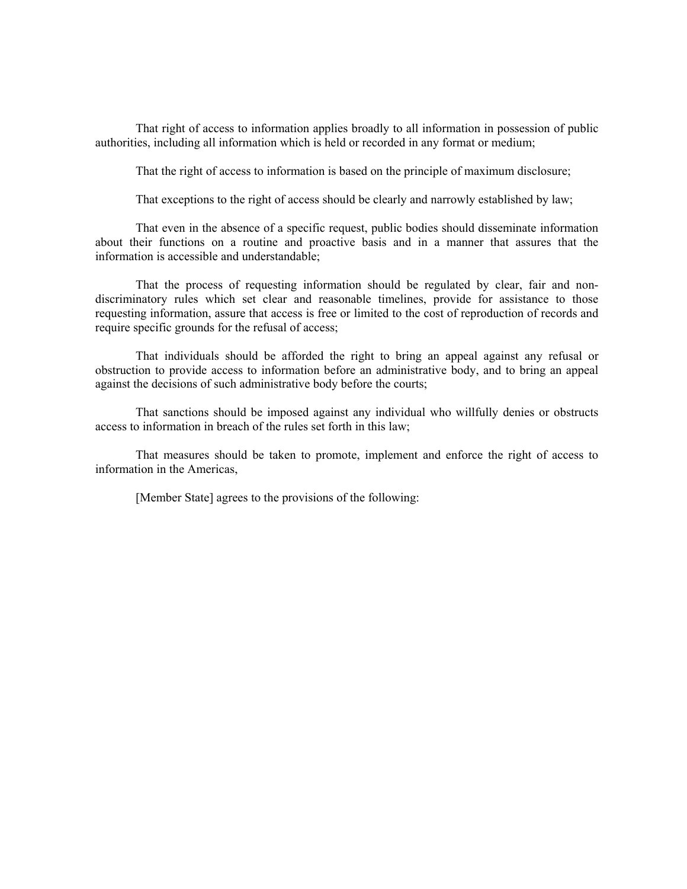That right of access to information applies broadly to all information in possession of public authorities, including all information which is held or recorded in any format or medium;

That the right of access to information is based on the principle of maximum disclosure;

That exceptions to the right of access should be clearly and narrowly established by law;

That even in the absence of a specific request, public bodies should disseminate information about their functions on a routine and proactive basis and in a manner that assures that the information is accessible and understandable;

That the process of requesting information should be regulated by clear, fair and nondiscriminatory rules which set clear and reasonable timelines, provide for assistance to those requesting information, assure that access is free or limited to the cost of reproduction of records and require specific grounds for the refusal of access;

That individuals should be afforded the right to bring an appeal against any refusal or obstruction to provide access to information before an administrative body, and to bring an appeal against the decisions of such administrative body before the courts;

That sanctions should be imposed against any individual who willfully denies or obstructs access to information in breach of the rules set forth in this law;

That measures should be taken to promote, implement and enforce the right of access to information in the Americas,

[Member State] agrees to the provisions of the following: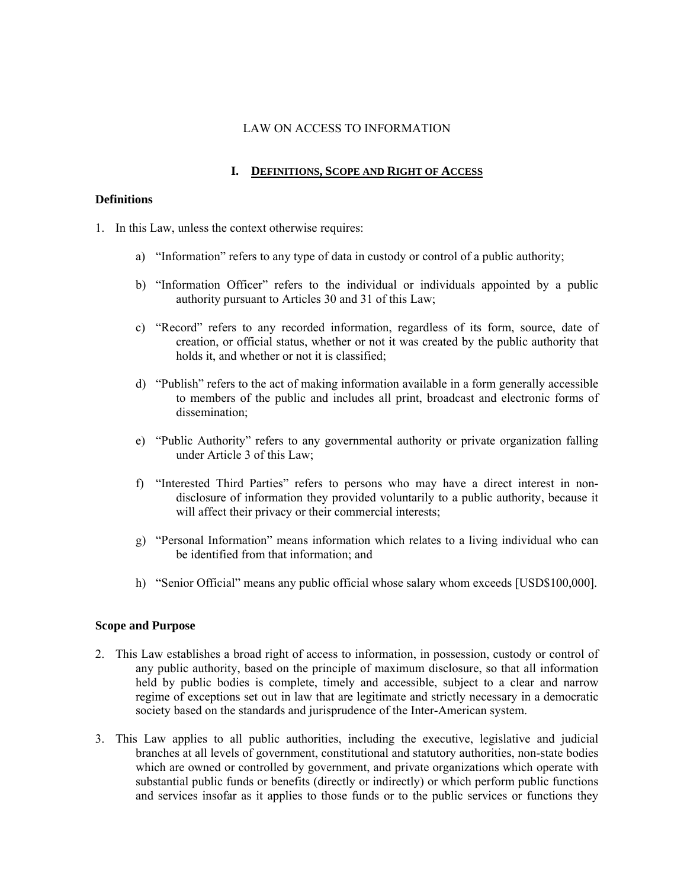## LAW ON ACCESS TO INFORMATION

# **I. DEFINITIONS, SCOPE AND RIGHT OF ACCESS**

## **Definitions**

- 1. In this Law, unless the context otherwise requires:
	- a) "Information" refers to any type of data in custody or control of a public authority;
	- b) "Information Officer" refers to the individual or individuals appointed by a public authority pursuant to Articles 30 and 31 of this Law;
	- c) "Record" refers to any recorded information, regardless of its form, source, date of creation, or official status, whether or not it was created by the public authority that holds it, and whether or not it is classified;
	- d) "Publish" refers to the act of making information available in a form generally accessible to members of the public and includes all print, broadcast and electronic forms of dissemination;
	- e) "Public Authority" refers to any governmental authority or private organization falling under Article 3 of this Law;
	- f) "Interested Third Parties" refers to persons who may have a direct interest in nondisclosure of information they provided voluntarily to a public authority, because it will affect their privacy or their commercial interests;
	- g) "Personal Information" means information which relates to a living individual who can be identified from that information; and
	- h) "Senior Official" means any public official whose salary whom exceeds [USD\$100,000].

## **Scope and Purpose**

- 2. This Law establishes a broad right of access to information, in possession, custody or control of any public authority, based on the principle of maximum disclosure, so that all information held by public bodies is complete, timely and accessible, subject to a clear and narrow regime of exceptions set out in law that are legitimate and strictly necessary in a democratic society based on the standards and jurisprudence of the Inter-American system.
- 3. This Law applies to all public authorities, including the executive, legislative and judicial branches at all levels of government, constitutional and statutory authorities, non-state bodies which are owned or controlled by government, and private organizations which operate with substantial public funds or benefits (directly or indirectly) or which perform public functions and services insofar as it applies to those funds or to the public services or functions they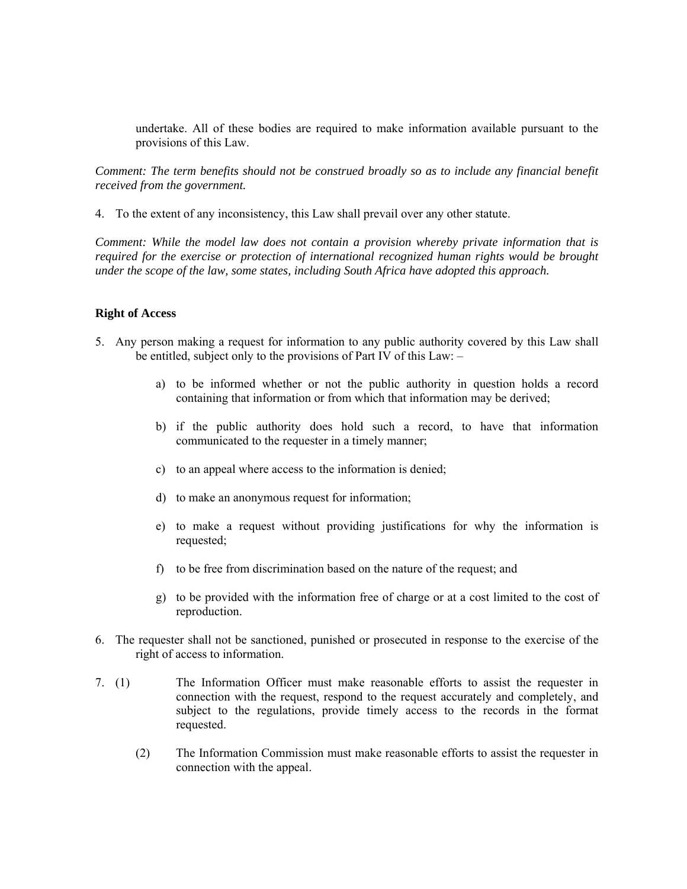undertake. All of these bodies are required to make information available pursuant to the provisions of this Law.

*Comment: The term benefits should not be construed broadly so as to include any financial benefit received from the government.* 

4. To the extent of any inconsistency, this Law shall prevail over any other statute.

*Comment: While the model law does not contain a provision whereby private information that is required for the exercise or protection of international recognized human rights would be brought under the scope of the law, some states, including South Africa have adopted this approach.* 

#### **Right of Access**

- 5. Any person making a request for information to any public authority covered by this Law shall be entitled, subject only to the provisions of Part IV of this Law: –
	- a) to be informed whether or not the public authority in question holds a record containing that information or from which that information may be derived;
	- b) if the public authority does hold such a record, to have that information communicated to the requester in a timely manner;
	- c) to an appeal where access to the information is denied;
	- d) to make an anonymous request for information;
	- e) to make a request without providing justifications for why the information is requested;
	- f) to be free from discrimination based on the nature of the request; and
	- g) to be provided with the information free of charge or at a cost limited to the cost of reproduction.
- 6. The requester shall not be sanctioned, punished or prosecuted in response to the exercise of the right of access to information.
- 7. (1) The Information Officer must make reasonable efforts to assist the requester in connection with the request, respond to the request accurately and completely, and subject to the regulations, provide timely access to the records in the format requested.
	- (2) The Information Commission must make reasonable efforts to assist the requester in connection with the appeal.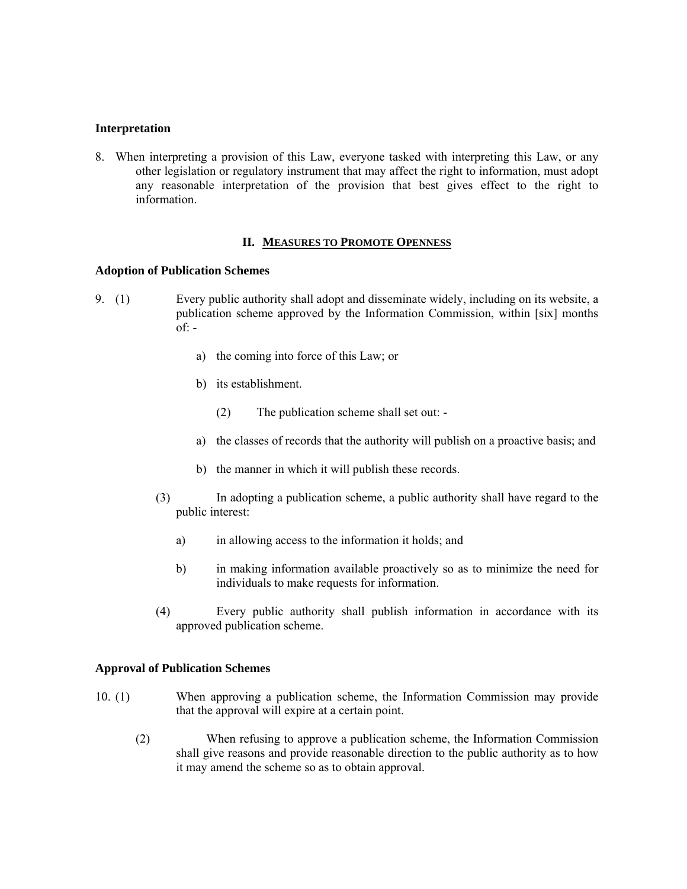## **Interpretation**

8. When interpreting a provision of this Law, everyone tasked with interpreting this Law, or any other legislation or regulatory instrument that may affect the right to information, must adopt any reasonable interpretation of the provision that best gives effect to the right to information.

### **II. MEASURES TO PROMOTE OPENNESS**

### **Adoption of Publication Schemes**

- 9. (1) Every public authority shall adopt and disseminate widely, including on its website, a publication scheme approved by the Information Commission, within [six] months  $of:$ 
	- a) the coming into force of this Law; or
	- b) its establishment.
		- (2) The publication scheme shall set out: -
	- a) the classes of records that the authority will publish on a proactive basis; and
	- b) the manner in which it will publish these records.
	- (3) In adopting a publication scheme, a public authority shall have regard to the public interest:
		- a) in allowing access to the information it holds; and
		- b) in making information available proactively so as to minimize the need for individuals to make requests for information.
	- (4) Every public authority shall publish information in accordance with its approved publication scheme.

### **Approval of Publication Schemes**

- 10. (1) When approving a publication scheme, the Information Commission may provide that the approval will expire at a certain point.
	- (2) When refusing to approve a publication scheme, the Information Commission shall give reasons and provide reasonable direction to the public authority as to how it may amend the scheme so as to obtain approval.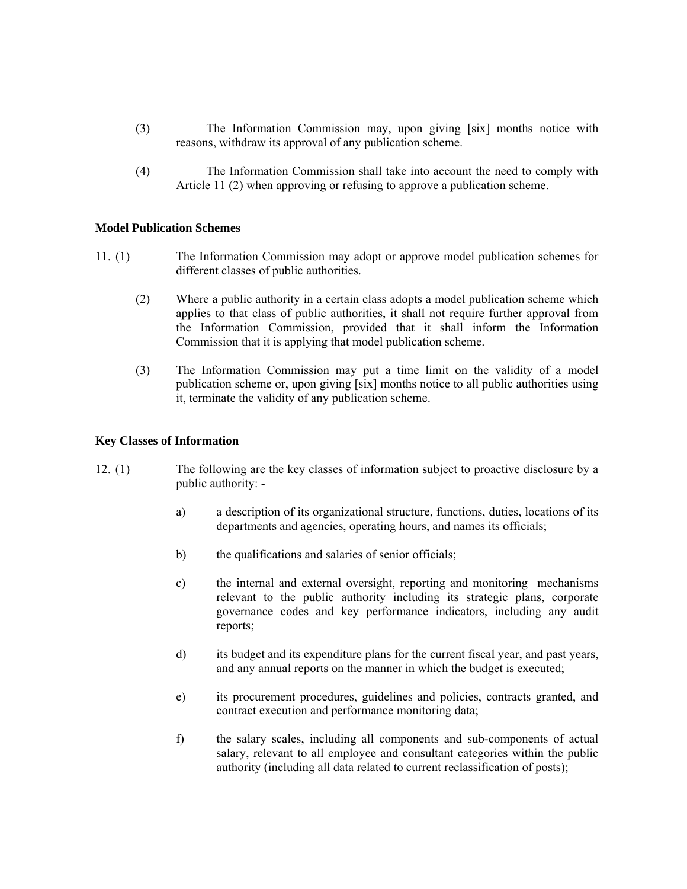- (3) The Information Commission may, upon giving [six] months notice with reasons, withdraw its approval of any publication scheme.
- (4) The Information Commission shall take into account the need to comply with Article 11 (2) when approving or refusing to approve a publication scheme.

## **Model Publication Schemes**

- 11. (1) The Information Commission may adopt or approve model publication schemes for different classes of public authorities.
	- (2) Where a public authority in a certain class adopts a model publication scheme which applies to that class of public authorities, it shall not require further approval from the Information Commission, provided that it shall inform the Information Commission that it is applying that model publication scheme.
	- (3) The Information Commission may put a time limit on the validity of a model publication scheme or, upon giving [six] months notice to all public authorities using it, terminate the validity of any publication scheme.

## **Key Classes of Information**

- 12. (1) The following are the key classes of information subject to proactive disclosure by a public authority:
	- a) a description of its organizational structure, functions, duties, locations of its departments and agencies, operating hours, and names its officials;
	- b) the qualifications and salaries of senior officials;
	- c) the internal and external oversight, reporting and monitoring mechanisms relevant to the public authority including its strategic plans, corporate governance codes and key performance indicators, including any audit reports;
	- d) its budget and its expenditure plans for the current fiscal year, and past years, and any annual reports on the manner in which the budget is executed;
	- e) its procurement procedures, guidelines and policies, contracts granted, and contract execution and performance monitoring data;
	- f) the salary scales, including all components and sub-components of actual salary, relevant to all employee and consultant categories within the public authority (including all data related to current reclassification of posts);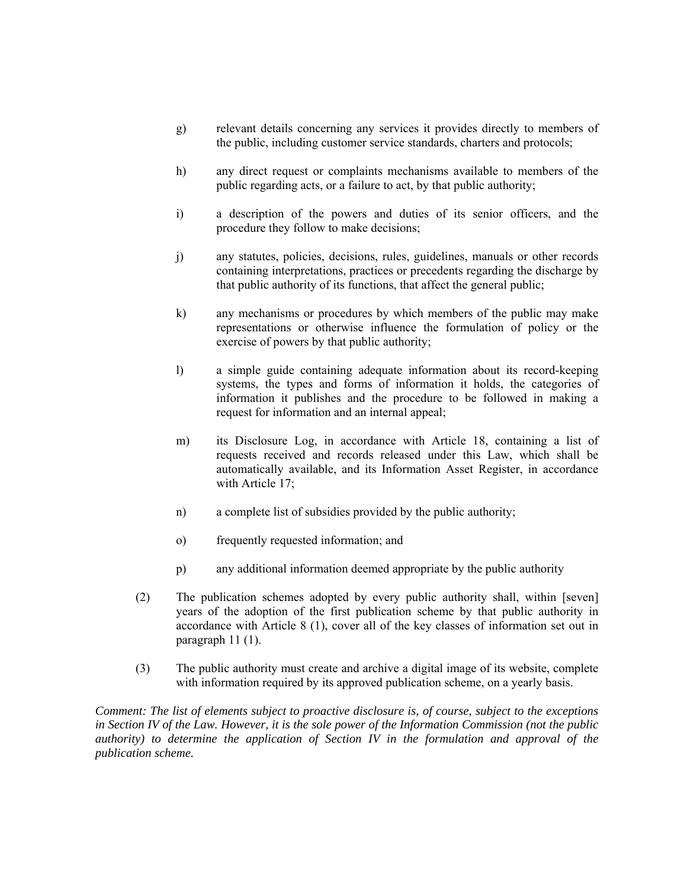- g) relevant details concerning any services it provides directly to members of the public, including customer service standards, charters and protocols;
- h) any direct request or complaints mechanisms available to members of the public regarding acts, or a failure to act, by that public authority;
- i) a description of the powers and duties of its senior officers, and the procedure they follow to make decisions;
- j) any statutes, policies, decisions, rules, guidelines, manuals or other records containing interpretations, practices or precedents regarding the discharge by that public authority of its functions, that affect the general public;
- k) any mechanisms or procedures by which members of the public may make representations or otherwise influence the formulation of policy or the exercise of powers by that public authority;
- l) a simple guide containing adequate information about its record-keeping systems, the types and forms of information it holds, the categories of information it publishes and the procedure to be followed in making a request for information and an internal appeal;
- m) its Disclosure Log, in accordance with Article 18, containing a list of requests received and records released under this Law, which shall be automatically available, and its Information Asset Register, in accordance with Article 17:
- n) a complete list of subsidies provided by the public authority;
- o) frequently requested information; and
- p) any additional information deemed appropriate by the public authority
- (2) The publication schemes adopted by every public authority shall, within [seven] years of the adoption of the first publication scheme by that public authority in accordance with Article 8 (1), cover all of the key classes of information set out in paragraph 11 (1).
- (3) The public authority must create and archive a digital image of its website, complete with information required by its approved publication scheme, on a yearly basis.

*Comment: The list of elements subject to proactive disclosure is, of course, subject to the exceptions in Section IV of the Law. However, it is the sole power of the Information Commission (not the public authority) to determine the application of Section IV in the formulation and approval of the publication scheme.*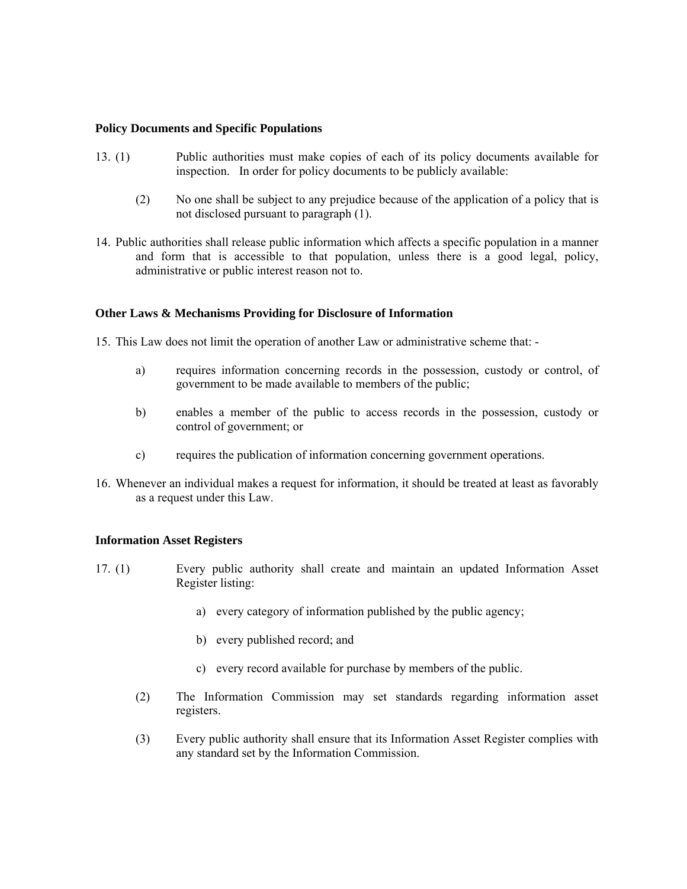### **Policy Documents and Specific Populations**

- 13. (1) Public authorities must make copies of each of its policy documents available for inspection. In order for policy documents to be publicly available:
	- (2) No one shall be subject to any prejudice because of the application of a policy that is not disclosed pursuant to paragraph (1).
- 14. Public authorities shall release public information which affects a specific population in a manner and form that is accessible to that population, unless there is a good legal, policy, administrative or public interest reason not to.

## **Other Laws & Mechanisms Providing for Disclosure of Information**

15. This Law does not limit the operation of another Law or administrative scheme that: -

- a) requires information concerning records in the possession, custody or control, of government to be made available to members of the public;
- b) enables a member of the public to access records in the possession, custody or control of government; or
- c) requires the publication of information concerning government operations.
- 16. Whenever an individual makes a request for information, it should be treated at least as favorably as a request under this Law.

### **Information Asset Registers**

- 17. (1) Every public authority shall create and maintain an updated Information Asset Register listing:
	- a) every category of information published by the public agency;
	- b) every published record; and
	- c) every record available for purchase by members of the public.
	- (2) The Information Commission may set standards regarding information asset registers.
	- (3) Every public authority shall ensure that its Information Asset Register complies with any standard set by the Information Commission.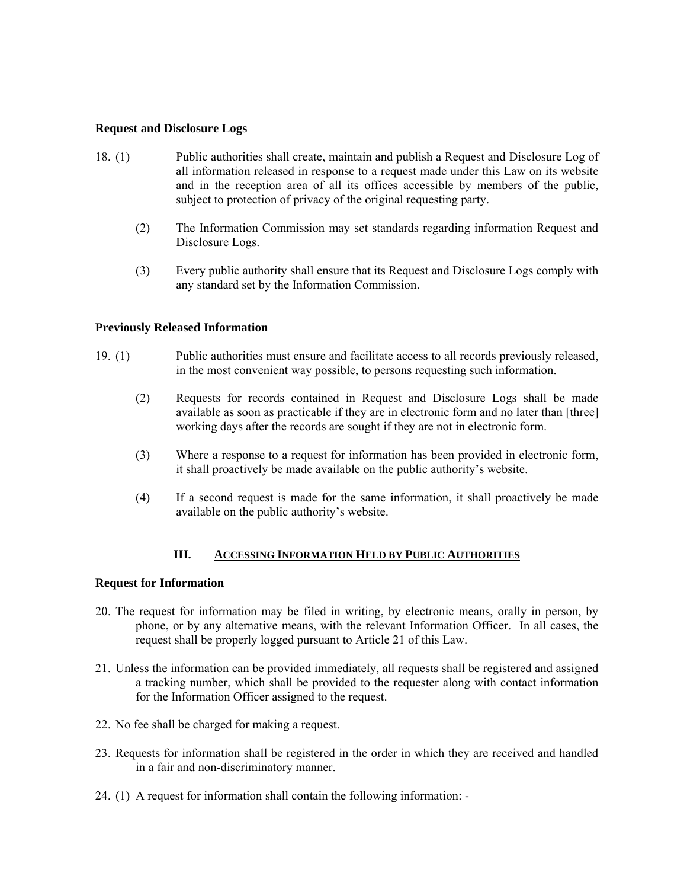## **Request and Disclosure Logs**

- 18. (1) Public authorities shall create, maintain and publish a Request and Disclosure Log of all information released in response to a request made under this Law on its website and in the reception area of all its offices accessible by members of the public, subject to protection of privacy of the original requesting party.
	- (2) The Information Commission may set standards regarding information Request and Disclosure Logs.
	- (3) Every public authority shall ensure that its Request and Disclosure Logs comply with any standard set by the Information Commission.

## **Previously Released Information**

- 19. (1) Public authorities must ensure and facilitate access to all records previously released, in the most convenient way possible, to persons requesting such information.
	- (2) Requests for records contained in Request and Disclosure Logs shall be made available as soon as practicable if they are in electronic form and no later than [three] working days after the records are sought if they are not in electronic form.
	- (3) Where a response to a request for information has been provided in electronic form, it shall proactively be made available on the public authority's website.
	- (4) If a second request is made for the same information, it shall proactively be made available on the public authority's website.

# **III. ACCESSING INFORMATION HELD BY PUBLIC AUTHORITIES**

### **Request for Information**

- 20. The request for information may be filed in writing, by electronic means, orally in person, by phone, or by any alternative means, with the relevant Information Officer. In all cases, the request shall be properly logged pursuant to Article 21 of this Law.
- 21. Unless the information can be provided immediately, all requests shall be registered and assigned a tracking number, which shall be provided to the requester along with contact information for the Information Officer assigned to the request.
- 22. No fee shall be charged for making a request.
- 23. Requests for information shall be registered in the order in which they are received and handled in a fair and non-discriminatory manner.
- 24. (1) A request for information shall contain the following information: -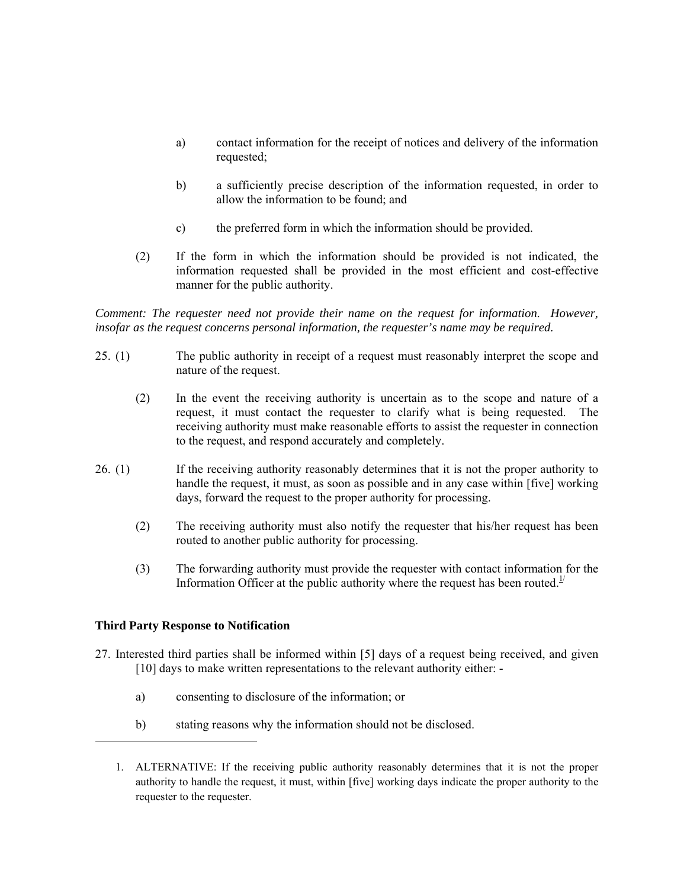- a) contact information for the receipt of notices and delivery of the information requested;
- b) a sufficiently precise description of the information requested, in order to allow the information to be found; and
- c) the preferred form in which the information should be provided.
- (2) If the form in which the information should be provided is not indicated, the information requested shall be provided in the most efficient and cost-effective manner for the public authority.

*Comment: The requester need not provide their name on the request for information. However, insofar as the request concerns personal information, the requester's name may be required.* 

- 25. (1) The public authority in receipt of a request must reasonably interpret the scope and nature of the request.
	- (2) In the event the receiving authority is uncertain as to the scope and nature of a request, it must contact the requester to clarify what is being requested. The receiving authority must make reasonable efforts to assist the requester in connection to the request, and respond accurately and completely.
- 26. (1) If the receiving authority reasonably determines that it is not the proper authority to handle the request, it must, as soon as possible and in any case within [five] working days, forward the request to the proper authority for processing.
	- (2) The receiving authority must also notify the requester that his/her request has been routed to another public authority for processing.
	- (3) The forwarding authority must provide the requester with contact information for the Information Officer at the public authority where the request has been routed.<sup>1/</sup>

## **Third Party Response to Notification**

- 27. Interested third parties shall be informed within [5] days of a request being received, and given [10] days to make written representations to the relevant authority either:
	- a) consenting to disclosure of the information; or
	- b) stating reasons why the information should not be disclosed.
	- 1. ALTERNATIVE: If the receiving public authority reasonably determines that it is not the proper authority to handle the request, it must, within [five] working days indicate the proper authority to the requester to the requester.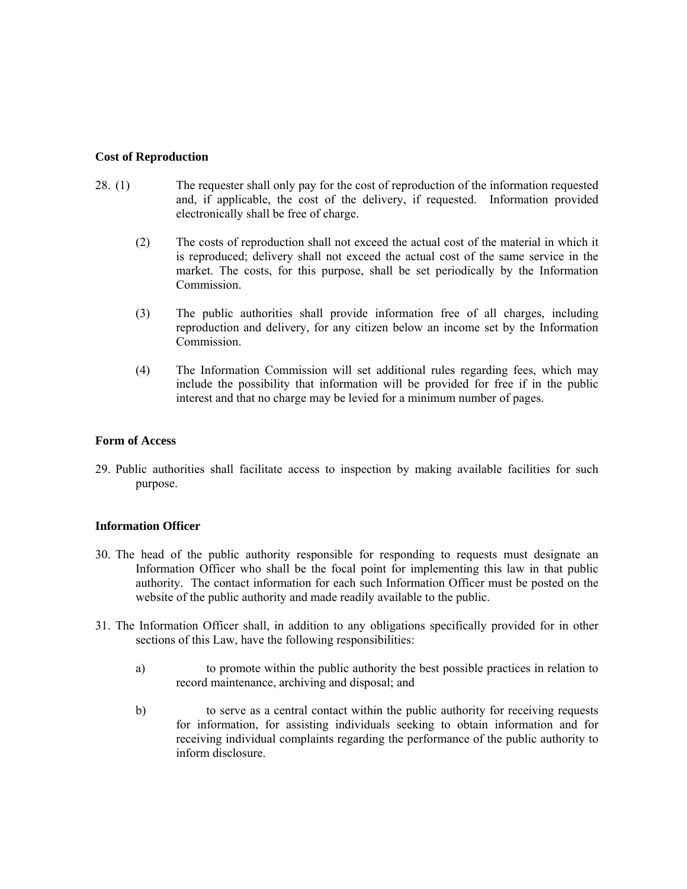## **Cost of Reproduction**

- 28. (1) The requester shall only pay for the cost of reproduction of the information requested and, if applicable, the cost of the delivery, if requested. Information provided electronically shall be free of charge.
	- (2) The costs of reproduction shall not exceed the actual cost of the material in which it is reproduced; delivery shall not exceed the actual cost of the same service in the market. The costs, for this purpose, shall be set periodically by the Information Commission.
	- (3) The public authorities shall provide information free of all charges, including reproduction and delivery, for any citizen below an income set by the Information Commission.
	- (4) The Information Commission will set additional rules regarding fees, which may include the possibility that information will be provided for free if in the public interest and that no charge may be levied for a minimum number of pages.

## **Form of Access**

29. Public authorities shall facilitate access to inspection by making available facilities for such purpose.

## **Information Officer**

- 30. The head of the public authority responsible for responding to requests must designate an Information Officer who shall be the focal point for implementing this law in that public authority. The contact information for each such Information Officer must be posted on the website of the public authority and made readily available to the public.
- 31. The Information Officer shall, in addition to any obligations specifically provided for in other sections of this Law, have the following responsibilities:
	- a) to promote within the public authority the best possible practices in relation to record maintenance, archiving and disposal; and
	- b) to serve as a central contact within the public authority for receiving requests for information, for assisting individuals seeking to obtain information and for receiving individual complaints regarding the performance of the public authority to inform disclosure.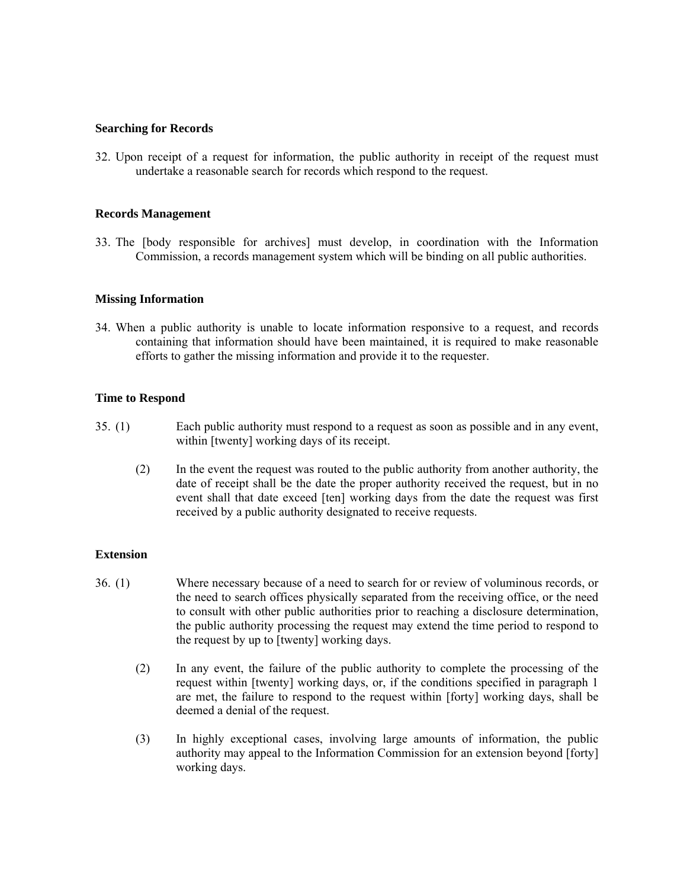### **Searching for Records**

32. Upon receipt of a request for information, the public authority in receipt of the request must undertake a reasonable search for records which respond to the request.

### **Records Management**

33. The [body responsible for archives] must develop, in coordination with the Information Commission, a records management system which will be binding on all public authorities.

## **Missing Information**

34. When a public authority is unable to locate information responsive to a request, and records containing that information should have been maintained, it is required to make reasonable efforts to gather the missing information and provide it to the requester.

## **Time to Respond**

- 35. (1) Each public authority must respond to a request as soon as possible and in any event, within [twenty] working days of its receipt.
	- (2) In the event the request was routed to the public authority from another authority, the date of receipt shall be the date the proper authority received the request, but in no event shall that date exceed [ten] working days from the date the request was first received by a public authority designated to receive requests.

## **Extension**

- 36. (1) Where necessary because of a need to search for or review of voluminous records, or the need to search offices physically separated from the receiving office, or the need to consult with other public authorities prior to reaching a disclosure determination, the public authority processing the request may extend the time period to respond to the request by up to [twenty] working days.
	- (2) In any event, the failure of the public authority to complete the processing of the request within [twenty] working days, or, if the conditions specified in paragraph 1 are met, the failure to respond to the request within [forty] working days, shall be deemed a denial of the request.
	- (3) In highly exceptional cases, involving large amounts of information, the public authority may appeal to the Information Commission for an extension beyond [forty] working days.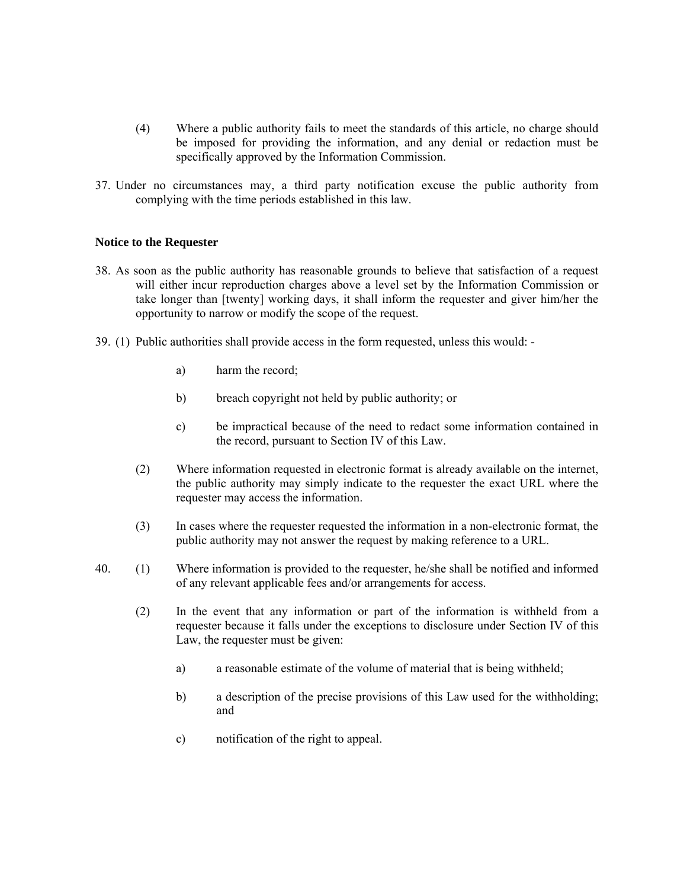- (4) Where a public authority fails to meet the standards of this article, no charge should be imposed for providing the information, and any denial or redaction must be specifically approved by the Information Commission.
- 37. Under no circumstances may, a third party notification excuse the public authority from complying with the time periods established in this law.

### **Notice to the Requester**

- 38. As soon as the public authority has reasonable grounds to believe that satisfaction of a request will either incur reproduction charges above a level set by the Information Commission or take longer than [twenty] working days, it shall inform the requester and giver him/her the opportunity to narrow or modify the scope of the request.
- 39. (1) Public authorities shall provide access in the form requested, unless this would:
	- a) harm the record;
	- b) breach copyright not held by public authority; or
	- c) be impractical because of the need to redact some information contained in the record, pursuant to Section IV of this Law.
	- (2) Where information requested in electronic format is already available on the internet, the public authority may simply indicate to the requester the exact URL where the requester may access the information.
	- (3) In cases where the requester requested the information in a non-electronic format, the public authority may not answer the request by making reference to a URL.
- 40. (1) Where information is provided to the requester, he/she shall be notified and informed of any relevant applicable fees and/or arrangements for access.
	- (2) In the event that any information or part of the information is withheld from a requester because it falls under the exceptions to disclosure under Section IV of this Law, the requester must be given:
		- a) a reasonable estimate of the volume of material that is being withheld;
		- b) a description of the precise provisions of this Law used for the withholding; and
		- c) notification of the right to appeal.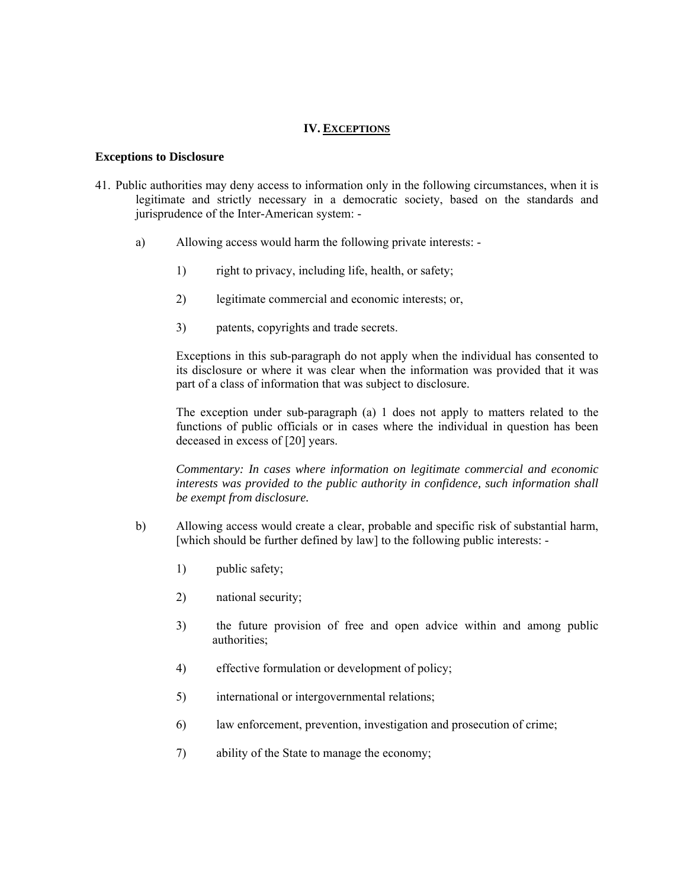## **IV. EXCEPTIONS**

#### **Exceptions to Disclosure**

- 41. Public authorities may deny access to information only in the following circumstances, when it is legitimate and strictly necessary in a democratic society, based on the standards and jurisprudence of the Inter-American system:
	- a) Allowing access would harm the following private interests:
		- 1) right to privacy, including life, health, or safety;
		- 2) legitimate commercial and economic interests; or,
		- 3) patents, copyrights and trade secrets.

Exceptions in this sub-paragraph do not apply when the individual has consented to its disclosure or where it was clear when the information was provided that it was part of a class of information that was subject to disclosure.

The exception under sub-paragraph (a) 1 does not apply to matters related to the functions of public officials or in cases where the individual in question has been deceased in excess of [20] years.

*Commentary: In cases where information on legitimate commercial and economic interests was provided to the public authority in confidence, such information shall be exempt from disclosure.*

- b) Allowing access would create a clear, probable and specific risk of substantial harm, [which should be further defined by law] to the following public interests: -
	- 1) public safety;
	- 2) national security;
	- 3) the future provision of free and open advice within and among public authorities;
	- 4) effective formulation or development of policy;
	- 5) international or intergovernmental relations;
	- 6) law enforcement, prevention, investigation and prosecution of crime;
	- 7) ability of the State to manage the economy;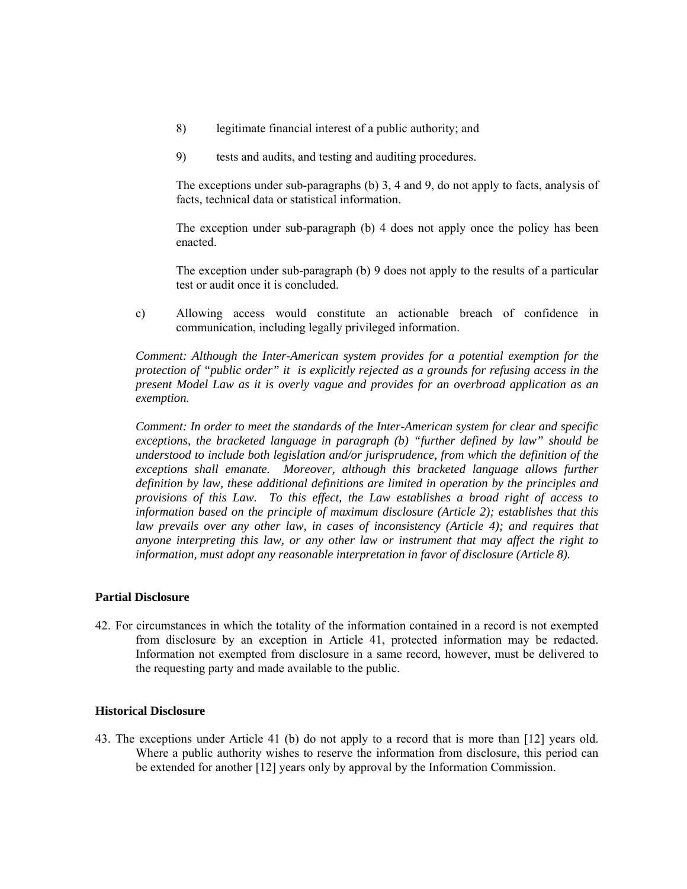- 8) legitimate financial interest of a public authority; and
- 9) tests and audits, and testing and auditing procedures.

The exceptions under sub-paragraphs (b) 3, 4 and 9, do not apply to facts, analysis of facts, technical data or statistical information.

The exception under sub-paragraph (b) 4 does not apply once the policy has been enacted.

The exception under sub-paragraph (b) 9 does not apply to the results of a particular test or audit once it is concluded.

c) Allowing access would constitute an actionable breach of confidence in communication, including legally privileged information.

*Comment: Although the Inter-American system provides for a potential exemption for the protection of "public order" it is explicitly rejected as a grounds for refusing access in the present Model Law as it is overly vague and provides for an overbroad application as an exemption.* 

*Comment: In order to meet the standards of the Inter-American system for clear and specific exceptions, the bracketed language in paragraph (b) "further defined by law" should be understood to include both legislation and/or jurisprudence, from which the definition of the exceptions shall emanate. Moreover, although this bracketed language allows further definition by law, these additional definitions are limited in operation by the principles and provisions of this Law. To this effect, the Law establishes a broad right of access to information based on the principle of maximum disclosure (Article 2); establishes that this law prevails over any other law, in cases of inconsistency (Article 4); and requires that anyone interpreting this law, or any other law or instrument that may affect the right to information, must adopt any reasonable interpretation in favor of disclosure (Article 8).* 

### **Partial Disclosure**

42. For circumstances in which the totality of the information contained in a record is not exempted from disclosure by an exception in Article 41, protected information may be redacted. Information not exempted from disclosure in a same record, however, must be delivered to the requesting party and made available to the public.

### **Historical Disclosure**

43. The exceptions under Article 41 (b) do not apply to a record that is more than [12] years old. Where a public authority wishes to reserve the information from disclosure, this period can be extended for another [12] years only by approval by the Information Commission.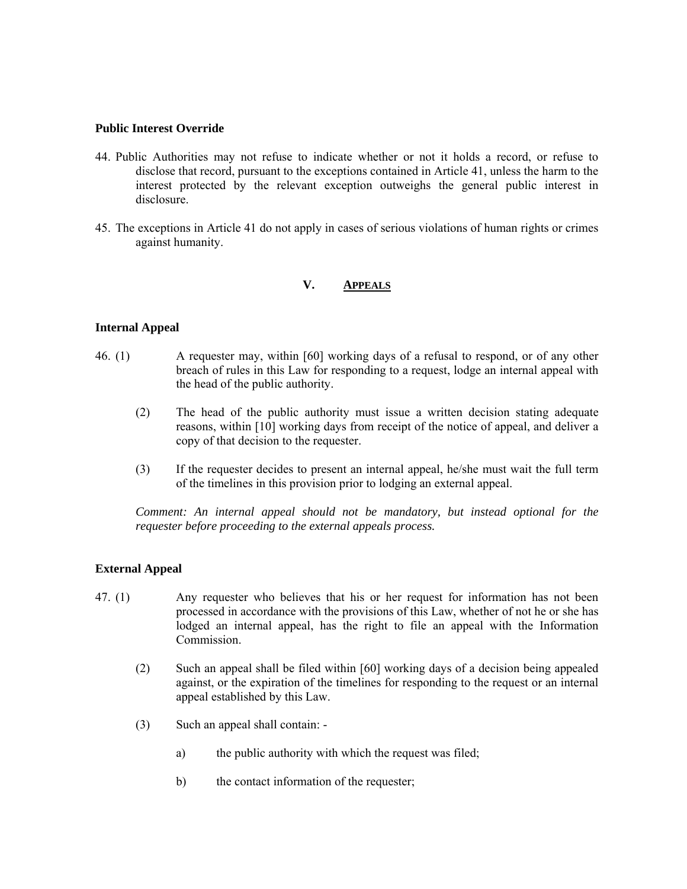## **Public Interest Override**

- 44. Public Authorities may not refuse to indicate whether or not it holds a record, or refuse to disclose that record, pursuant to the exceptions contained in Article 41, unless the harm to the interest protected by the relevant exception outweighs the general public interest in disclosure.
- 45. The exceptions in Article 41 do not apply in cases of serious violations of human rights or crimes against humanity.

# **V. APPEALS**

## **Internal Appeal**

- 46. (1) A requester may, within [60] working days of a refusal to respond, or of any other breach of rules in this Law for responding to a request, lodge an internal appeal with the head of the public authority.
	- (2) The head of the public authority must issue a written decision stating adequate reasons, within [10] working days from receipt of the notice of appeal, and deliver a copy of that decision to the requester.
	- (3) If the requester decides to present an internal appeal, he/she must wait the full term of the timelines in this provision prior to lodging an external appeal.

*Comment: An internal appeal should not be mandatory, but instead optional for the requester before proceeding to the external appeals process.* 

## **External Appeal**

- 47. (1) Any requester who believes that his or her request for information has not been processed in accordance with the provisions of this Law, whether of not he or she has lodged an internal appeal, has the right to file an appeal with the Information Commission.
	- (2) Such an appeal shall be filed within [60] working days of a decision being appealed against, or the expiration of the timelines for responding to the request or an internal appeal established by this Law.
	- (3) Such an appeal shall contain:
		- a) the public authority with which the request was filed;
		- b) the contact information of the requester;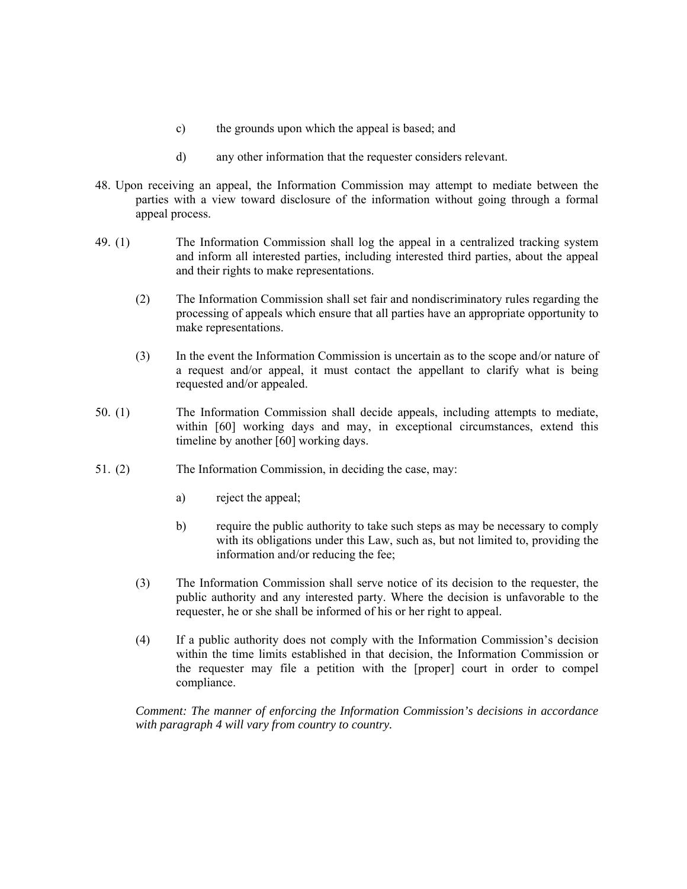- c) the grounds upon which the appeal is based; and
- d) any other information that the requester considers relevant.
- 48. Upon receiving an appeal, the Information Commission may attempt to mediate between the parties with a view toward disclosure of the information without going through a formal appeal process.
- 49. (1) The Information Commission shall log the appeal in a centralized tracking system and inform all interested parties, including interested third parties, about the appeal and their rights to make representations.
	- (2) The Information Commission shall set fair and nondiscriminatory rules regarding the processing of appeals which ensure that all parties have an appropriate opportunity to make representations.
	- (3) In the event the Information Commission is uncertain as to the scope and/or nature of a request and/or appeal, it must contact the appellant to clarify what is being requested and/or appealed.
- 50. (1) The Information Commission shall decide appeals, including attempts to mediate, within [60] working days and may, in exceptional circumstances, extend this timeline by another [60] working days.
- 51. (2) The Information Commission, in deciding the case, may:
	- a) reject the appeal;
	- b) require the public authority to take such steps as may be necessary to comply with its obligations under this Law, such as, but not limited to, providing the information and/or reducing the fee;
	- (3) The Information Commission shall serve notice of its decision to the requester, the public authority and any interested party. Where the decision is unfavorable to the requester, he or she shall be informed of his or her right to appeal.
	- (4) If a public authority does not comply with the Information Commission's decision within the time limits established in that decision, the Information Commission or the requester may file a petition with the [proper] court in order to compel compliance.

*Comment: The manner of enforcing the Information Commission's decisions in accordance with paragraph 4 will vary from country to country.*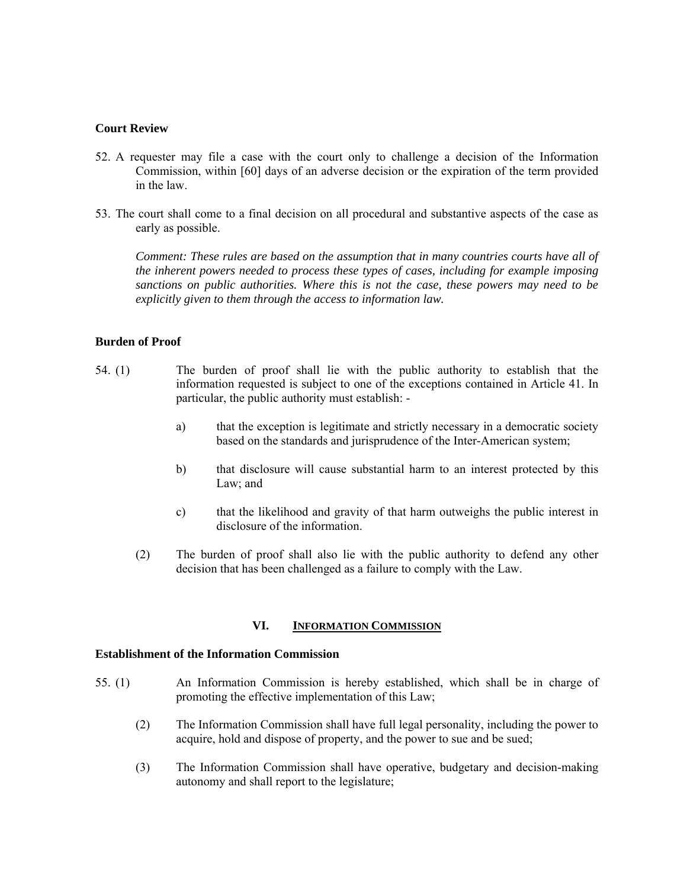## **Court Review**

- 52. A requester may file a case with the court only to challenge a decision of the Information Commission, within [60] days of an adverse decision or the expiration of the term provided in the law.
- 53. The court shall come to a final decision on all procedural and substantive aspects of the case as early as possible.

*Comment: These rules are based on the assumption that in many countries courts have all of the inherent powers needed to process these types of cases, including for example imposing sanctions on public authorities. Where this is not the case, these powers may need to be explicitly given to them through the access to information law.* 

# **Burden of Proof**

- 54. (1) The burden of proof shall lie with the public authority to establish that the information requested is subject to one of the exceptions contained in Article 41. In particular, the public authority must establish:
	- a) that the exception is legitimate and strictly necessary in a democratic society based on the standards and jurisprudence of the Inter-American system;
	- b) that disclosure will cause substantial harm to an interest protected by this Law; and
	- c) that the likelihood and gravity of that harm outweighs the public interest in disclosure of the information.
	- (2) The burden of proof shall also lie with the public authority to defend any other decision that has been challenged as a failure to comply with the Law.

### **VI. INFORMATION COMMISSION**

### **Establishment of the Information Commission**

- 55. (1) An Information Commission is hereby established, which shall be in charge of promoting the effective implementation of this Law;
	- (2) The Information Commission shall have full legal personality, including the power to acquire, hold and dispose of property, and the power to sue and be sued;
	- (3) The Information Commission shall have operative, budgetary and decision-making autonomy and shall report to the legislature;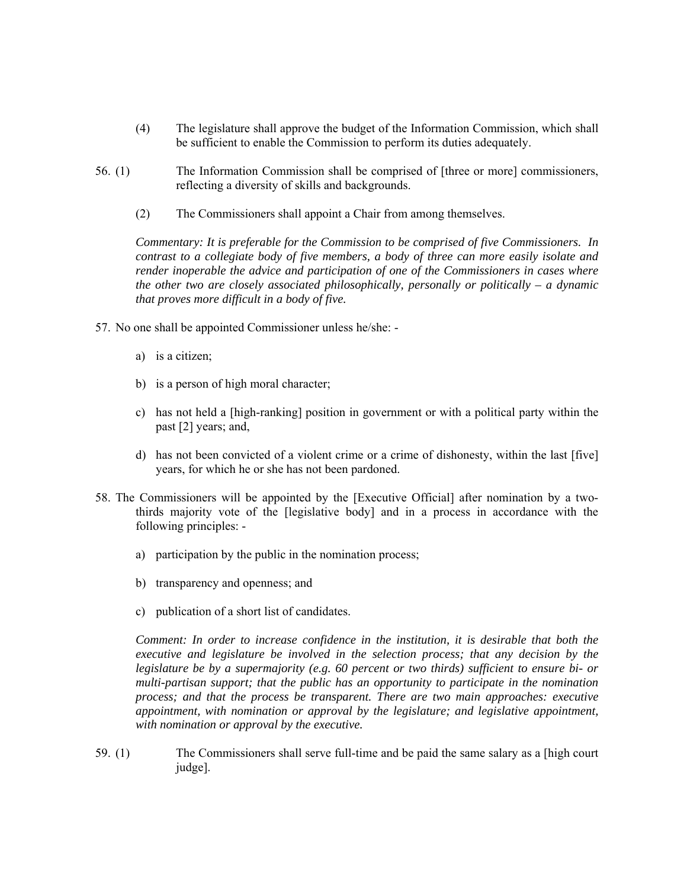- (4) The legislature shall approve the budget of the Information Commission, which shall be sufficient to enable the Commission to perform its duties adequately.
- 56. (1) The Information Commission shall be comprised of [three or more] commissioners, reflecting a diversity of skills and backgrounds.
	- (2) The Commissioners shall appoint a Chair from among themselves.

*Commentary: It is preferable for the Commission to be comprised of five Commissioners. In contrast to a collegiate body of five members, a body of three can more easily isolate and render inoperable the advice and participation of one of the Commissioners in cases where the other two are closely associated philosophically, personally or politically – a dynamic that proves more difficult in a body of five.* 

- 57. No one shall be appointed Commissioner unless he/she:
	- a) is a citizen;
	- b) is a person of high moral character;
	- c) has not held a [high-ranking] position in government or with a political party within the past [2] years; and,
	- d) has not been convicted of a violent crime or a crime of dishonesty, within the last [five] years, for which he or she has not been pardoned.
- 58. The Commissioners will be appointed by the [Executive Official] after nomination by a twothirds majority vote of the [legislative body] and in a process in accordance with the following principles:
	- a) participation by the public in the nomination process;
	- b) transparency and openness; and
	- c) publication of a short list of candidates.

*Comment: In order to increase confidence in the institution, it is desirable that both the executive and legislature be involved in the selection process; that any decision by the legislature be by a supermajority (e.g. 60 percent or two thirds) sufficient to ensure bi- or multi-partisan support; that the public has an opportunity to participate in the nomination process; and that the process be transparent. There are two main approaches: executive appointment, with nomination or approval by the legislature; and legislative appointment, with nomination or approval by the executive.* 

59. (1) The Commissioners shall serve full-time and be paid the same salary as a [high court judge].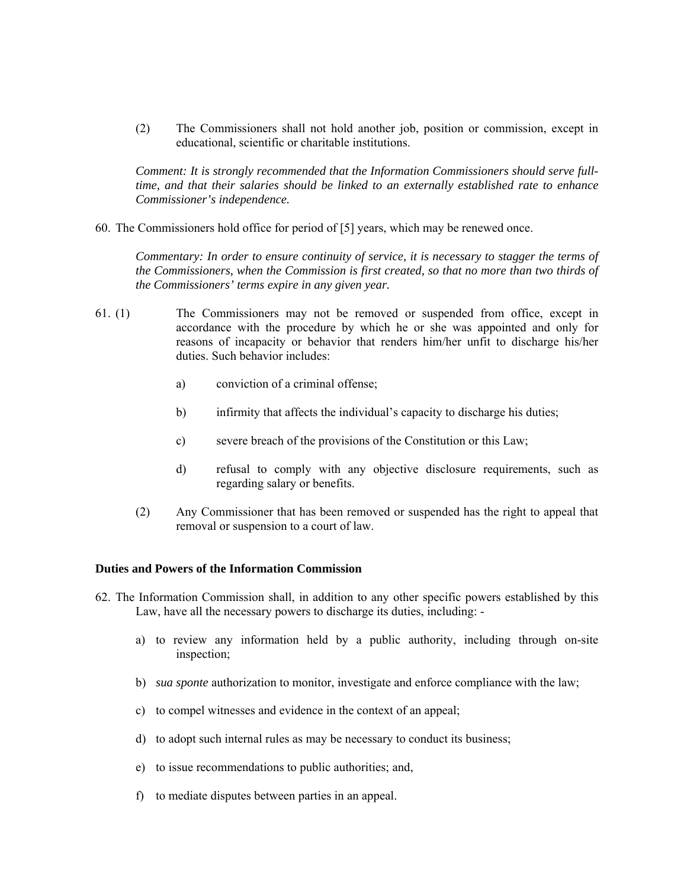(2) The Commissioners shall not hold another job, position or commission, except in educational, scientific or charitable institutions.

*Comment: It is strongly recommended that the Information Commissioners should serve fulltime, and that their salaries should be linked to an externally established rate to enhance Commissioner's independence.* 

60. The Commissioners hold office for period of [5] years, which may be renewed once.

*Commentary: In order to ensure continuity of service, it is necessary to stagger the terms of the Commissioners, when the Commission is first created, so that no more than two thirds of the Commissioners' terms expire in any given year.* 

- 61. (1) The Commissioners may not be removed or suspended from office, except in accordance with the procedure by which he or she was appointed and only for reasons of incapacity or behavior that renders him/her unfit to discharge his/her duties. Such behavior includes:
	- a) conviction of a criminal offense;
	- b) infirmity that affects the individual's capacity to discharge his duties;
	- c) severe breach of the provisions of the Constitution or this Law;
	- d) refusal to comply with any objective disclosure requirements, such as regarding salary or benefits.
	- (2) Any Commissioner that has been removed or suspended has the right to appeal that removal or suspension to a court of law.

### **Duties and Powers of the Information Commission**

- 62. The Information Commission shall, in addition to any other specific powers established by this Law, have all the necessary powers to discharge its duties, including:
	- a) to review any information held by a public authority, including through on-site inspection;
	- b) *sua sponte* authorization to monitor, investigate and enforce compliance with the law;
	- c) to compel witnesses and evidence in the context of an appeal;
	- d) to adopt such internal rules as may be necessary to conduct its business;
	- e) to issue recommendations to public authorities; and,
	- f) to mediate disputes between parties in an appeal.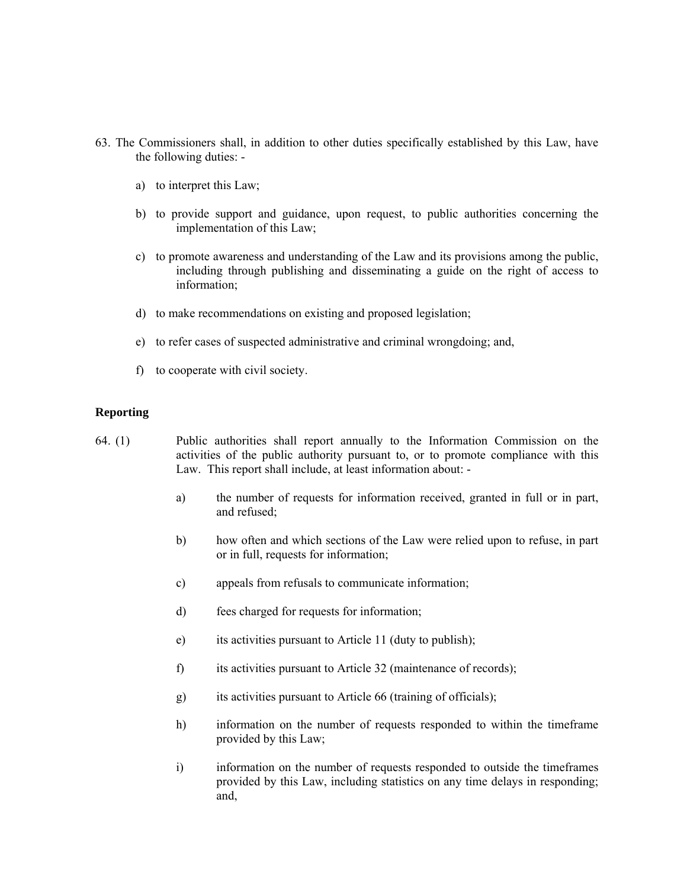- 63. The Commissioners shall, in addition to other duties specifically established by this Law, have the following duties:
	- a) to interpret this Law;
	- b) to provide support and guidance, upon request, to public authorities concerning the implementation of this Law;
	- c) to promote awareness and understanding of the Law and its provisions among the public, including through publishing and disseminating a guide on the right of access to information;
	- d) to make recommendations on existing and proposed legislation;
	- e) to refer cases of suspected administrative and criminal wrongdoing; and,
	- f) to cooperate with civil society.

### **Reporting**

- 64. (1) Public authorities shall report annually to the Information Commission on the activities of the public authority pursuant to, or to promote compliance with this Law. This report shall include, at least information about:
	- a) the number of requests for information received, granted in full or in part, and refused;
	- b) how often and which sections of the Law were relied upon to refuse, in part or in full, requests for information;
	- c) appeals from refusals to communicate information;
	- d) fees charged for requests for information;
	- e) its activities pursuant to Article 11 (duty to publish);
	- f) its activities pursuant to Article 32 (maintenance of records);
	- g) its activities pursuant to Article 66 (training of officials);
	- h) information on the number of requests responded to within the timeframe provided by this Law;
	- i) information on the number of requests responded to outside the timeframes provided by this Law, including statistics on any time delays in responding; and,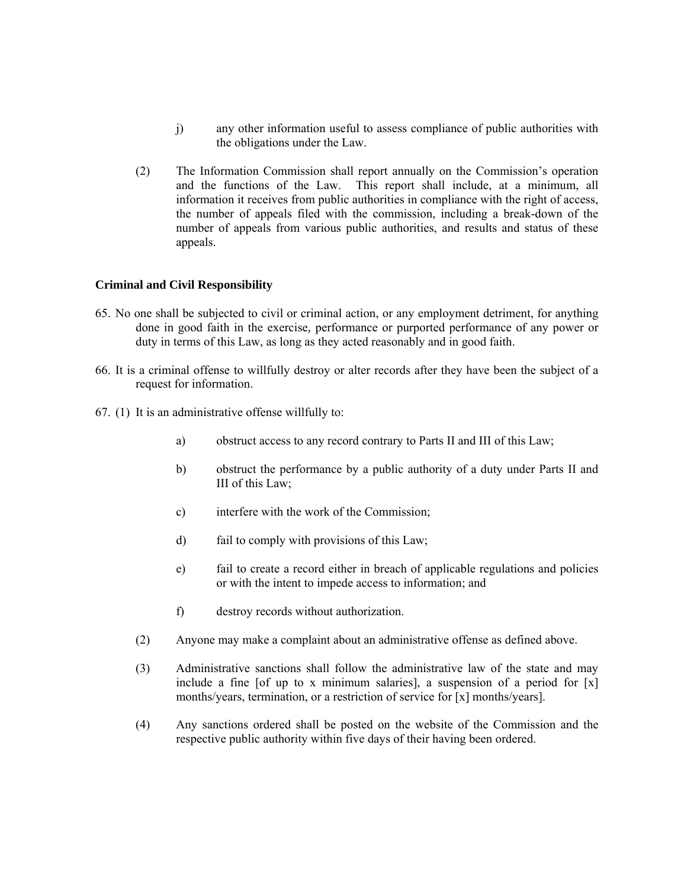- j) any other information useful to assess compliance of public authorities with the obligations under the Law.
- (2) The Information Commission shall report annually on the Commission's operation and the functions of the Law. This report shall include, at a minimum, all information it receives from public authorities in compliance with the right of access, the number of appeals filed with the commission, including a break-down of the number of appeals from various public authorities, and results and status of these appeals.

## **Criminal and Civil Responsibility**

- 65. No one shall be subjected to civil or criminal action, or any employment detriment, for anything done in good faith in the exercise*,* performance or purported performance of any power or duty in terms of this Law, as long as they acted reasonably and in good faith.
- 66. It is a criminal offense to willfully destroy or alter records after they have been the subject of a request for information.
- 67. (1) It is an administrative offense willfully to:
	- a) obstruct access to any record contrary to Parts II and III of this Law;
	- b) obstruct the performance by a public authority of a duty under Parts II and III of this Law;
	- c) interfere with the work of the Commission;
	- d) fail to comply with provisions of this Law;
	- e) fail to create a record either in breach of applicable regulations and policies or with the intent to impede access to information; and
	- f) destroy records without authorization.
	- (2) Anyone may make a complaint about an administrative offense as defined above.
	- (3) Administrative sanctions shall follow the administrative law of the state and may include a fine [of up to x minimum salaries], a suspension of a period for  $[x]$ months/years, termination, or a restriction of service for [x] months/years].
	- (4) Any sanctions ordered shall be posted on the website of the Commission and the respective public authority within five days of their having been ordered.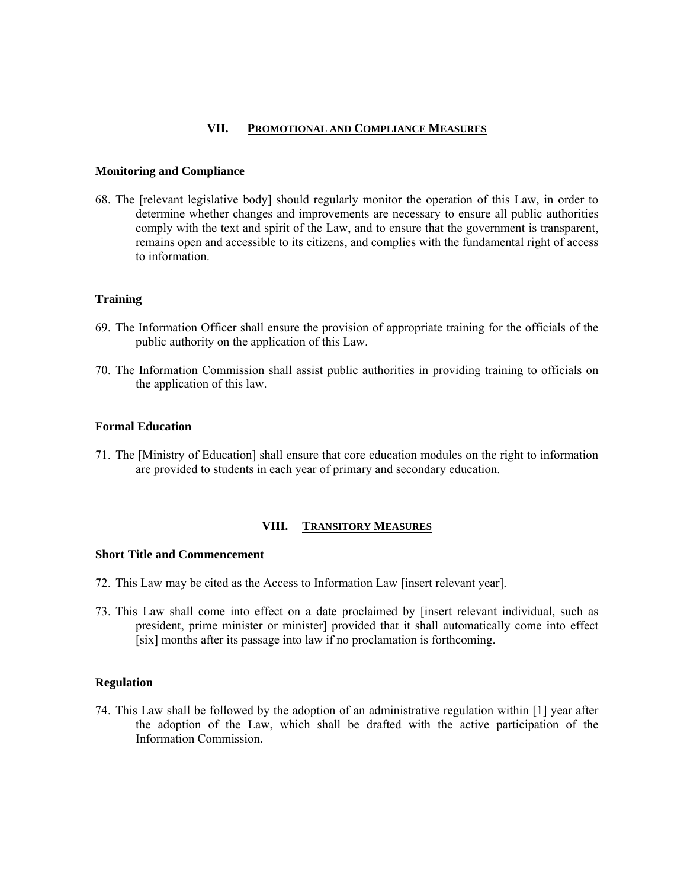## **VII. PROMOTIONAL AND COMPLIANCE MEASURES**

#### **Monitoring and Compliance**

68. The [relevant legislative body] should regularly monitor the operation of this Law, in order to determine whether changes and improvements are necessary to ensure all public authorities comply with the text and spirit of the Law, and to ensure that the government is transparent, remains open and accessible to its citizens, and complies with the fundamental right of access to information.

#### **Training**

- 69. The Information Officer shall ensure the provision of appropriate training for the officials of the public authority on the application of this Law.
- 70. The Information Commission shall assist public authorities in providing training to officials on the application of this law.

### **Formal Education**

71. The [Ministry of Education] shall ensure that core education modules on the right to information are provided to students in each year of primary and secondary education.

### **VIII. TRANSITORY MEASURES**

### **Short Title and Commencement**

- 72. This Law may be cited as the Access to Information Law [insert relevant year].
- 73. This Law shall come into effect on a date proclaimed by [insert relevant individual, such as president, prime minister or minister] provided that it shall automatically come into effect [six] months after its passage into law if no proclamation is forthcoming.

### **Regulation**

74. This Law shall be followed by the adoption of an administrative regulation within [1] year after the adoption of the Law, which shall be drafted with the active participation of the Information Commission.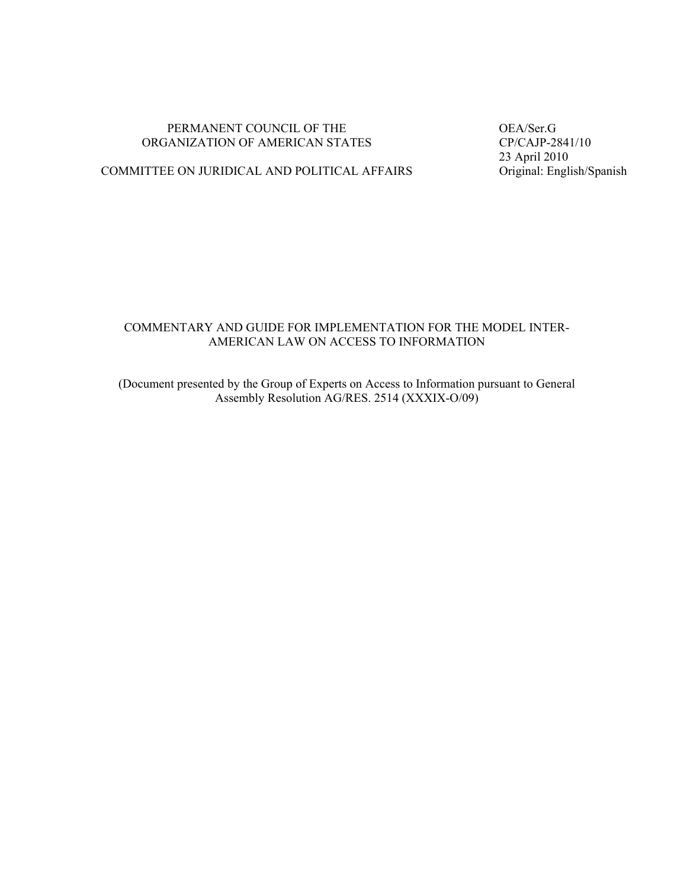### PERMANENT COUNCIL OF THE OEA/Ser.G<br>GANIZATION OF AMERICAN STATES OP/CAJP-2841/10 ORGANIZATION OF AMERICAN STATES

23 April 2010<br>Original: English/Spanish

# COMMITTEE ON JURIDICAL AND POLITICAL AFFAIRS

# COMMENTARY AND GUIDE FOR IMPLEMENTATION FOR THE MODEL INTER-AMERICAN LAW ON ACCESS TO INFORMATION

(Document presented by the Group of Experts on Access to Information pursuant to General Assembly Resolution AG/RES. 2514 (XXXIX-O/09)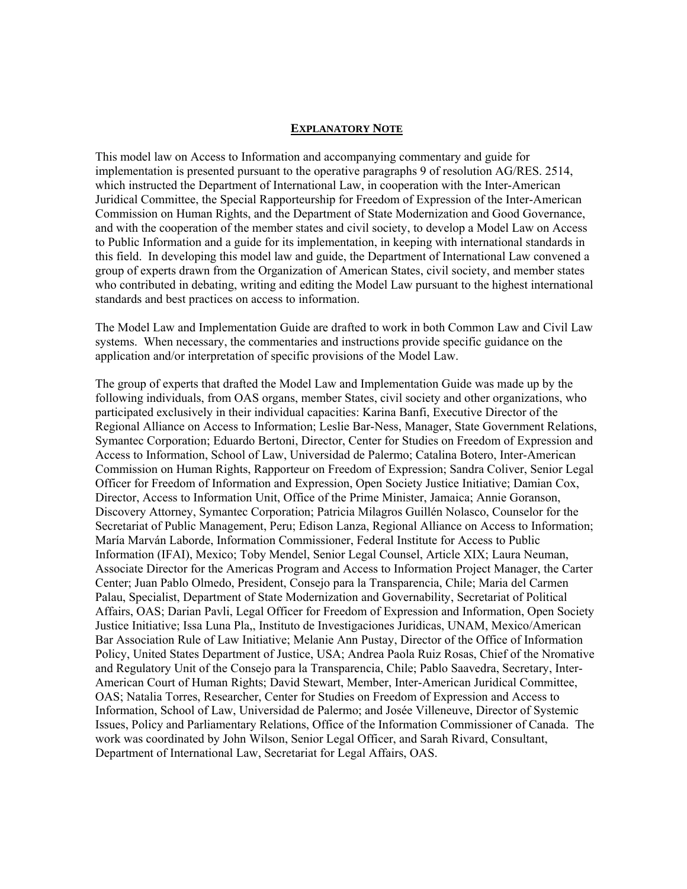### **EXPLANATORY NOTE**

This model law on Access to Information and accompanying commentary and guide for implementation is presented pursuant to the operative paragraphs 9 of resolution AG/RES. 2514, which instructed the Department of International Law, in cooperation with the Inter-American Juridical Committee, the Special Rapporteurship for Freedom of Expression of the Inter-American Commission on Human Rights, and the Department of State Modernization and Good Governance, and with the cooperation of the member states and civil society, to develop a Model Law on Access to Public Information and a guide for its implementation, in keeping with international standards in this field. In developing this model law and guide, the Department of International Law convened a group of experts drawn from the Organization of American States, civil society, and member states who contributed in debating, writing and editing the Model Law pursuant to the highest international standards and best practices on access to information.

The Model Law and Implementation Guide are drafted to work in both Common Law and Civil Law systems. When necessary, the commentaries and instructions provide specific guidance on the application and/or interpretation of specific provisions of the Model Law.

The group of experts that drafted the Model Law and Implementation Guide was made up by the following individuals, from OAS organs, member States, civil society and other organizations, who participated exclusively in their individual capacities: Karina Banfi, Executive Director of the Regional Alliance on Access to Information; Leslie Bar-Ness, Manager, State Government Relations, Symantec Corporation; Eduardo Bertoni, Director, Center for Studies on Freedom of Expression and Access to Information, School of Law, Universidad de Palermo; Catalina Botero, Inter-American Commission on Human Rights, Rapporteur on Freedom of Expression; Sandra Coliver, Senior Legal Officer for Freedom of Information and Expression, Open Society Justice Initiative; Damian Cox, Director, Access to Information Unit, Office of the Prime Minister, Jamaica; Annie Goranson, Discovery Attorney, Symantec Corporation; Patricia Milagros Guillén Nolasco, Counselor for the Secretariat of Public Management, Peru; Edison Lanza, Regional Alliance on Access to Information; María Marván Laborde, Information Commissioner, Federal Institute for Access to Public Information (IFAI), Mexico; Toby Mendel, Senior Legal Counsel, Article XIX; Laura Neuman, Associate Director for the Americas Program and Access to Information Project Manager, the Carter Center; Juan Pablo Olmedo, President, Consejo para la Transparencia, Chile; Maria del Carmen Palau, Specialist, Department of State Modernization and Governability, Secretariat of Political Affairs, OAS; Darian Pavli, Legal Officer for Freedom of Expression and Information, Open Society Justice Initiative; Issa Luna Pla,, Instituto de Investigaciones Juridicas, UNAM, Mexico/American Bar Association Rule of Law Initiative; Melanie Ann Pustay, Director of the Office of Information Policy, United States Department of Justice, USA; Andrea Paola Ruiz Rosas, Chief of the Nromative and Regulatory Unit of the Consejo para la Transparencia, Chile; Pablo Saavedra, Secretary, Inter-American Court of Human Rights; David Stewart, Member, Inter-American Juridical Committee, OAS; Natalia Torres, Researcher, Center for Studies on Freedom of Expression and Access to Information, School of Law, Universidad de Palermo; and Josée Villeneuve, Director of Systemic Issues, Policy and Parliamentary Relations, Office of the Information Commissioner of Canada. The work was coordinated by John Wilson, Senior Legal Officer, and Sarah Rivard, Consultant, Department of International Law, Secretariat for Legal Affairs, OAS.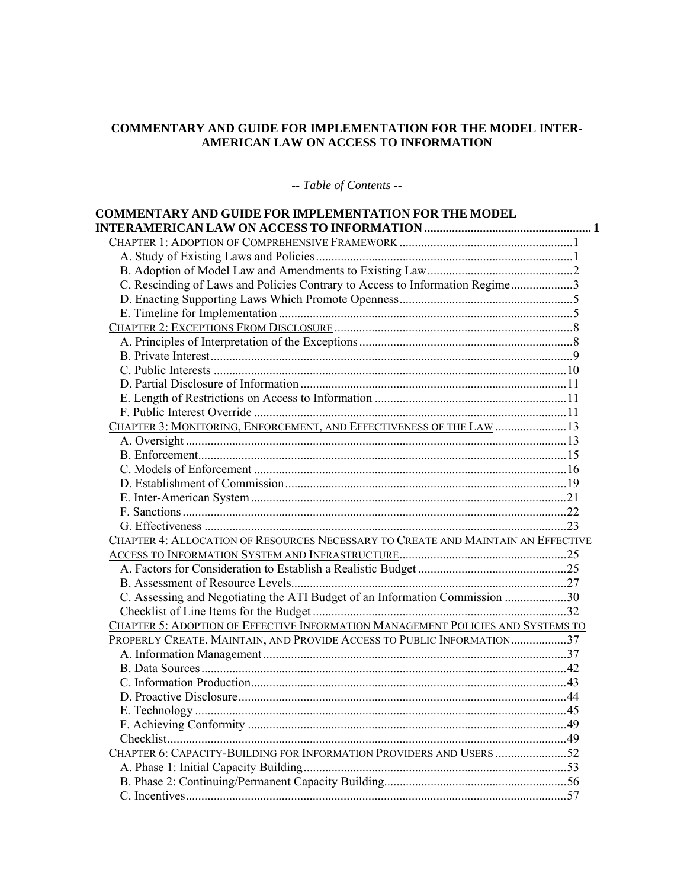## **COMMENTARY AND GUIDE FOR IMPLEMENTATION FOR THE MODEL INTER-AMERICAN LAW ON ACCESS TO INFORMATION**

-- *Table of Contents* --

| <b>COMMENTARY AND GUIDE FOR IMPLEMENTATION FOR THE MODEL</b>                     |  |
|----------------------------------------------------------------------------------|--|
|                                                                                  |  |
|                                                                                  |  |
|                                                                                  |  |
| C. Rescinding of Laws and Policies Contrary to Access to Information Regime3     |  |
|                                                                                  |  |
|                                                                                  |  |
|                                                                                  |  |
|                                                                                  |  |
|                                                                                  |  |
|                                                                                  |  |
|                                                                                  |  |
|                                                                                  |  |
|                                                                                  |  |
| CHAPTER 3: MONITORING, ENFORCEMENT, AND EFFECTIVENESS OF THE LAW 13              |  |
|                                                                                  |  |
|                                                                                  |  |
|                                                                                  |  |
|                                                                                  |  |
|                                                                                  |  |
|                                                                                  |  |
|                                                                                  |  |
| CHAPTER 4: ALLOCATION OF RESOURCES NECESSARY TO CREATE AND MAINTAIN AN EFFECTIVE |  |
|                                                                                  |  |
|                                                                                  |  |
|                                                                                  |  |
| C. Assessing and Negotiating the ATI Budget of an Information Commission 30      |  |
|                                                                                  |  |
| CHAPTER 5: ADOPTION OF EFFECTIVE INFORMATION MANAGEMENT POLICIES AND SYSTEMS TO  |  |
| PROPERLY CREATE, MAINTAIN, AND PROVIDE ACCESS TO PUBLIC INFORMATION37            |  |
|                                                                                  |  |
|                                                                                  |  |
|                                                                                  |  |
|                                                                                  |  |
|                                                                                  |  |
|                                                                                  |  |
|                                                                                  |  |
| CHAPTER 6: CAPACITY-BUILDING FOR INFORMATION PROVIDERS AND USERS 52              |  |
|                                                                                  |  |
|                                                                                  |  |
|                                                                                  |  |
|                                                                                  |  |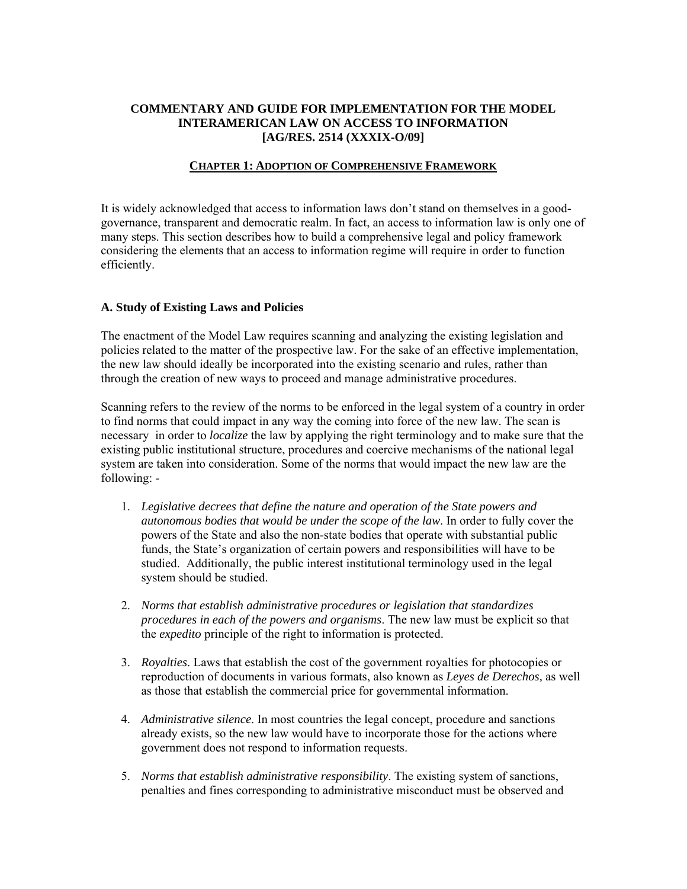# **COMMENTARY AND GUIDE FOR IMPLEMENTATION FOR THE MODEL INTERAMERICAN LAW ON ACCESS TO INFORMATION [AG/RES. 2514 (XXXIX-O/09]**

## **CHAPTER 1: ADOPTION OF COMPREHENSIVE FRAMEWORK**

It is widely acknowledged that access to information laws don't stand on themselves in a goodgovernance, transparent and democratic realm. In fact, an access to information law is only one of many steps. This section describes how to build a comprehensive legal and policy framework considering the elements that an access to information regime will require in order to function efficiently.

## **A. Study of Existing Laws and Policies**

The enactment of the Model Law requires scanning and analyzing the existing legislation and policies related to the matter of the prospective law. For the sake of an effective implementation, the new law should ideally be incorporated into the existing scenario and rules, rather than through the creation of new ways to proceed and manage administrative procedures.

Scanning refers to the review of the norms to be enforced in the legal system of a country in order to find norms that could impact in any way the coming into force of the new law. The scan is necessary in order to *localize* the law by applying the right terminology and to make sure that the existing public institutional structure, procedures and coercive mechanisms of the national legal system are taken into consideration. Some of the norms that would impact the new law are the following: -

- 1. *Legislative decrees that define the nature and operation of the State powers and autonomous bodies that would be under the scope of the law*. In order to fully cover the powers of the State and also the non-state bodies that operate with substantial public funds, the State's organization of certain powers and responsibilities will have to be studied. Additionally, the public interest institutional terminology used in the legal system should be studied.
- 2. *Norms that establish administrative procedures or legislation that standardizes procedures in each of the powers and organisms*. The new law must be explicit so that the *expedito* principle of the right to information is protected.
- 3. *Royalties*. Laws that establish the cost of the government royalties for photocopies or reproduction of documents in various formats, also known as *Leyes de Derechos,* as well as those that establish the commercial price for governmental information.
- 4. *Administrative silence*. In most countries the legal concept, procedure and sanctions already exists, so the new law would have to incorporate those for the actions where government does not respond to information requests.
- 5. *Norms that establish administrative responsibility*. The existing system of sanctions, penalties and fines corresponding to administrative misconduct must be observed and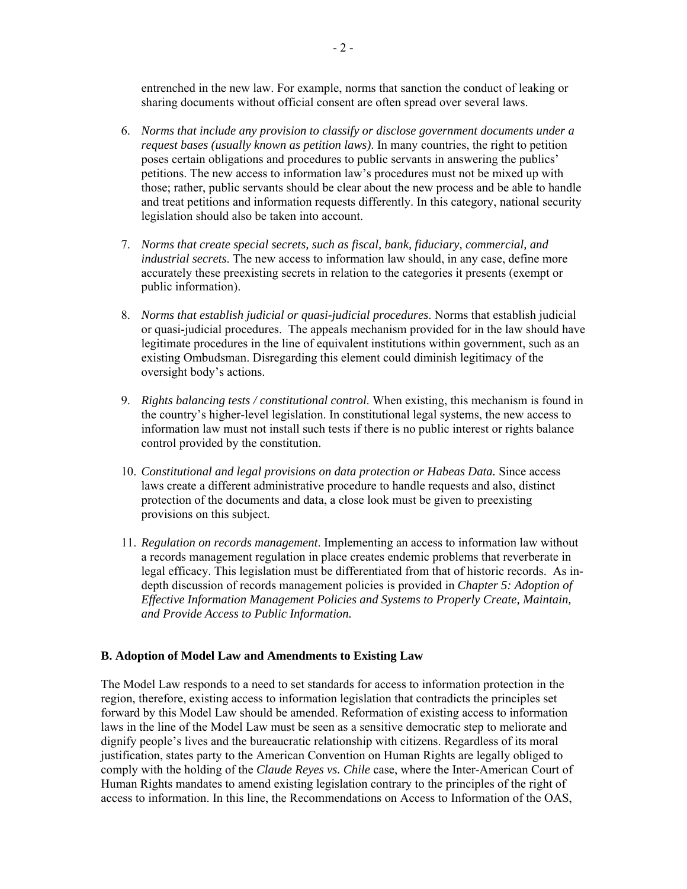entrenched in the new law. For example, norms that sanction the conduct of leaking or sharing documents without official consent are often spread over several laws.

- 6. *Norms that include any provision to classify or disclose government documents under a request bases (usually known as petition laws)*. In many countries, the right to petition poses certain obligations and procedures to public servants in answering the publics' petitions. The new access to information law's procedures must not be mixed up with those; rather, public servants should be clear about the new process and be able to handle and treat petitions and information requests differently. In this category, national security legislation should also be taken into account.
- 7. *Norms that create special secrets, such as fiscal, bank, fiduciary, commercial, and industrial secrets*. The new access to information law should, in any case, define more accurately these preexisting secrets in relation to the categories it presents (exempt or public information).
- 8. *Norms that establish judicial or quasi-judicial procedures*. Norms that establish judicial or quasi-judicial procedures. The appeals mechanism provided for in the law should have legitimate procedures in the line of equivalent institutions within government, such as an existing Ombudsman. Disregarding this element could diminish legitimacy of the oversight body's actions.
- 9. *Rights balancing tests / constitutional control*. When existing, this mechanism is found in the country's higher-level legislation. In constitutional legal systems, the new access to information law must not install such tests if there is no public interest or rights balance control provided by the constitution.
- 10. *Constitutional and legal provisions on data protection or Habeas Data.* Since access laws create a different administrative procedure to handle requests and also, distinct protection of the documents and data, a close look must be given to preexisting provisions on this subject*.*
- 11. *Regulation on records management*. Implementing an access to information law without a records management regulation in place creates endemic problems that reverberate in legal efficacy. This legislation must be differentiated from that of historic records. As indepth discussion of records management policies is provided in *Chapter 5: Adoption of Effective Information Management Policies and Systems to Properly Create, Maintain, and Provide Access to Public Information.*

## **B. Adoption of Model Law and Amendments to Existing Law**

The Model Law responds to a need to set standards for access to information protection in the region, therefore, existing access to information legislation that contradicts the principles set forward by this Model Law should be amended. Reformation of existing access to information laws in the line of the Model Law must be seen as a sensitive democratic step to meliorate and dignify people's lives and the bureaucratic relationship with citizens. Regardless of its moral justification, states party to the American Convention on Human Rights are legally obliged to comply with the holding of the *Claude Reyes vs. Chile* case, where the Inter-American Court of Human Rights mandates to amend existing legislation contrary to the principles of the right of access to information. In this line, the Recommendations on Access to Information of the OAS,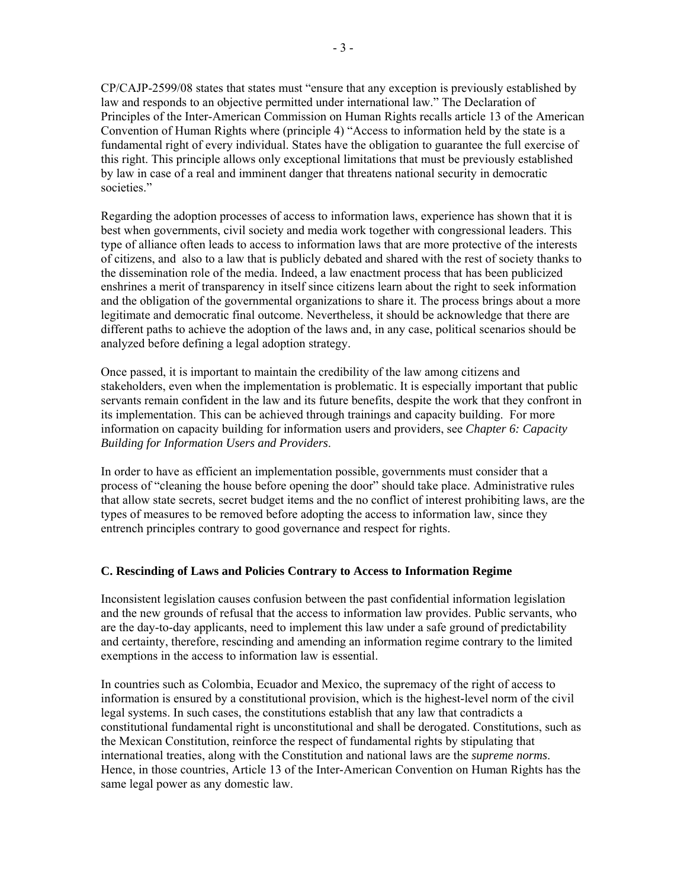CP/CAJP-2599/08 states that states must "ensure that any exception is previously established by law and responds to an objective permitted under international law." The Declaration of Principles of the Inter-American Commission on Human Rights recalls article 13 of the American Convention of Human Rights where (principle 4) "Access to information held by the state is a fundamental right of every individual. States have the obligation to guarantee the full exercise of this right. This principle allows only exceptional limitations that must be previously established by law in case of a real and imminent danger that threatens national security in democratic societies."

Regarding the adoption processes of access to information laws, experience has shown that it is best when governments, civil society and media work together with congressional leaders. This type of alliance often leads to access to information laws that are more protective of the interests of citizens, and also to a law that is publicly debated and shared with the rest of society thanks to the dissemination role of the media. Indeed, a law enactment process that has been publicized enshrines a merit of transparency in itself since citizens learn about the right to seek information and the obligation of the governmental organizations to share it. The process brings about a more legitimate and democratic final outcome. Nevertheless, it should be acknowledge that there are different paths to achieve the adoption of the laws and, in any case, political scenarios should be analyzed before defining a legal adoption strategy.

Once passed, it is important to maintain the credibility of the law among citizens and stakeholders, even when the implementation is problematic. It is especially important that public servants remain confident in the law and its future benefits, despite the work that they confront in its implementation. This can be achieved through trainings and capacity building. For more information on capacity building for information users and providers, see *Chapter 6: Capacity Building for Information Users and Providers*.

In order to have as efficient an implementation possible, governments must consider that a process of "cleaning the house before opening the door" should take place. Administrative rules that allow state secrets, secret budget items and the no conflict of interest prohibiting laws, are the types of measures to be removed before adopting the access to information law, since they entrench principles contrary to good governance and respect for rights.

## **C. Rescinding of Laws and Policies Contrary to Access to Information Regime**

Inconsistent legislation causes confusion between the past confidential information legislation and the new grounds of refusal that the access to information law provides. Public servants, who are the day-to-day applicants, need to implement this law under a safe ground of predictability and certainty, therefore, rescinding and amending an information regime contrary to the limited exemptions in the access to information law is essential.

In countries such as Colombia, Ecuador and Mexico, the supremacy of the right of access to information is ensured by a constitutional provision, which is the highest-level norm of the civil legal systems. In such cases, the constitutions establish that any law that contradicts a constitutional fundamental right is unconstitutional and shall be derogated. Constitutions, such as the Mexican Constitution, reinforce the respect of fundamental rights by stipulating that international treaties, along with the Constitution and national laws are the *supreme norms*. Hence, in those countries, Article 13 of the Inter-American Convention on Human Rights has the same legal power as any domestic law.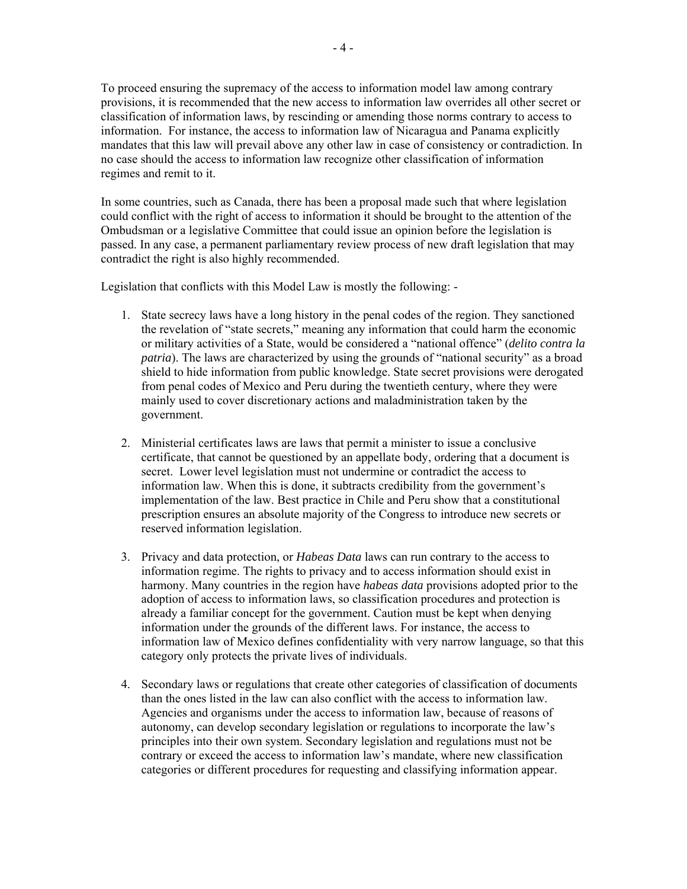To proceed ensuring the supremacy of the access to information model law among contrary provisions, it is recommended that the new access to information law overrides all other secret or classification of information laws, by rescinding or amending those norms contrary to access to information. For instance, the access to information law of Nicaragua and Panama explicitly mandates that this law will prevail above any other law in case of consistency or contradiction. In no case should the access to information law recognize other classification of information regimes and remit to it.

In some countries, such as Canada, there has been a proposal made such that where legislation could conflict with the right of access to information it should be brought to the attention of the Ombudsman or a legislative Committee that could issue an opinion before the legislation is passed. In any case, a permanent parliamentary review process of new draft legislation that may contradict the right is also highly recommended.

Legislation that conflicts with this Model Law is mostly the following: -

- 1. State secrecy laws have a long history in the penal codes of the region. They sanctioned the revelation of "state secrets," meaning any information that could harm the economic or military activities of a State, would be considered a "national offence" (*delito contra la patria*). The laws are characterized by using the grounds of "national security" as a broad shield to hide information from public knowledge. State secret provisions were derogated from penal codes of Mexico and Peru during the twentieth century, where they were mainly used to cover discretionary actions and maladministration taken by the government.
- 2. Ministerial certificates laws are laws that permit a minister to issue a conclusive certificate, that cannot be questioned by an appellate body, ordering that a document is secret. Lower level legislation must not undermine or contradict the access to information law. When this is done, it subtracts credibility from the government's implementation of the law. Best practice in Chile and Peru show that a constitutional prescription ensures an absolute majority of the Congress to introduce new secrets or reserved information legislation.
- 3. Privacy and data protection, or *Habeas Data* laws can run contrary to the access to information regime. The rights to privacy and to access information should exist in harmony. Many countries in the region have *habeas data* provisions adopted prior to the adoption of access to information laws, so classification procedures and protection is already a familiar concept for the government. Caution must be kept when denying information under the grounds of the different laws. For instance, the access to information law of Mexico defines confidentiality with very narrow language, so that this category only protects the private lives of individuals.
- 4. Secondary laws or regulations that create other categories of classification of documents than the ones listed in the law can also conflict with the access to information law. Agencies and organisms under the access to information law, because of reasons of autonomy, can develop secondary legislation or regulations to incorporate the law's principles into their own system. Secondary legislation and regulations must not be contrary or exceed the access to information law's mandate, where new classification categories or different procedures for requesting and classifying information appear.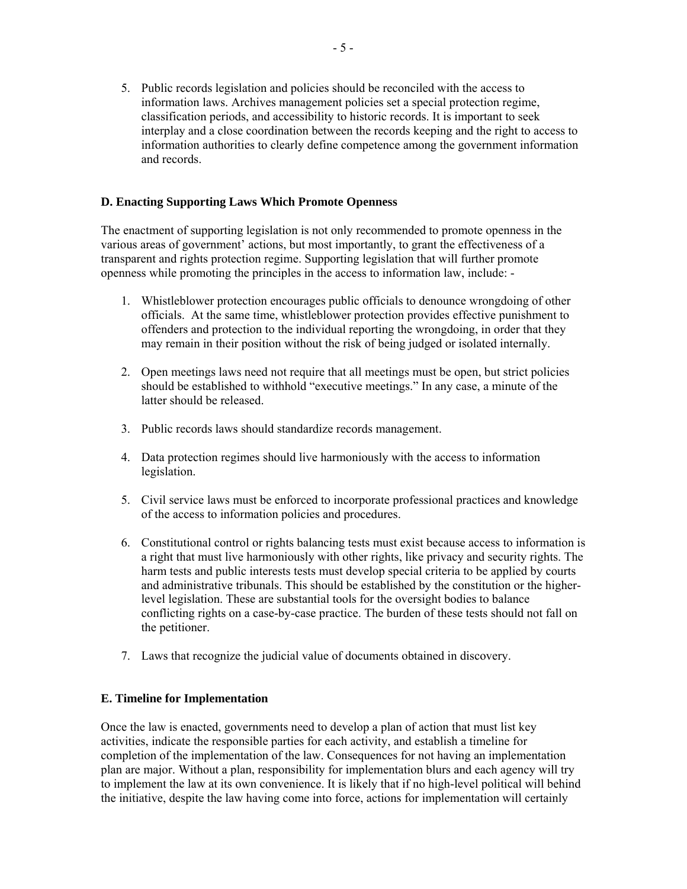5. Public records legislation and policies should be reconciled with the access to information laws. Archives management policies set a special protection regime, classification periods, and accessibility to historic records. It is important to seek interplay and a close coordination between the records keeping and the right to access to information authorities to clearly define competence among the government information and records.

# **D. Enacting Supporting Laws Which Promote Openness**

The enactment of supporting legislation is not only recommended to promote openness in the various areas of government' actions, but most importantly, to grant the effectiveness of a transparent and rights protection regime. Supporting legislation that will further promote openness while promoting the principles in the access to information law, include: -

- 1. Whistleblower protection encourages public officials to denounce wrongdoing of other officials. At the same time, whistleblower protection provides effective punishment to offenders and protection to the individual reporting the wrongdoing, in order that they may remain in their position without the risk of being judged or isolated internally.
- 2. Open meetings laws need not require that all meetings must be open, but strict policies should be established to withhold "executive meetings." In any case, a minute of the latter should be released.
- 3. Public records laws should standardize records management.
- 4. Data protection regimes should live harmoniously with the access to information legislation.
- 5. Civil service laws must be enforced to incorporate professional practices and knowledge of the access to information policies and procedures.
- 6. Constitutional control or rights balancing tests must exist because access to information is a right that must live harmoniously with other rights, like privacy and security rights. The harm tests and public interests tests must develop special criteria to be applied by courts and administrative tribunals. This should be established by the constitution or the higherlevel legislation. These are substantial tools for the oversight bodies to balance conflicting rights on a case-by-case practice. The burden of these tests should not fall on the petitioner.
- 7. Laws that recognize the judicial value of documents obtained in discovery.

## **E. Timeline for Implementation**

Once the law is enacted, governments need to develop a plan of action that must list key activities, indicate the responsible parties for each activity, and establish a timeline for completion of the implementation of the law. Consequences for not having an implementation plan are major. Without a plan, responsibility for implementation blurs and each agency will try to implement the law at its own convenience. It is likely that if no high-level political will behind the initiative, despite the law having come into force, actions for implementation will certainly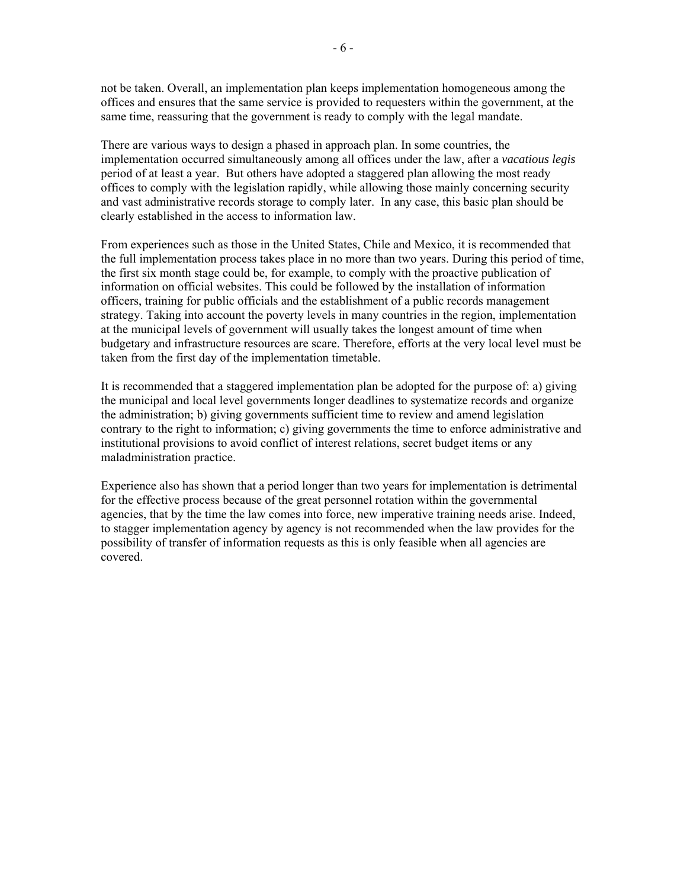not be taken. Overall, an implementation plan keeps implementation homogeneous among the offices and ensures that the same service is provided to requesters within the government, at the same time, reassuring that the government is ready to comply with the legal mandate.

There are various ways to design a phased in approach plan. In some countries, the implementation occurred simultaneously among all offices under the law, after a *vacatious legis* period of at least a year. But others have adopted a staggered plan allowing the most ready offices to comply with the legislation rapidly, while allowing those mainly concerning security and vast administrative records storage to comply later. In any case, this basic plan should be clearly established in the access to information law.

From experiences such as those in the United States, Chile and Mexico, it is recommended that the full implementation process takes place in no more than two years. During this period of time, the first six month stage could be, for example, to comply with the proactive publication of information on official websites. This could be followed by the installation of information officers, training for public officials and the establishment of a public records management strategy. Taking into account the poverty levels in many countries in the region, implementation at the municipal levels of government will usually takes the longest amount of time when budgetary and infrastructure resources are scare. Therefore, efforts at the very local level must be taken from the first day of the implementation timetable.

It is recommended that a staggered implementation plan be adopted for the purpose of: a) giving the municipal and local level governments longer deadlines to systematize records and organize the administration; b) giving governments sufficient time to review and amend legislation contrary to the right to information; c) giving governments the time to enforce administrative and institutional provisions to avoid conflict of interest relations, secret budget items or any maladministration practice.

Experience also has shown that a period longer than two years for implementation is detrimental for the effective process because of the great personnel rotation within the governmental agencies, that by the time the law comes into force, new imperative training needs arise. Indeed, to stagger implementation agency by agency is not recommended when the law provides for the possibility of transfer of information requests as this is only feasible when all agencies are covered.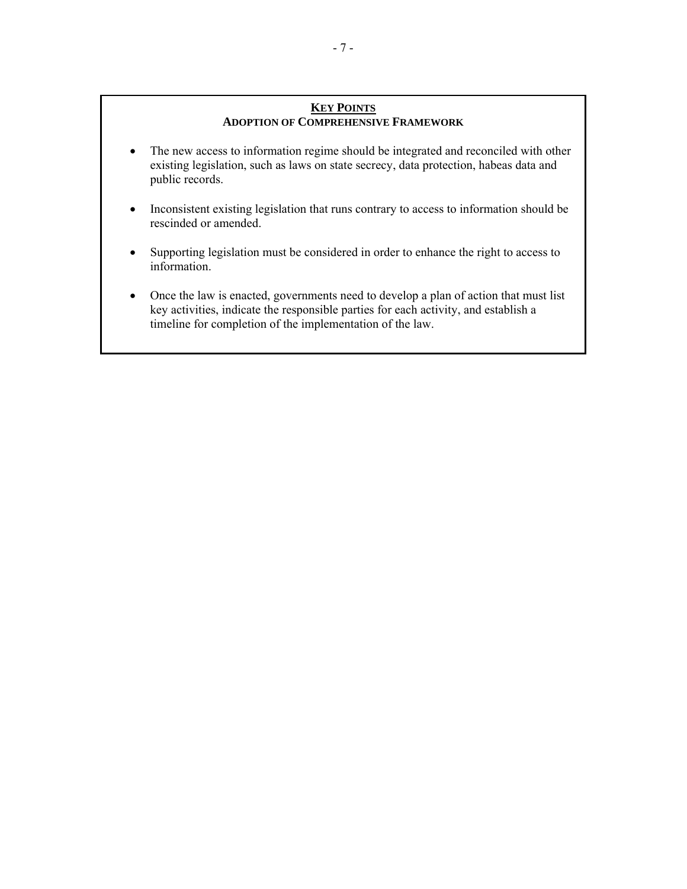## **KEY POINTS ADOPTION OF COMPREHENSIVE FRAMEWORK**

- The new access to information regime should be integrated and reconciled with other existing legislation, such as laws on state secrecy, data protection, habeas data and public records.
- Inconsistent existing legislation that runs contrary to access to information should be rescinded or amended.
- Supporting legislation must be considered in order to enhance the right to access to information.
- Once the law is enacted, governments need to develop a plan of action that must list key activities, indicate the responsible parties for each activity, and establish a timeline for completion of the implementation of the law.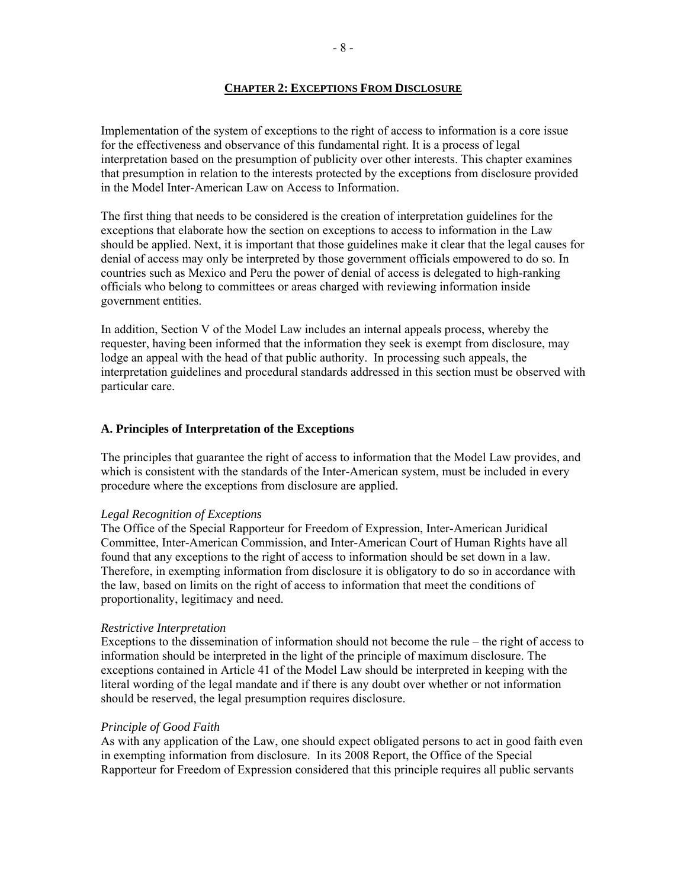### **CHAPTER 2: EXCEPTIONS FROM DISCLOSURE**

Implementation of the system of exceptions to the right of access to information is a core issue for the effectiveness and observance of this fundamental right. It is a process of legal interpretation based on the presumption of publicity over other interests. This chapter examines that presumption in relation to the interests protected by the exceptions from disclosure provided in the Model Inter-American Law on Access to Information.

The first thing that needs to be considered is the creation of interpretation guidelines for the exceptions that elaborate how the section on exceptions to access to information in the Law should be applied. Next, it is important that those guidelines make it clear that the legal causes for denial of access may only be interpreted by those government officials empowered to do so. In countries such as Mexico and Peru the power of denial of access is delegated to high-ranking officials who belong to committees or areas charged with reviewing information inside government entities.

In addition, Section V of the Model Law includes an internal appeals process, whereby the requester, having been informed that the information they seek is exempt from disclosure, may lodge an appeal with the head of that public authority. In processing such appeals, the interpretation guidelines and procedural standards addressed in this section must be observed with particular care.

## **A. Principles of Interpretation of the Exceptions**

The principles that guarantee the right of access to information that the Model Law provides, and which is consistent with the standards of the Inter-American system, must be included in every procedure where the exceptions from disclosure are applied.

## *Legal Recognition of Exceptions*

The Office of the Special Rapporteur for Freedom of Expression, Inter-American Juridical Committee, Inter-American Commission, and Inter-American Court of Human Rights have all found that any exceptions to the right of access to information should be set down in a law. Therefore, in exempting information from disclosure it is obligatory to do so in accordance with the law, based on limits on the right of access to information that meet the conditions of proportionality, legitimacy and need.

### *Restrictive Interpretation*

Exceptions to the dissemination of information should not become the rule – the right of access to information should be interpreted in the light of the principle of maximum disclosure. The exceptions contained in Article 41 of the Model Law should be interpreted in keeping with the literal wording of the legal mandate and if there is any doubt over whether or not information should be reserved, the legal presumption requires disclosure.

### *Principle of Good Faith*

As with any application of the Law, one should expect obligated persons to act in good faith even in exempting information from disclosure. In its 2008 Report, the Office of the Special Rapporteur for Freedom of Expression considered that this principle requires all public servants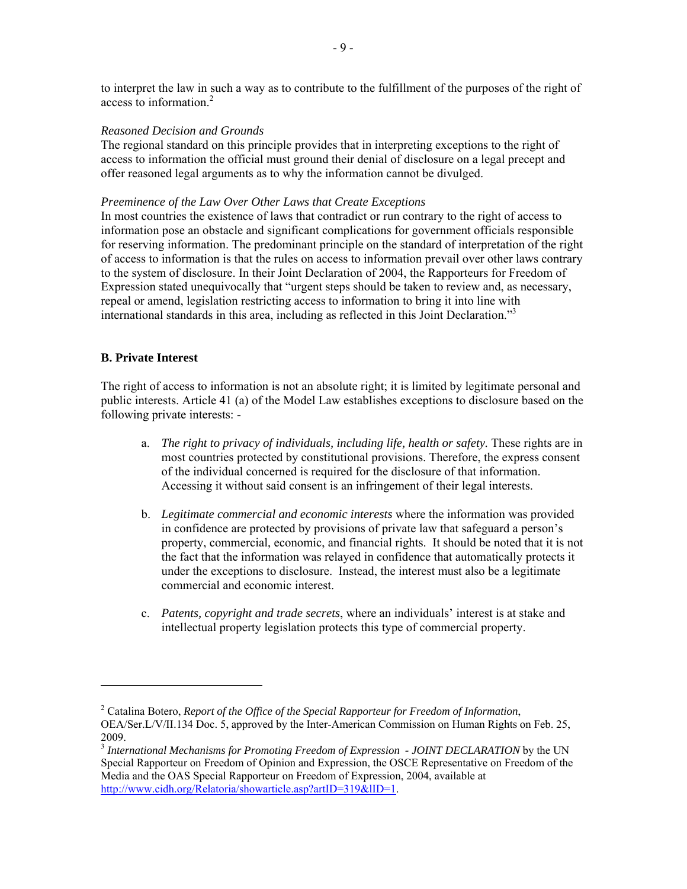to interpret the law in such a way as to contribute to the fulfillment of the purposes of the right of access to information<sup>2</sup>

#### *Reasoned Decision and Grounds*

The regional standard on this principle provides that in interpreting exceptions to the right of access to information the official must ground their denial of disclosure on a legal precept and offer reasoned legal arguments as to why the information cannot be divulged.

#### *Preeminence of the Law Over Other Laws that Create Exceptions*

In most countries the existence of laws that contradict or run contrary to the right of access to information pose an obstacle and significant complications for government officials responsible for reserving information. The predominant principle on the standard of interpretation of the right of access to information is that the rules on access to information prevail over other laws contrary to the system of disclosure. In their Joint Declaration of 2004, the Rapporteurs for Freedom of Expression stated unequivocally that "urgent steps should be taken to review and, as necessary, repeal or amend, legislation restricting access to information to bring it into line with international standards in this area, including as reflected in this Joint Declaration."3

## **B. Private Interest**

The right of access to information is not an absolute right; it is limited by legitimate personal and public interests. Article 41 (a) of the Model Law establishes exceptions to disclosure based on the following private interests: -

- a. *The right to privacy of individuals, including life, health or safety.* These rights are in most countries protected by constitutional provisions. Therefore, the express consent of the individual concerned is required for the disclosure of that information. Accessing it without said consent is an infringement of their legal interests.
- b. *Legitimate commercial and economic interests* where the information was provided in confidence are protected by provisions of private law that safeguard a person's property, commercial, economic, and financial rights. It should be noted that it is not the fact that the information was relayed in confidence that automatically protects it under the exceptions to disclosure. Instead, the interest must also be a legitimate commercial and economic interest.
- c. *Patents, copyright and trade secrets*, where an individuals' interest is at stake and intellectual property legislation protects this type of commercial property.

<sup>2</sup> Catalina Botero, *Report of the Office of the Special Rapporteur for Freedom of Information*, OEA/Ser.L/V/II.134 Doc. 5, approved by the Inter-American Commission on Human Rights on Feb. 25, 2009.

<sup>3</sup> *International Mechanisms for Promoting Freedom of Expression - JOINT DECLARATION* by the UN Special Rapporteur on Freedom of Opinion and Expression, the OSCE Representative on Freedom of the Media and the OAS Special Rapporteur on Freedom of Expression, 2004, available at http://www.cidh.org/Relatoria/showarticle.asp?artID=319&lID=1.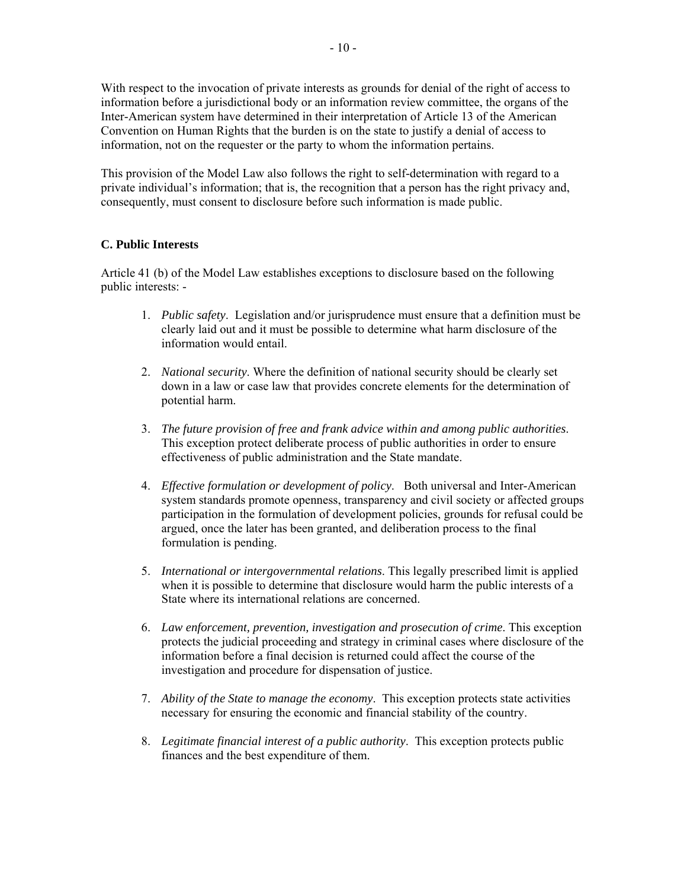With respect to the invocation of private interests as grounds for denial of the right of access to information before a jurisdictional body or an information review committee, the organs of the Inter-American system have determined in their interpretation of Article 13 of the American Convention on Human Rights that the burden is on the state to justify a denial of access to information, not on the requester or the party to whom the information pertains.

This provision of the Model Law also follows the right to self-determination with regard to a private individual's information; that is, the recognition that a person has the right privacy and, consequently, must consent to disclosure before such information is made public.

## **C. Public Interests**

Article 41 (b) of the Model Law establishes exceptions to disclosure based on the following public interests: -

- 1. *Public safety*. Legislation and/or jurisprudence must ensure that a definition must be clearly laid out and it must be possible to determine what harm disclosure of the information would entail.
- 2. *National security*. Where the definition of national security should be clearly set down in a law or case law that provides concrete elements for the determination of potential harm.
- 3. *The future provision of free and frank advice within and among public authorities*. This exception protect deliberate process of public authorities in order to ensure effectiveness of public administration and the State mandate.
- 4. *Effective formulation or development of policy*. Both universal and Inter-American system standards promote openness, transparency and civil society or affected groups participation in the formulation of development policies, grounds for refusal could be argued, once the later has been granted, and deliberation process to the final formulation is pending.
- 5. *International or intergovernmental relations*. This legally prescribed limit is applied when it is possible to determine that disclosure would harm the public interests of a State where its international relations are concerned.
- 6. *Law enforcement, prevention, investigation and prosecution of crime*. This exception protects the judicial proceeding and strategy in criminal cases where disclosure of the information before a final decision is returned could affect the course of the investigation and procedure for dispensation of justice.
- 7. *Ability of the State to manage the economy*. This exception protects state activities necessary for ensuring the economic and financial stability of the country.
- 8. *Legitimate financial interest of a public authority*. This exception protects public finances and the best expenditure of them.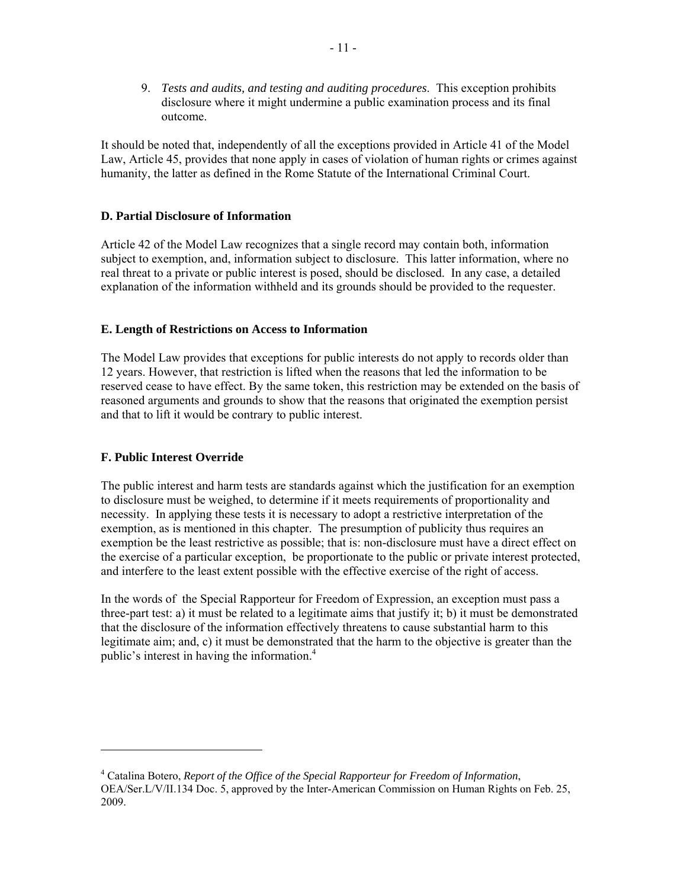9. *Tests and audits, and testing and auditing procedures*. This exception prohibits disclosure where it might undermine a public examination process and its final outcome.

It should be noted that, independently of all the exceptions provided in Article 41 of the Model Law, Article 45, provides that none apply in cases of violation of human rights or crimes against humanity, the latter as defined in the Rome Statute of the International Criminal Court.

## **D. Partial Disclosure of Information**

Article 42 of the Model Law recognizes that a single record may contain both, information subject to exemption, and, information subject to disclosure. This latter information, where no real threat to a private or public interest is posed, should be disclosed. In any case, a detailed explanation of the information withheld and its grounds should be provided to the requester.

## **E. Length of Restrictions on Access to Information**

The Model Law provides that exceptions for public interests do not apply to records older than 12 years. However, that restriction is lifted when the reasons that led the information to be reserved cease to have effect. By the same token, this restriction may be extended on the basis of reasoned arguments and grounds to show that the reasons that originated the exemption persist and that to lift it would be contrary to public interest.

## **F. Public Interest Override**

The public interest and harm tests are standards against which the justification for an exemption to disclosure must be weighed, to determine if it meets requirements of proportionality and necessity. In applying these tests it is necessary to adopt a restrictive interpretation of the exemption, as is mentioned in this chapter. The presumption of publicity thus requires an exemption be the least restrictive as possible; that is: non-disclosure must have a direct effect on the exercise of a particular exception, be proportionate to the public or private interest protected, and interfere to the least extent possible with the effective exercise of the right of access.

In the words of the Special Rapporteur for Freedom of Expression, an exception must pass a three-part test: a) it must be related to a legitimate aims that justify it; b) it must be demonstrated that the disclosure of the information effectively threatens to cause substantial harm to this legitimate aim; and, c) it must be demonstrated that the harm to the objective is greater than the public's interest in having the information. $4$ 

<sup>4</sup> Catalina Botero, *Report of the Office of the Special Rapporteur for Freedom of Information*, OEA/Ser.L/V/II.134 Doc. 5, approved by the Inter-American Commission on Human Rights on Feb. 25, 2009.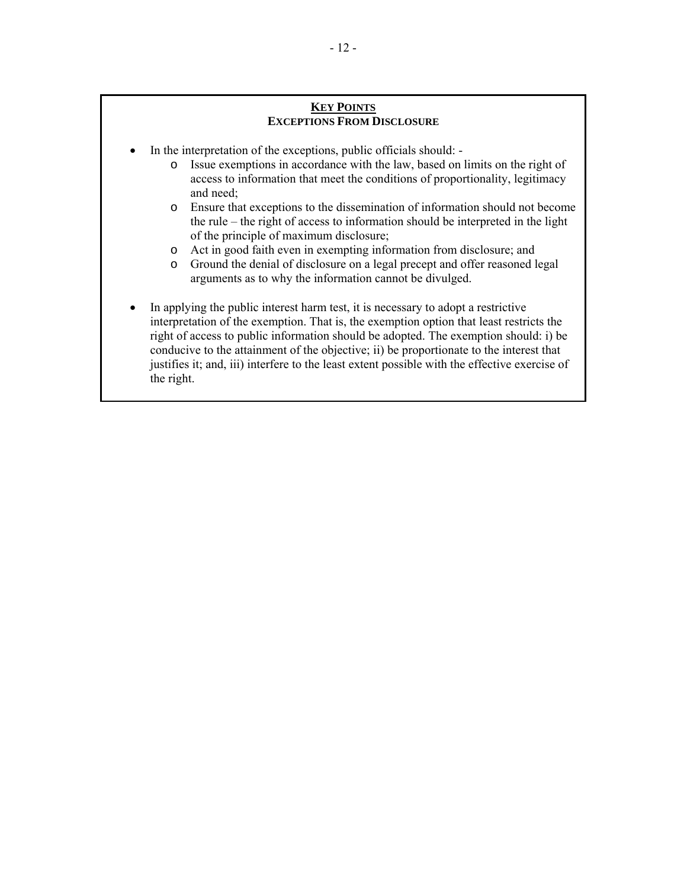## **KEY POINTS EXCEPTIONS FROM DISCLOSURE**

- In the interpretation of the exceptions, public officials should:
	- o Issue exemptions in accordance with the law, based on limits on the right of access to information that meet the conditions of proportionality, legitimacy and need;
	- o Ensure that exceptions to the dissemination of information should not become the rule – the right of access to information should be interpreted in the light of the principle of maximum disclosure;
	- o Act in good faith even in exempting information from disclosure; and
	- o Ground the denial of disclosure on a legal precept and offer reasoned legal arguments as to why the information cannot be divulged.
- In applying the public interest harm test, it is necessary to adopt a restrictive interpretation of the exemption. That is, the exemption option that least restricts the right of access to public information should be adopted. The exemption should: i) be conducive to the attainment of the objective; ii) be proportionate to the interest that justifies it; and, iii) interfere to the least extent possible with the effective exercise of the right.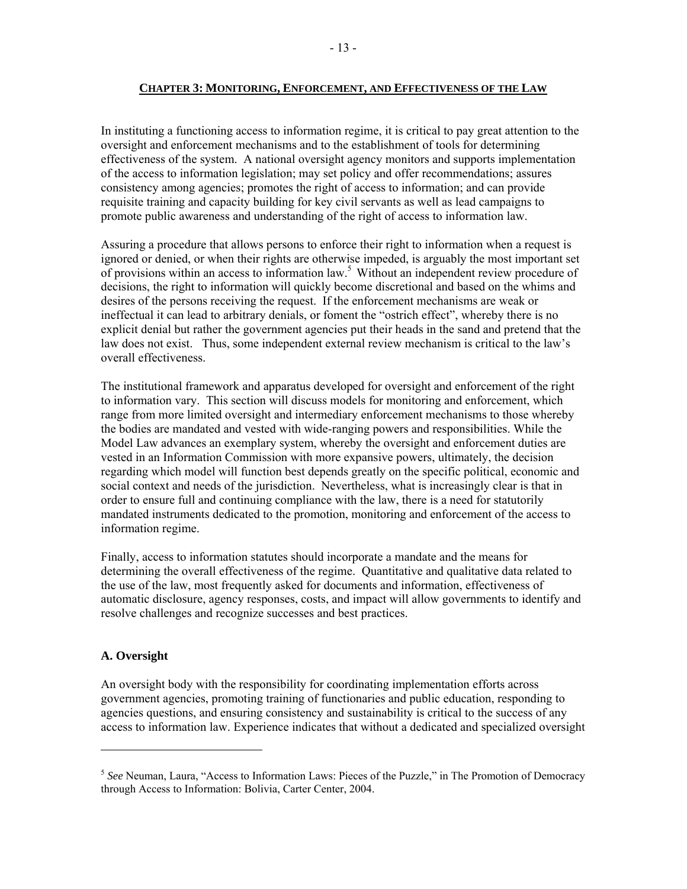### **CHAPTER 3: MONITORING, ENFORCEMENT, AND EFFECTIVENESS OF THE LAW**

In instituting a functioning access to information regime, it is critical to pay great attention to the oversight and enforcement mechanisms and to the establishment of tools for determining effectiveness of the system. A national oversight agency monitors and supports implementation of the access to information legislation; may set policy and offer recommendations; assures consistency among agencies; promotes the right of access to information; and can provide requisite training and capacity building for key civil servants as well as lead campaigns to promote public awareness and understanding of the right of access to information law.

Assuring a procedure that allows persons to enforce their right to information when a request is ignored or denied, or when their rights are otherwise impeded, is arguably the most important set of provisions within an access to information law.<sup>5</sup> Without an independent review procedure of decisions, the right to information will quickly become discretional and based on the whims and desires of the persons receiving the request. If the enforcement mechanisms are weak or ineffectual it can lead to arbitrary denials, or foment the "ostrich effect", whereby there is no explicit denial but rather the government agencies put their heads in the sand and pretend that the law does not exist. Thus, some independent external review mechanism is critical to the law's overall effectiveness.

The institutional framework and apparatus developed for oversight and enforcement of the right to information vary. This section will discuss models for monitoring and enforcement, which range from more limited oversight and intermediary enforcement mechanisms to those whereby the bodies are mandated and vested with wide-ranging powers and responsibilities. While the Model Law advances an exemplary system, whereby the oversight and enforcement duties are vested in an Information Commission with more expansive powers, ultimately, the decision regarding which model will function best depends greatly on the specific political, economic and social context and needs of the jurisdiction. Nevertheless, what is increasingly clear is that in order to ensure full and continuing compliance with the law, there is a need for statutorily mandated instruments dedicated to the promotion, monitoring and enforcement of the access to information regime.

Finally, access to information statutes should incorporate a mandate and the means for determining the overall effectiveness of the regime. Quantitative and qualitative data related to the use of the law, most frequently asked for documents and information, effectiveness of automatic disclosure, agency responses, costs, and impact will allow governments to identify and resolve challenges and recognize successes and best practices.

## **A. Oversight**

An oversight body with the responsibility for coordinating implementation efforts across government agencies, promoting training of functionaries and public education, responding to agencies questions, and ensuring consistency and sustainability is critical to the success of any access to information law. Experience indicates that without a dedicated and specialized oversight

<sup>5</sup> *See* Neuman, Laura, "Access to Information Laws: Pieces of the Puzzle," in The Promotion of Democracy through Access to Information: Bolivia, Carter Center, 2004.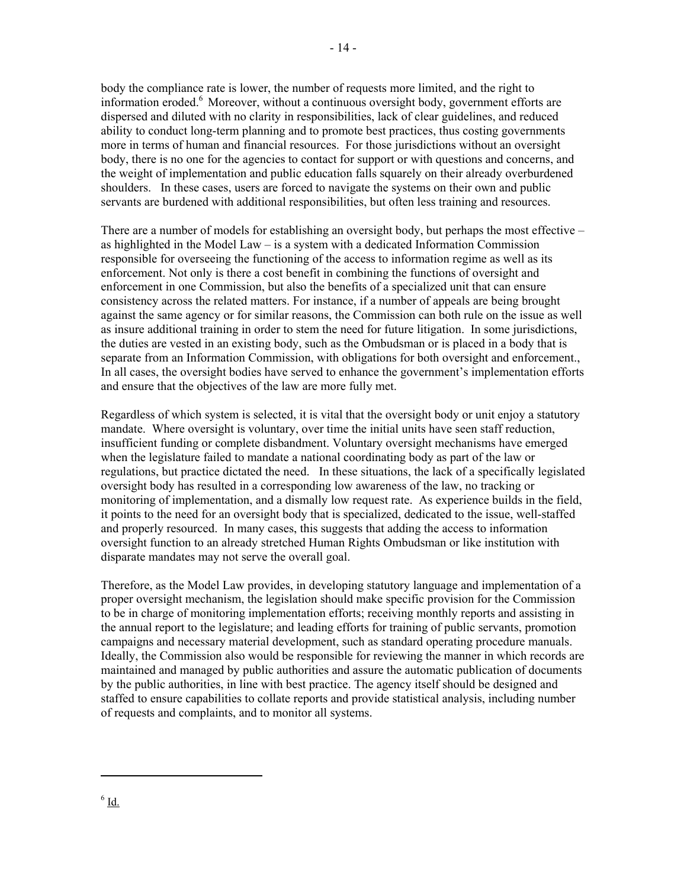body the compliance rate is lower, the number of requests more limited, and the right to information eroded. $6$  Moreover, without a continuous oversight body, government efforts are dispersed and diluted with no clarity in responsibilities, lack of clear guidelines, and reduced ability to conduct long-term planning and to promote best practices, thus costing governments more in terms of human and financial resources. For those jurisdictions without an oversight body, there is no one for the agencies to contact for support or with questions and concerns, and the weight of implementation and public education falls squarely on their already overburdened shoulders. In these cases, users are forced to navigate the systems on their own and public servants are burdened with additional responsibilities, but often less training and resources.

There are a number of models for establishing an oversight body, but perhaps the most effective – as highlighted in the Model Law – is a system with a dedicated Information Commission responsible for overseeing the functioning of the access to information regime as well as its enforcement. Not only is there a cost benefit in combining the functions of oversight and enforcement in one Commission, but also the benefits of a specialized unit that can ensure consistency across the related matters. For instance, if a number of appeals are being brought against the same agency or for similar reasons, the Commission can both rule on the issue as well as insure additional training in order to stem the need for future litigation. In some jurisdictions, the duties are vested in an existing body, such as the Ombudsman or is placed in a body that is separate from an Information Commission, with obligations for both oversight and enforcement., In all cases, the oversight bodies have served to enhance the government's implementation efforts and ensure that the objectives of the law are more fully met.

Regardless of which system is selected, it is vital that the oversight body or unit enjoy a statutory mandate. Where oversight is voluntary, over time the initial units have seen staff reduction, insufficient funding or complete disbandment. Voluntary oversight mechanisms have emerged when the legislature failed to mandate a national coordinating body as part of the law or regulations, but practice dictated the need. In these situations, the lack of a specifically legislated oversight body has resulted in a corresponding low awareness of the law, no tracking or monitoring of implementation, and a dismally low request rate. As experience builds in the field, it points to the need for an oversight body that is specialized, dedicated to the issue, well-staffed and properly resourced. In many cases, this suggests that adding the access to information oversight function to an already stretched Human Rights Ombudsman or like institution with disparate mandates may not serve the overall goal.

Therefore, as the Model Law provides, in developing statutory language and implementation of a proper oversight mechanism, the legislation should make specific provision for the Commission to be in charge of monitoring implementation efforts; receiving monthly reports and assisting in the annual report to the legislature; and leading efforts for training of public servants, promotion campaigns and necessary material development, such as standard operating procedure manuals. Ideally, the Commission also would be responsible for reviewing the manner in which records are maintained and managed by public authorities and assure the automatic publication of documents by the public authorities, in line with best practice. The agency itself should be designed and staffed to ensure capabilities to collate reports and provide statistical analysis, including number of requests and complaints, and to monitor all systems.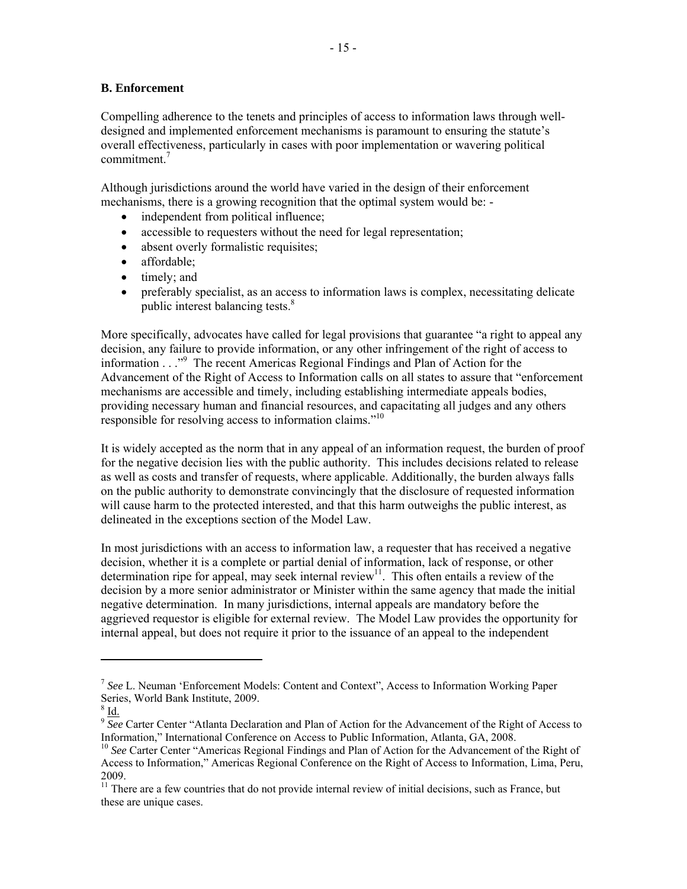## **B. Enforcement**

Compelling adherence to the tenets and principles of access to information laws through welldesigned and implemented enforcement mechanisms is paramount to ensuring the statute's overall effectiveness, particularly in cases with poor implementation or wavering political commitment. $<sup>7</sup>$ </sup>

Although jurisdictions around the world have varied in the design of their enforcement mechanisms, there is a growing recognition that the optimal system would be: -

- independent from political influence;
- accessible to requesters without the need for legal representation;
- absent overly formalistic requisites;
- affordable:
- $\bullet$  timely; and
- preferably specialist, as an access to information laws is complex, necessitating delicate public interest balancing tests.<sup>8</sup>

More specifically, advocates have called for legal provisions that guarantee "a right to appeal any decision, any failure to provide information, or any other infringement of the right of access to information . . ."9 The recent Americas Regional Findings and Plan of Action for the Advancement of the Right of Access to Information calls on all states to assure that "enforcement mechanisms are accessible and timely, including establishing intermediate appeals bodies, providing necessary human and financial resources, and capacitating all judges and any others responsible for resolving access to information claims."<sup>10</sup>

It is widely accepted as the norm that in any appeal of an information request, the burden of proof for the negative decision lies with the public authority. This includes decisions related to release as well as costs and transfer of requests, where applicable. Additionally, the burden always falls on the public authority to demonstrate convincingly that the disclosure of requested information will cause harm to the protected interested, and that this harm outweighs the public interest, as delineated in the exceptions section of the Model Law.

In most jurisdictions with an access to information law, a requester that has received a negative decision, whether it is a complete or partial denial of information, lack of response, or other determination ripe for appeal, may seek internal review<sup>11</sup>. This often entails a review of the decision by a more senior administrator or Minister within the same agency that made the initial negative determination. In many jurisdictions, internal appeals are mandatory before the aggrieved requestor is eligible for external review. The Model Law provides the opportunity for internal appeal, but does not require it prior to the issuance of an appeal to the independent

<sup>7</sup> *See* L. Neuman 'Enforcement Models: Content and Context", Access to Information Working Paper Series, World Bank Institute, 2009.

 $^8$  Id.

 $\frac{9}{2}$  See Carter Center "Atlanta Declaration and Plan of Action for the Advancement of the Right of Access to Information," International Conference on Access to Public Information, Atlanta, GA, 2008.

<sup>&</sup>lt;sup>10</sup> See Carter Center "Americas Regional Findings and Plan of Action for the Advancement of the Right of Access to Information," Americas Regional Conference on the Right of Access to Information, Lima, Peru, 2009.

<sup>&</sup>lt;sup>11</sup> There are a few countries that do not provide internal review of initial decisions, such as France, but these are unique cases.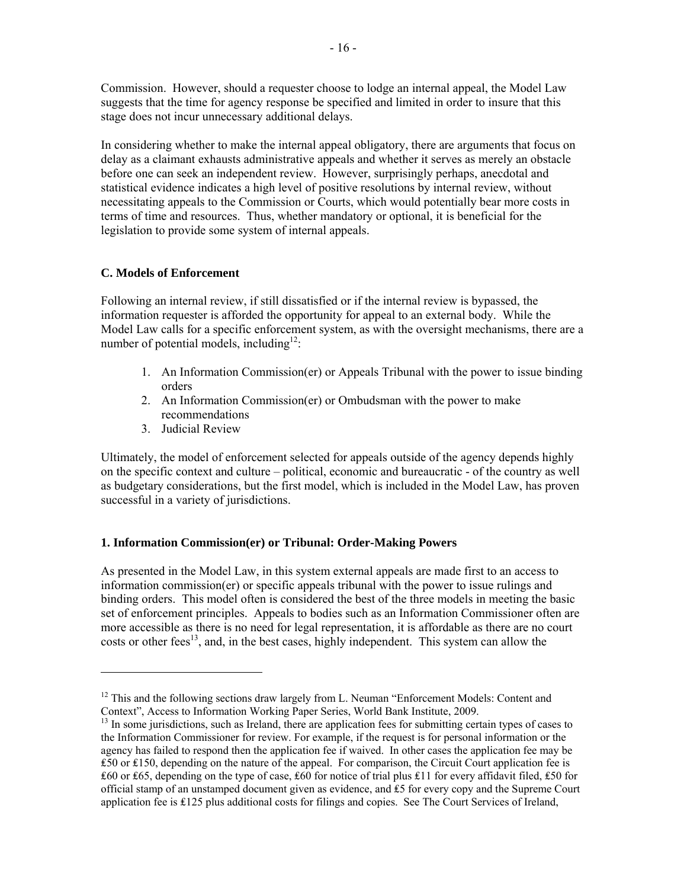Commission. However, should a requester choose to lodge an internal appeal, the Model Law suggests that the time for agency response be specified and limited in order to insure that this stage does not incur unnecessary additional delays.

In considering whether to make the internal appeal obligatory, there are arguments that focus on delay as a claimant exhausts administrative appeals and whether it serves as merely an obstacle before one can seek an independent review. However, surprisingly perhaps, anecdotal and statistical evidence indicates a high level of positive resolutions by internal review, without necessitating appeals to the Commission or Courts, which would potentially bear more costs in terms of time and resources. Thus, whether mandatory or optional, it is beneficial for the legislation to provide some system of internal appeals.

## **C. Models of Enforcement**

Following an internal review, if still dissatisfied or if the internal review is bypassed, the information requester is afforded the opportunity for appeal to an external body. While the Model Law calls for a specific enforcement system, as with the oversight mechanisms, there are a number of potential models, including<sup>12</sup>:

- 1. An Information Commission(er) or Appeals Tribunal with the power to issue binding orders
- 2. An Information Commission(er) or Ombudsman with the power to make recommendations
- 3. Judicial Review

Ultimately, the model of enforcement selected for appeals outside of the agency depends highly on the specific context and culture – political, economic and bureaucratic - of the country as well as budgetary considerations, but the first model, which is included in the Model Law, has proven successful in a variety of jurisdictions.

## **1. Information Commission(er) or Tribunal: Order-Making Powers**

As presented in the Model Law, in this system external appeals are made first to an access to information commission(er) or specific appeals tribunal with the power to issue rulings and binding orders. This model often is considered the best of the three models in meeting the basic set of enforcement principles. Appeals to bodies such as an Information Commissioner often are more accessible as there is no need for legal representation, it is affordable as there are no court costs or other fees<sup>13</sup>, and, in the best cases, highly independent. This system can allow the

 $12$  This and the following sections draw largely from L. Neuman "Enforcement Models: Content and Context", Access to Information Working Paper Series, World Bank Institute, 2009.

<sup>&</sup>lt;sup>13</sup> In some jurisdictions, such as Ireland, there are application fees for submitting certain types of cases to the Information Commissioner for review. For example, if the request is for personal information or the agency has failed to respond then the application fee if waived. In other cases the application fee may be ₤50 or ₤150, depending on the nature of the appeal. For comparison, the Circuit Court application fee is ₤60 or ₤65, depending on the type of case, ₤60 for notice of trial plus ₤11 for every affidavit filed, ₤50 for official stamp of an unstamped document given as evidence, and ₤5 for every copy and the Supreme Court application fee is ₤125 plus additional costs for filings and copies. See The Court Services of Ireland,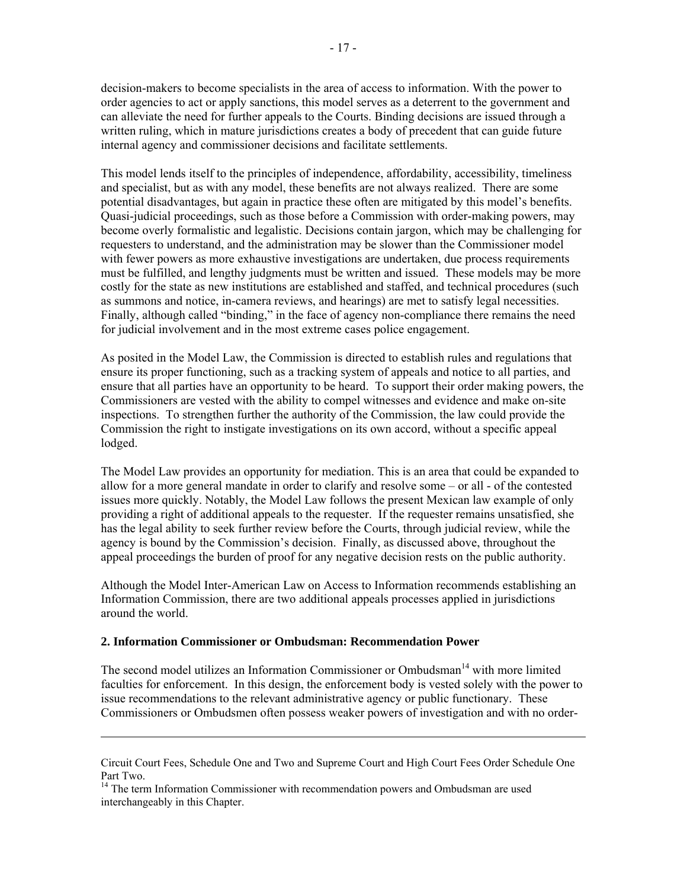decision-makers to become specialists in the area of access to information. With the power to order agencies to act or apply sanctions, this model serves as a deterrent to the government and can alleviate the need for further appeals to the Courts. Binding decisions are issued through a written ruling, which in mature jurisdictions creates a body of precedent that can guide future internal agency and commissioner decisions and facilitate settlements.

This model lends itself to the principles of independence, affordability, accessibility, timeliness and specialist, but as with any model, these benefits are not always realized. There are some potential disadvantages, but again in practice these often are mitigated by this model's benefits. Quasi-judicial proceedings, such as those before a Commission with order-making powers, may become overly formalistic and legalistic. Decisions contain jargon, which may be challenging for requesters to understand, and the administration may be slower than the Commissioner model with fewer powers as more exhaustive investigations are undertaken, due process requirements must be fulfilled, and lengthy judgments must be written and issued. These models may be more costly for the state as new institutions are established and staffed, and technical procedures (such as summons and notice, in-camera reviews, and hearings) are met to satisfy legal necessities. Finally, although called "binding," in the face of agency non-compliance there remains the need for judicial involvement and in the most extreme cases police engagement.

As posited in the Model Law, the Commission is directed to establish rules and regulations that ensure its proper functioning, such as a tracking system of appeals and notice to all parties, and ensure that all parties have an opportunity to be heard. To support their order making powers, the Commissioners are vested with the ability to compel witnesses and evidence and make on-site inspections. To strengthen further the authority of the Commission, the law could provide the Commission the right to instigate investigations on its own accord, without a specific appeal lodged.

The Model Law provides an opportunity for mediation. This is an area that could be expanded to allow for a more general mandate in order to clarify and resolve some – or all - of the contested issues more quickly. Notably, the Model Law follows the present Mexican law example of only providing a right of additional appeals to the requester. If the requester remains unsatisfied, she has the legal ability to seek further review before the Courts, through judicial review, while the agency is bound by the Commission's decision. Finally, as discussed above, throughout the appeal proceedings the burden of proof for any negative decision rests on the public authority.

Although the Model Inter-American Law on Access to Information recommends establishing an Information Commission, there are two additional appeals processes applied in jurisdictions around the world.

#### **2. Information Commissioner or Ombudsman: Recommendation Power**

The second model utilizes an Information Commissioner or Ombudsman<sup>14</sup> with more limited faculties for enforcement. In this design, the enforcement body is vested solely with the power to issue recommendations to the relevant administrative agency or public functionary. These Commissioners or Ombudsmen often possess weaker powers of investigation and with no order-

<u> 1989 - Johann Stoff, amerikansk politiker (d. 1989)</u>

Circuit Court Fees, Schedule One and Two and Supreme Court and High Court Fees Order Schedule One Part Two.

<sup>&</sup>lt;sup>14</sup> The term Information Commissioner with recommendation powers and Ombudsman are used interchangeably in this Chapter.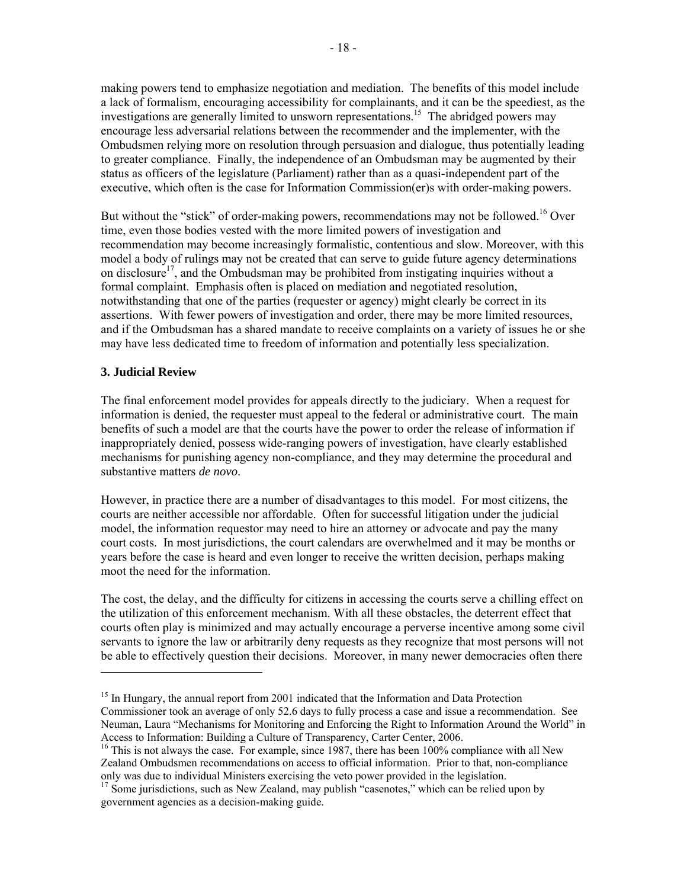making powers tend to emphasize negotiation and mediation. The benefits of this model include a lack of formalism, encouraging accessibility for complainants, and it can be the speediest, as the investigations are generally limited to unsworn representations.<sup>15</sup> The abridged powers may encourage less adversarial relations between the recommender and the implementer, with the Ombudsmen relying more on resolution through persuasion and dialogue, thus potentially leading to greater compliance. Finally, the independence of an Ombudsman may be augmented by their status as officers of the legislature (Parliament) rather than as a quasi-independent part of the executive, which often is the case for Information Commission(er)s with order-making powers.

But without the "stick" of order-making powers, recommendations may not be followed.<sup>16</sup> Over time, even those bodies vested with the more limited powers of investigation and recommendation may become increasingly formalistic, contentious and slow. Moreover, with this model a body of rulings may not be created that can serve to guide future agency determinations on disclosure<sup>17</sup>, and the Ombudsman may be prohibited from instigating inquiries without a formal complaint. Emphasis often is placed on mediation and negotiated resolution, notwithstanding that one of the parties (requester or agency) might clearly be correct in its assertions. With fewer powers of investigation and order, there may be more limited resources, and if the Ombudsman has a shared mandate to receive complaints on a variety of issues he or she may have less dedicated time to freedom of information and potentially less specialization.

## **3. Judicial Review**

The final enforcement model provides for appeals directly to the judiciary. When a request for information is denied, the requester must appeal to the federal or administrative court. The main benefits of such a model are that the courts have the power to order the release of information if inappropriately denied, possess wide-ranging powers of investigation, have clearly established mechanisms for punishing agency non-compliance, and they may determine the procedural and substantive matters *de novo*.

However, in practice there are a number of disadvantages to this model. For most citizens, the courts are neither accessible nor affordable. Often for successful litigation under the judicial model, the information requestor may need to hire an attorney or advocate and pay the many court costs. In most jurisdictions, the court calendars are overwhelmed and it may be months or years before the case is heard and even longer to receive the written decision, perhaps making moot the need for the information.

The cost, the delay, and the difficulty for citizens in accessing the courts serve a chilling effect on the utilization of this enforcement mechanism. With all these obstacles, the deterrent effect that courts often play is minimized and may actually encourage a perverse incentive among some civil servants to ignore the law or arbitrarily deny requests as they recognize that most persons will not be able to effectively question their decisions. Moreover, in many newer democracies often there

<sup>&</sup>lt;sup>15</sup> In Hungary, the annual report from 2001 indicated that the Information and Data Protection Commissioner took an average of only 52.6 days to fully process a case and issue a recommendation. See Neuman, Laura "Mechanisms for Monitoring and Enforcing the Right to Information Around the World" in Access to Information: Building a Culture of Transparency, Carter Center, 2006.

<sup>&</sup>lt;sup>16</sup> This is not always the case. For example, since 1987, there has been 100% compliance with all New Zealand Ombudsmen recommendations on access to official information. Prior to that, non-compliance only was due to individual Ministers exercising the veto power provided in the legislation.

 $17$  Some jurisdictions, such as New Zealand, may publish "casenotes," which can be relied upon by government agencies as a decision-making guide.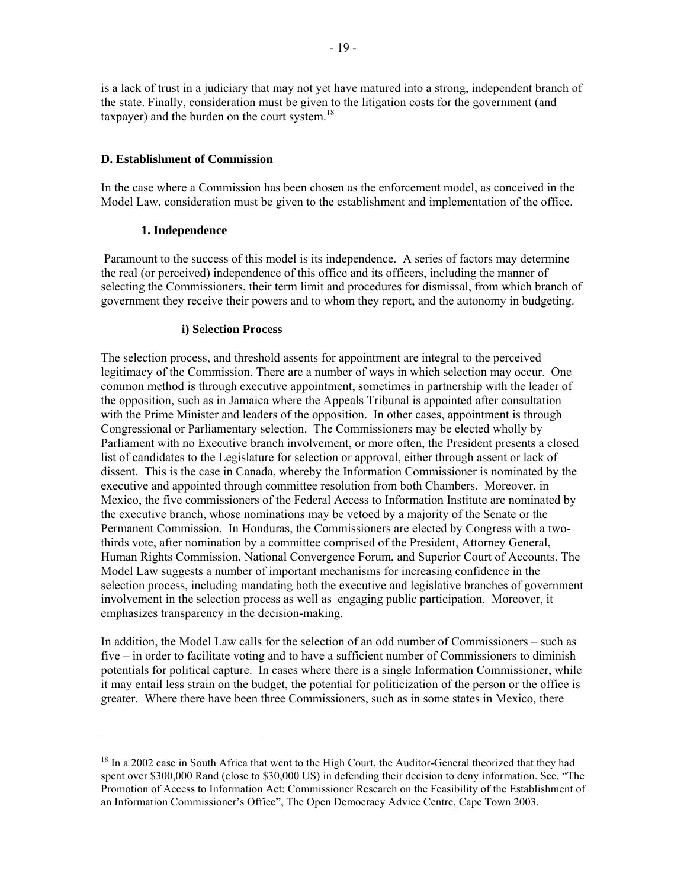is a lack of trust in a judiciary that may not yet have matured into a strong, independent branch of the state. Finally, consideration must be given to the litigation costs for the government (and taxpayer) and the burden on the court system. $18$ 

### **D. Establishment of Commission**

In the case where a Commission has been chosen as the enforcement model, as conceived in the Model Law, consideration must be given to the establishment and implementation of the office.

### **1. Independence**

 Paramount to the success of this model is its independence. A series of factors may determine the real (or perceived) independence of this office and its officers, including the manner of selecting the Commissioners, their term limit and procedures for dismissal, from which branch of government they receive their powers and to whom they report, and the autonomy in budgeting.

#### **i) Selection Process**

The selection process, and threshold assents for appointment are integral to the perceived legitimacy of the Commission. There are a number of ways in which selection may occur. One common method is through executive appointment, sometimes in partnership with the leader of the opposition, such as in Jamaica where the Appeals Tribunal is appointed after consultation with the Prime Minister and leaders of the opposition. In other cases, appointment is through Congressional or Parliamentary selection. The Commissioners may be elected wholly by Parliament with no Executive branch involvement, or more often, the President presents a closed list of candidates to the Legislature for selection or approval, either through assent or lack of dissent. This is the case in Canada, whereby the Information Commissioner is nominated by the executive and appointed through committee resolution from both Chambers. Moreover, in Mexico, the five commissioners of the Federal Access to Information Institute are nominated by the executive branch, whose nominations may be vetoed by a majority of the Senate or the Permanent Commission. In Honduras, the Commissioners are elected by Congress with a twothirds vote, after nomination by a committee comprised of the President, Attorney General, Human Rights Commission, National Convergence Forum, and Superior Court of Accounts. The Model Law suggests a number of important mechanisms for increasing confidence in the selection process, including mandating both the executive and legislative branches of government involvement in the selection process as well as engaging public participation. Moreover, it emphasizes transparency in the decision-making.

In addition, the Model Law calls for the selection of an odd number of Commissioners – such as five – in order to facilitate voting and to have a sufficient number of Commissioners to diminish potentials for political capture. In cases where there is a single Information Commissioner, while it may entail less strain on the budget, the potential for politicization of the person or the office is greater. Where there have been three Commissioners, such as in some states in Mexico, there

<sup>&</sup>lt;sup>18</sup> In a 2002 case in South Africa that went to the High Court, the Auditor-General theorized that they had spent over \$300,000 Rand (close to \$30,000 US) in defending their decision to deny information. See, "The Promotion of Access to Information Act: Commissioner Research on the Feasibility of the Establishment of an Information Commissioner's Office", The Open Democracy Advice Centre, Cape Town 2003.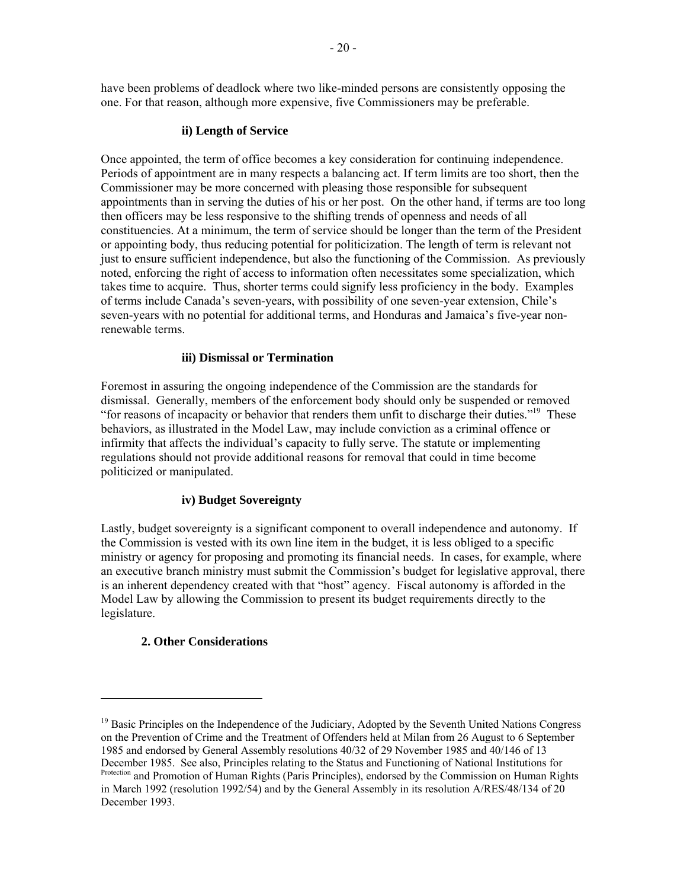have been problems of deadlock where two like-minded persons are consistently opposing the one. For that reason, although more expensive, five Commissioners may be preferable.

#### **ii) Length of Service**

Once appointed, the term of office becomes a key consideration for continuing independence. Periods of appointment are in many respects a balancing act. If term limits are too short, then the Commissioner may be more concerned with pleasing those responsible for subsequent appointments than in serving the duties of his or her post. On the other hand, if terms are too long then officers may be less responsive to the shifting trends of openness and needs of all constituencies. At a minimum, the term of service should be longer than the term of the President or appointing body, thus reducing potential for politicization. The length of term is relevant not just to ensure sufficient independence, but also the functioning of the Commission. As previously noted, enforcing the right of access to information often necessitates some specialization, which takes time to acquire. Thus, shorter terms could signify less proficiency in the body. Examples of terms include Canada's seven-years, with possibility of one seven-year extension, Chile's seven-years with no potential for additional terms, and Honduras and Jamaica's five-year nonrenewable terms.

### **iii) Dismissal or Termination**

Foremost in assuring the ongoing independence of the Commission are the standards for dismissal. Generally, members of the enforcement body should only be suspended or removed "for reasons of incapacity or behavior that renders them unfit to discharge their duties."19 These behaviors, as illustrated in the Model Law, may include conviction as a criminal offence or infirmity that affects the individual's capacity to fully serve. The statute or implementing regulations should not provide additional reasons for removal that could in time become politicized or manipulated.

## **iv) Budget Sovereignty**

Lastly, budget sovereignty is a significant component to overall independence and autonomy. If the Commission is vested with its own line item in the budget, it is less obliged to a specific ministry or agency for proposing and promoting its financial needs. In cases, for example, where an executive branch ministry must submit the Commission's budget for legislative approval, there is an inherent dependency created with that "host" agency. Fiscal autonomy is afforded in the Model Law by allowing the Commission to present its budget requirements directly to the legislature.

## **2. Other Considerations**

<sup>&</sup>lt;sup>19</sup> Basic Principles on the Independence of the Judiciary, Adopted by the Seventh United Nations Congress on the Prevention of Crime and the Treatment of Offenders held at Milan from 26 August to 6 September 1985 and endorsed by General Assembly resolutions 40/32 of 29 November 1985 and 40/146 of 13 December 1985. See also, Principles relating to the Status and Functioning of National Institutions for Protection and Promotion of Human Rights (Paris Principles), endorsed by the Commission on Human Rights

in March 1992 (resolution 1992/54) and by the General Assembly in its resolution A/RES/48/134 of 20 December 1993.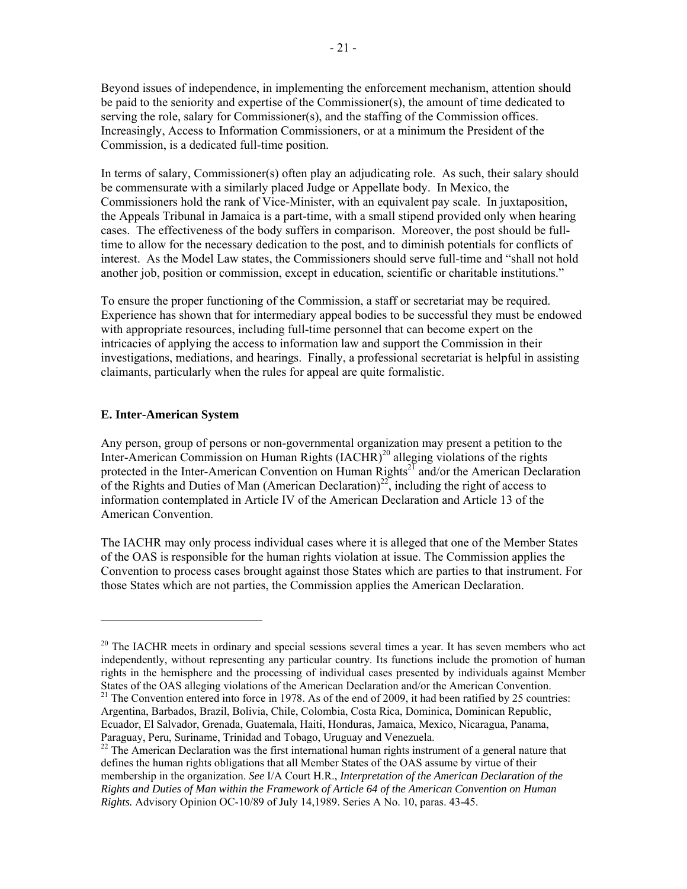Beyond issues of independence, in implementing the enforcement mechanism, attention should be paid to the seniority and expertise of the Commissioner(s), the amount of time dedicated to serving the role, salary for Commissioner(s), and the staffing of the Commission offices. Increasingly, Access to Information Commissioners, or at a minimum the President of the Commission, is a dedicated full-time position.

In terms of salary, Commissioner(s) often play an adjudicating role. As such, their salary should be commensurate with a similarly placed Judge or Appellate body. In Mexico, the Commissioners hold the rank of Vice-Minister, with an equivalent pay scale. In juxtaposition, the Appeals Tribunal in Jamaica is a part-time, with a small stipend provided only when hearing cases. The effectiveness of the body suffers in comparison. Moreover, the post should be fulltime to allow for the necessary dedication to the post, and to diminish potentials for conflicts of interest. As the Model Law states, the Commissioners should serve full-time and "shall not hold another job, position or commission, except in education, scientific or charitable institutions."

To ensure the proper functioning of the Commission, a staff or secretariat may be required. Experience has shown that for intermediary appeal bodies to be successful they must be endowed with appropriate resources, including full-time personnel that can become expert on the intricacies of applying the access to information law and support the Commission in their investigations, mediations, and hearings. Finally, a professional secretariat is helpful in assisting claimants, particularly when the rules for appeal are quite formalistic.

#### **E. Inter-American System**

Any person, group of persons or non-governmental organization may present a petition to the Inter-American Commission on Human Rights  $(IACHR)^{20}$  alleging violations of the rights protected in the Inter-American Convention on Human Rights<sup>21</sup> and/or the American Declaration of the Rights and Duties of Man (American Declaration)<sup>22</sup>, including the right of access to information contemplated in Article IV of the American Declaration and Article 13 of the American Convention.

The IACHR may only process individual cases where it is alleged that one of the Member States of the OAS is responsible for the human rights violation at issue. The Commission applies the Convention to process cases brought against those States which are parties to that instrument. For those States which are not parties, the Commission applies the American Declaration.

 $20$  The IACHR meets in ordinary and special sessions several times a year. It has seven members who act independently, without representing any particular country. Its functions include the promotion of human rights in the hemisphere and the processing of individual cases presented by individuals against Member States of the OAS alleging violations of the American Declaration and/or the American Convention.<br><sup>21</sup> The Convention entered into force in 1978. As of the end of 2009, it had been ratified by 25 countries:

Argentina, Barbados, Brazil, Bolivia, Chile, Colombia, Costa Rica, Dominica, Dominican Republic, Ecuador, El Salvador, Grenada, Guatemala, Haiti, Honduras, Jamaica, Mexico, Nicaragua, Panama, Paraguay, Peru, Suriname, Trinidad and Tobago, Uruguay and Venezuela.

<sup>&</sup>lt;sup>22</sup> The American Declaration was the first international human rights instrument of a general nature that defines the human rights obligations that all Member States of the OAS assume by virtue of their membership in the organization. *See* I/A Court H.R., *Interpretation of the American Declaration of the Rights and Duties of Man within the Framework of Article 64 of the American Convention on Human Rights.* Advisory Opinion OC-10/89 of July 14,1989. Series A No. 10, paras. 43-45.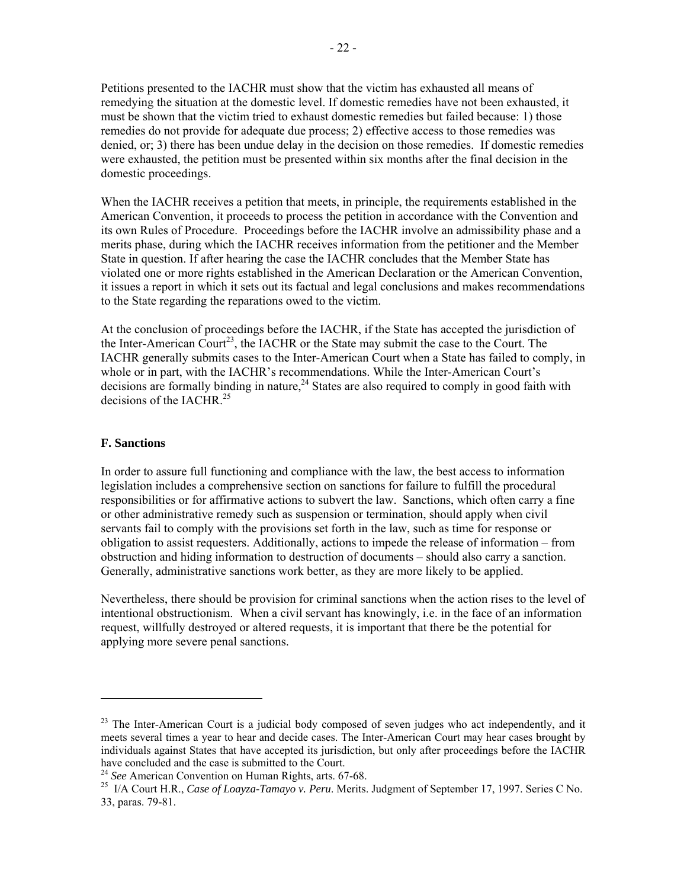Petitions presented to the IACHR must show that the victim has exhausted all means of remedying the situation at the domestic level. If domestic remedies have not been exhausted, it must be shown that the victim tried to exhaust domestic remedies but failed because: 1) those remedies do not provide for adequate due process; 2) effective access to those remedies was denied, or; 3) there has been undue delay in the decision on those remedies. If domestic remedies were exhausted, the petition must be presented within six months after the final decision in the domestic proceedings.

When the IACHR receives a petition that meets, in principle, the requirements established in the American Convention, it proceeds to process the petition in accordance with the Convention and its own Rules of Procedure. Proceedings before the IACHR involve an admissibility phase and a merits phase, during which the IACHR receives information from the petitioner and the Member State in question. If after hearing the case the IACHR concludes that the Member State has violated one or more rights established in the American Declaration or the American Convention, it issues a report in which it sets out its factual and legal conclusions and makes recommendations to the State regarding the reparations owed to the victim.

At the conclusion of proceedings before the IACHR, if the State has accepted the jurisdiction of the Inter-American Court<sup>23</sup>, the IACHR or the State may submit the case to the Court. The IACHR generally submits cases to the Inter-American Court when a State has failed to comply, in whole or in part, with the IACHR's recommendations. While the Inter-American Court's decisions are formally binding in nature, $^{24}$  States are also required to comply in good faith with decisions of the  $IACHR<sup>25</sup>$ 

#### **F. Sanctions**

In order to assure full functioning and compliance with the law, the best access to information legislation includes a comprehensive section on sanctions for failure to fulfill the procedural responsibilities or for affirmative actions to subvert the law. Sanctions, which often carry a fine or other administrative remedy such as suspension or termination, should apply when civil servants fail to comply with the provisions set forth in the law, such as time for response or obligation to assist requesters. Additionally, actions to impede the release of information – from obstruction and hiding information to destruction of documents – should also carry a sanction. Generally, administrative sanctions work better, as they are more likely to be applied.

Nevertheless, there should be provision for criminal sanctions when the action rises to the level of intentional obstructionism. When a civil servant has knowingly, i.e. in the face of an information request, willfully destroyed or altered requests, it is important that there be the potential for applying more severe penal sanctions.

 $^{23}$  The Inter-American Court is a judicial body composed of seven judges who act independently, and it meets several times a year to hear and decide cases. The Inter-American Court may hear cases brought by individuals against States that have accepted its jurisdiction, but only after proceedings before the IACHR have concluded and the case is submitted to the Court.<br><sup>24</sup> See American Convention on Human Rights, arts. 67-68.

<sup>&</sup>lt;sup>25</sup> I/A Court H.R., *Case of Loayza-Tamayo v. Peru*. Merits. Judgment of September 17, 1997. Series C No. 33, paras. 79-81.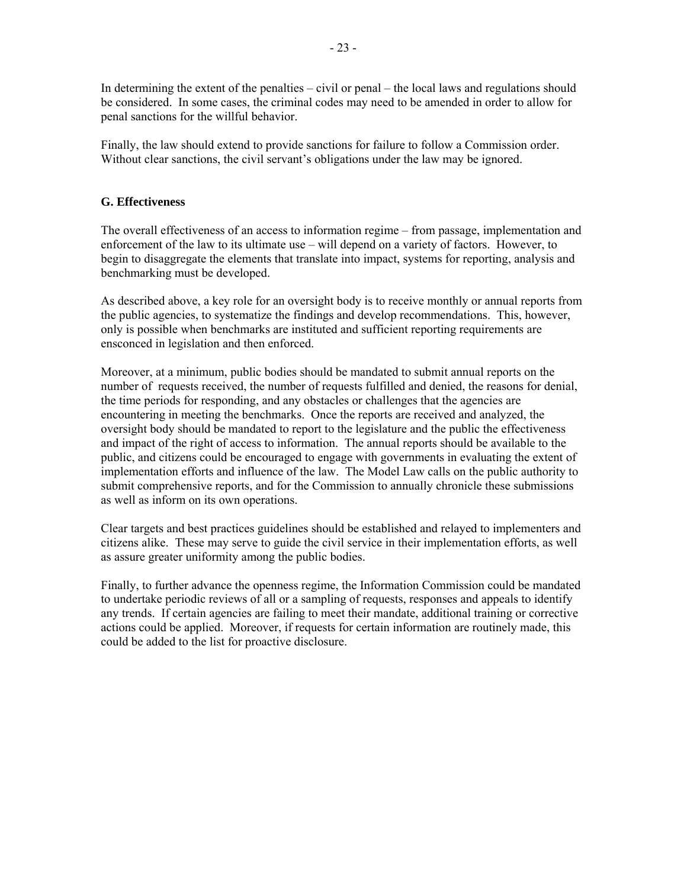In determining the extent of the penalties – civil or penal – the local laws and regulations should be considered. In some cases, the criminal codes may need to be amended in order to allow for penal sanctions for the willful behavior.

Finally, the law should extend to provide sanctions for failure to follow a Commission order. Without clear sanctions, the civil servant's obligations under the law may be ignored.

## **G. Effectiveness**

The overall effectiveness of an access to information regime – from passage, implementation and enforcement of the law to its ultimate use – will depend on a variety of factors. However, to begin to disaggregate the elements that translate into impact, systems for reporting, analysis and benchmarking must be developed.

As described above, a key role for an oversight body is to receive monthly or annual reports from the public agencies, to systematize the findings and develop recommendations. This, however, only is possible when benchmarks are instituted and sufficient reporting requirements are ensconced in legislation and then enforced.

Moreover, at a minimum, public bodies should be mandated to submit annual reports on the number of requests received, the number of requests fulfilled and denied, the reasons for denial, the time periods for responding, and any obstacles or challenges that the agencies are encountering in meeting the benchmarks. Once the reports are received and analyzed, the oversight body should be mandated to report to the legislature and the public the effectiveness and impact of the right of access to information. The annual reports should be available to the public, and citizens could be encouraged to engage with governments in evaluating the extent of implementation efforts and influence of the law. The Model Law calls on the public authority to submit comprehensive reports, and for the Commission to annually chronicle these submissions as well as inform on its own operations.

Clear targets and best practices guidelines should be established and relayed to implementers and citizens alike. These may serve to guide the civil service in their implementation efforts, as well as assure greater uniformity among the public bodies.

Finally, to further advance the openness regime, the Information Commission could be mandated to undertake periodic reviews of all or a sampling of requests, responses and appeals to identify any trends. If certain agencies are failing to meet their mandate, additional training or corrective actions could be applied. Moreover, if requests for certain information are routinely made, this could be added to the list for proactive disclosure.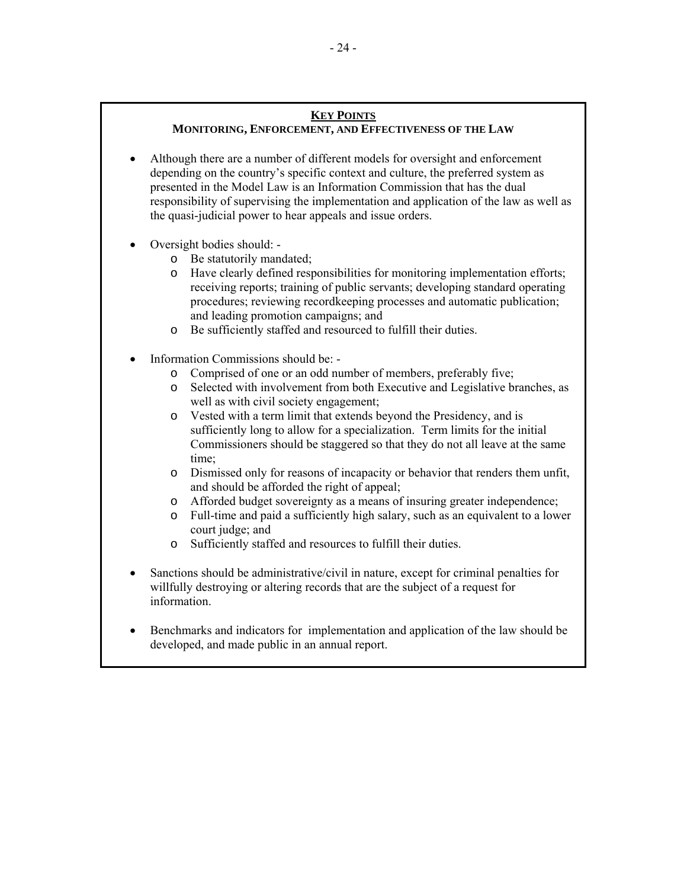## **KEY POINTS**

## **MONITORING, ENFORCEMENT, AND EFFECTIVENESS OF THE LAW**

- Although there are a number of different models for oversight and enforcement depending on the country's specific context and culture, the preferred system as presented in the Model Law is an Information Commission that has the dual responsibility of supervising the implementation and application of the law as well as the quasi-judicial power to hear appeals and issue orders.
- Oversight bodies should:
	- o Be statutorily mandated;
	- o Have clearly defined responsibilities for monitoring implementation efforts; receiving reports; training of public servants; developing standard operating procedures; reviewing recordkeeping processes and automatic publication; and leading promotion campaigns; and
	- o Be sufficiently staffed and resourced to fulfill their duties.
- Information Commissions should be:
	- o Comprised of one or an odd number of members, preferably five;
	- o Selected with involvement from both Executive and Legislative branches, as well as with civil society engagement;
	- o Vested with a term limit that extends beyond the Presidency, and is sufficiently long to allow for a specialization. Term limits for the initial Commissioners should be staggered so that they do not all leave at the same time;
	- o Dismissed only for reasons of incapacity or behavior that renders them unfit, and should be afforded the right of appeal;
	- o Afforded budget sovereignty as a means of insuring greater independence;
	- o Full-time and paid a sufficiently high salary, such as an equivalent to a lower court judge; and
	- o Sufficiently staffed and resources to fulfill their duties.
- Sanctions should be administrative/civil in nature, except for criminal penalties for willfully destroying or altering records that are the subject of a request for information.
- Benchmarks and indicators for implementation and application of the law should be developed, and made public in an annual report.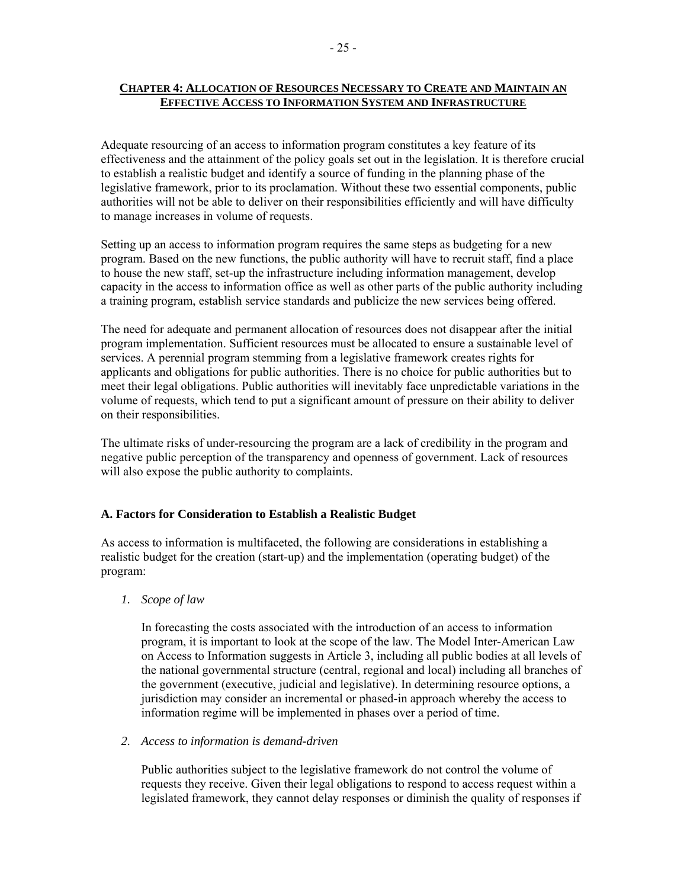## **CHAPTER 4: ALLOCATION OF RESOURCES NECESSARY TO CREATE AND MAINTAIN AN EFFECTIVE ACCESS TO INFORMATION SYSTEM AND INFRASTRUCTURE**

Adequate resourcing of an access to information program constitutes a key feature of its effectiveness and the attainment of the policy goals set out in the legislation. It is therefore crucial to establish a realistic budget and identify a source of funding in the planning phase of the legislative framework, prior to its proclamation. Without these two essential components, public authorities will not be able to deliver on their responsibilities efficiently and will have difficulty to manage increases in volume of requests.

Setting up an access to information program requires the same steps as budgeting for a new program. Based on the new functions, the public authority will have to recruit staff, find a place to house the new staff, set-up the infrastructure including information management, develop capacity in the access to information office as well as other parts of the public authority including a training program, establish service standards and publicize the new services being offered.

The need for adequate and permanent allocation of resources does not disappear after the initial program implementation. Sufficient resources must be allocated to ensure a sustainable level of services. A perennial program stemming from a legislative framework creates rights for applicants and obligations for public authorities. There is no choice for public authorities but to meet their legal obligations. Public authorities will inevitably face unpredictable variations in the volume of requests, which tend to put a significant amount of pressure on their ability to deliver on their responsibilities.

The ultimate risks of under-resourcing the program are a lack of credibility in the program and negative public perception of the transparency and openness of government. Lack of resources will also expose the public authority to complaints.

#### **A. Factors for Consideration to Establish a Realistic Budget**

As access to information is multifaceted, the following are considerations in establishing a realistic budget for the creation (start-up) and the implementation (operating budget) of the program:

## *1. Scope of law*

In forecasting the costs associated with the introduction of an access to information program, it is important to look at the scope of the law. The Model Inter-American Law on Access to Information suggests in Article 3, including all public bodies at all levels of the national governmental structure (central, regional and local) including all branches of the government (executive, judicial and legislative). In determining resource options, a jurisdiction may consider an incremental or phased-in approach whereby the access to information regime will be implemented in phases over a period of time.

#### *2. Access to information is demand-driven*

Public authorities subject to the legislative framework do not control the volume of requests they receive. Given their legal obligations to respond to access request within a legislated framework, they cannot delay responses or diminish the quality of responses if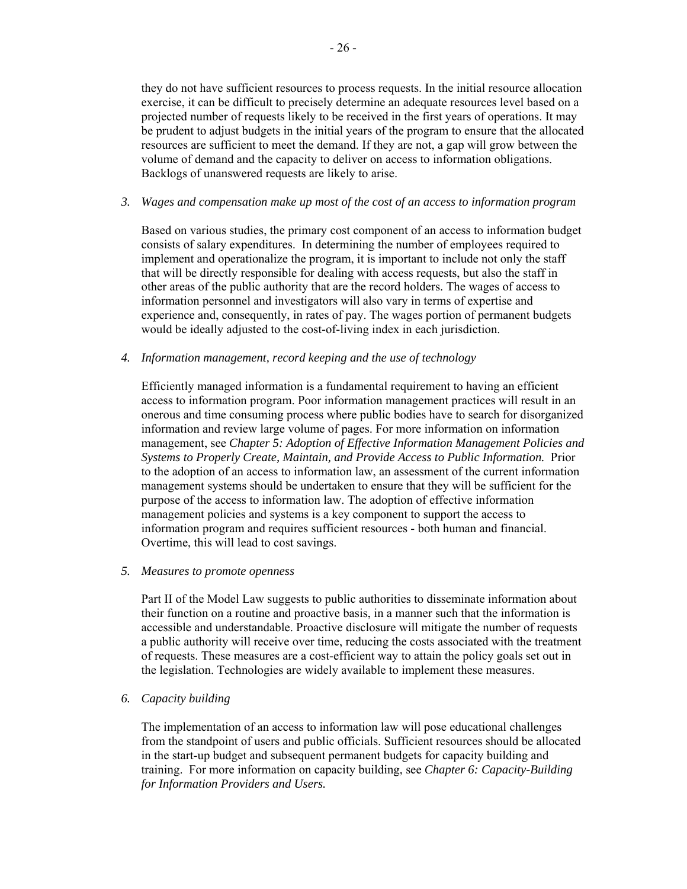they do not have sufficient resources to process requests. In the initial resource allocation exercise, it can be difficult to precisely determine an adequate resources level based on a projected number of requests likely to be received in the first years of operations. It may be prudent to adjust budgets in the initial years of the program to ensure that the allocated resources are sufficient to meet the demand. If they are not, a gap will grow between the volume of demand and the capacity to deliver on access to information obligations. Backlogs of unanswered requests are likely to arise.

#### *3. Wages and compensation make up most of the cost of an access to information program*

Based on various studies, the primary cost component of an access to information budget consists of salary expenditures. In determining the number of employees required to implement and operationalize the program, it is important to include not only the staff that will be directly responsible for dealing with access requests, but also the staff in other areas of the public authority that are the record holders. The wages of access to information personnel and investigators will also vary in terms of expertise and experience and, consequently, in rates of pay. The wages portion of permanent budgets would be ideally adjusted to the cost-of-living index in each jurisdiction.

*4. Information management, record keeping and the use of technology* 

Efficiently managed information is a fundamental requirement to having an efficient access to information program. Poor information management practices will result in an onerous and time consuming process where public bodies have to search for disorganized information and review large volume of pages. For more information on information management, see *Chapter 5: Adoption of Effective Information Management Policies and Systems to Properly Create, Maintain, and Provide Access to Public Information.* Prior to the adoption of an access to information law, an assessment of the current information management systems should be undertaken to ensure that they will be sufficient for the purpose of the access to information law. The adoption of effective information management policies and systems is a key component to support the access to information program and requires sufficient resources - both human and financial. Overtime, this will lead to cost savings.

#### *5. Measures to promote openness*

Part II of the Model Law suggests to public authorities to disseminate information about their function on a routine and proactive basis, in a manner such that the information is accessible and understandable. Proactive disclosure will mitigate the number of requests a public authority will receive over time, reducing the costs associated with the treatment of requests. These measures are a cost-efficient way to attain the policy goals set out in the legislation. Technologies are widely available to implement these measures.

## *6. Capacity building*

The implementation of an access to information law will pose educational challenges from the standpoint of users and public officials. Sufficient resources should be allocated in the start-up budget and subsequent permanent budgets for capacity building and training. For more information on capacity building, see *Chapter 6: Capacity-Building for Information Providers and Users.*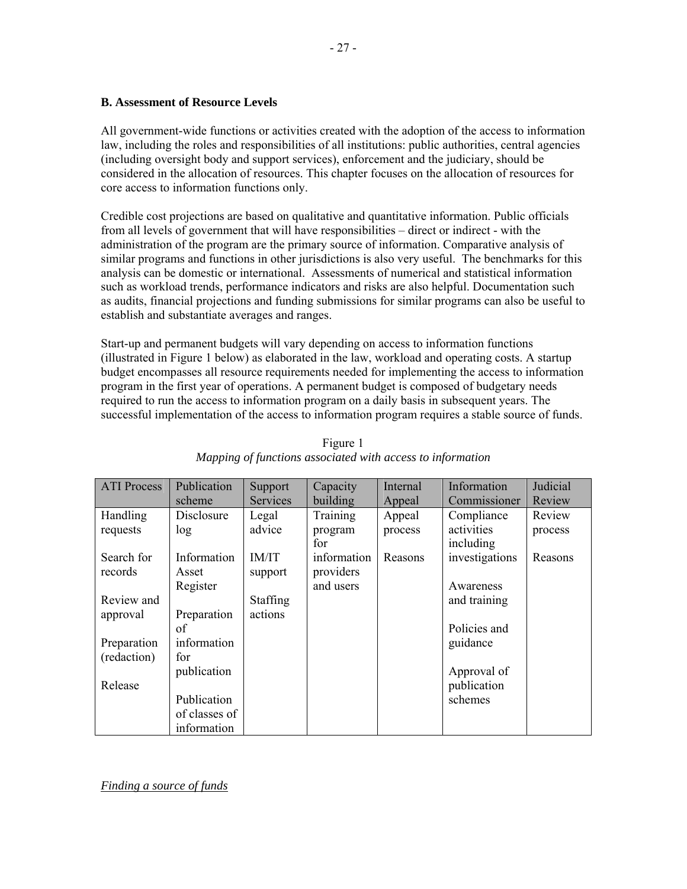All government-wide functions or activities created with the adoption of the access to information law, including the roles and responsibilities of all institutions: public authorities, central agencies (including oversight body and support services), enforcement and the judiciary, should be considered in the allocation of resources. This chapter focuses on the allocation of resources for core access to information functions only.

Credible cost projections are based on qualitative and quantitative information. Public officials from all levels of government that will have responsibilities – direct or indirect - with the administration of the program are the primary source of information. Comparative analysis of similar programs and functions in other jurisdictions is also very useful. The benchmarks for this analysis can be domestic or international. Assessments of numerical and statistical information such as workload trends, performance indicators and risks are also helpful. Documentation such as audits, financial projections and funding submissions for similar programs can also be useful to establish and substantiate averages and ranges.

Start-up and permanent budgets will vary depending on access to information functions (illustrated in Figure 1 below) as elaborated in the law, workload and operating costs. A startup budget encompasses all resource requirements needed for implementing the access to information program in the first year of operations. A permanent budget is composed of budgetary needs required to run the access to information program on a daily basis in subsequent years. The successful implementation of the access to information program requires a stable source of funds.

| <b>ATI Process</b> | Publication   | Support         | Capacity    | Internal | Information    | Judicial |
|--------------------|---------------|-----------------|-------------|----------|----------------|----------|
|                    | scheme        | <b>Services</b> | building    | Appeal   | Commissioner   | Review   |
| Handling           | Disclosure    | Legal           | Training    | Appeal   | Compliance     | Review   |
| requests           | log           | advice          | program     | process  | activities     | process  |
|                    |               |                 | for         |          | including      |          |
| Search for         | Information   | IM/IT           | information | Reasons  | investigations | Reasons  |
| records            | Asset         | support         | providers   |          |                |          |
|                    | Register      |                 | and users   |          | Awareness      |          |
| Review and         |               | <b>Staffing</b> |             |          | and training   |          |
| approval           | Preparation   | actions         |             |          |                |          |
|                    | of            |                 |             |          | Policies and   |          |
| Preparation        | information   |                 |             |          | guidance       |          |
| (redaction)        | for           |                 |             |          |                |          |
|                    | publication   |                 |             |          | Approval of    |          |
| Release            |               |                 |             |          | publication    |          |
|                    | Publication   |                 |             |          | schemes        |          |
|                    | of classes of |                 |             |          |                |          |
|                    | information   |                 |             |          |                |          |

Figure 1 *Mapping of functions associated with access to information* 

*Finding a source of funds*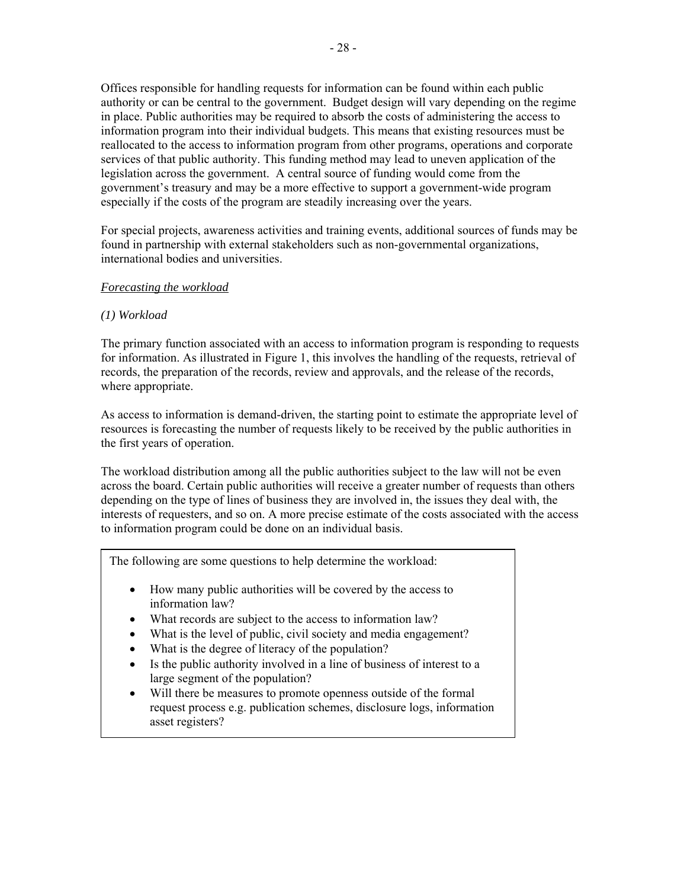Offices responsible for handling requests for information can be found within each public authority or can be central to the government. Budget design will vary depending on the regime in place. Public authorities may be required to absorb the costs of administering the access to information program into their individual budgets. This means that existing resources must be reallocated to the access to information program from other programs, operations and corporate services of that public authority. This funding method may lead to uneven application of the legislation across the government. A central source of funding would come from the government's treasury and may be a more effective to support a government-wide program especially if the costs of the program are steadily increasing over the years.

For special projects, awareness activities and training events, additional sources of funds may be found in partnership with external stakeholders such as non-governmental organizations, international bodies and universities.

### *Forecasting the workload*

### *(1) Workload*

The primary function associated with an access to information program is responding to requests for information. As illustrated in Figure 1, this involves the handling of the requests, retrieval of records, the preparation of the records, review and approvals, and the release of the records, where appropriate.

As access to information is demand-driven, the starting point to estimate the appropriate level of resources is forecasting the number of requests likely to be received by the public authorities in the first years of operation.

The workload distribution among all the public authorities subject to the law will not be even across the board. Certain public authorities will receive a greater number of requests than others depending on the type of lines of business they are involved in, the issues they deal with, the interests of requesters, and so on. A more precise estimate of the costs associated with the access to information program could be done on an individual basis.

The following are some questions to help determine the workload:

- How many public authorities will be covered by the access to information law?
- What records are subject to the access to information law?
- What is the level of public, civil society and media engagement?
- What is the degree of literacy of the population?
- Is the public authority involved in a line of business of interest to a large segment of the population?
- Will there be measures to promote openness outside of the formal request process e.g. publication schemes, disclosure logs, information asset registers?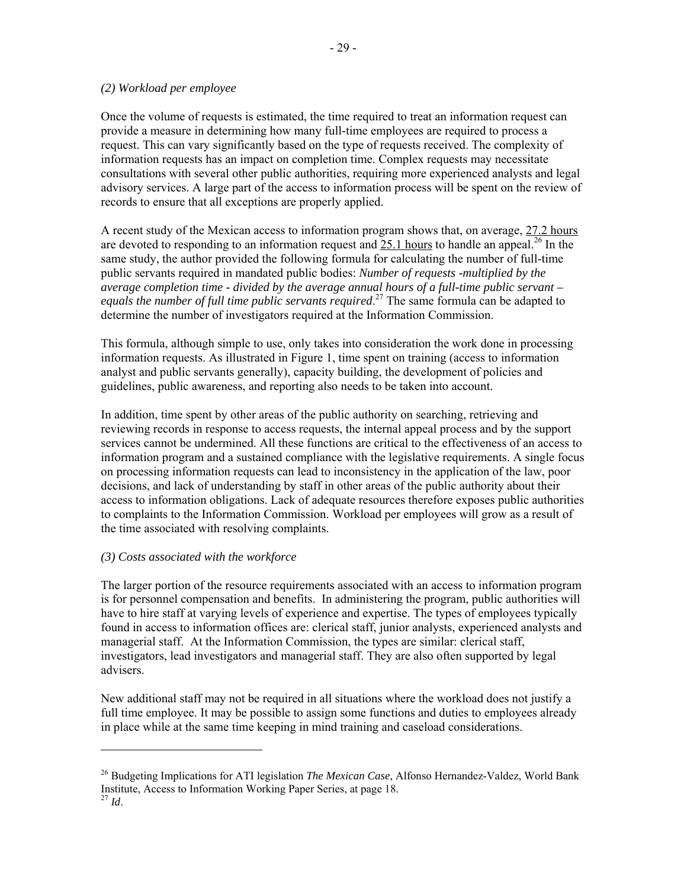### *(2) Workload per employee*

Once the volume of requests is estimated, the time required to treat an information request can provide a measure in determining how many full-time employees are required to process a request. This can vary significantly based on the type of requests received. The complexity of information requests has an impact on completion time. Complex requests may necessitate consultations with several other public authorities, requiring more experienced analysts and legal advisory services. A large part of the access to information process will be spent on the review of records to ensure that all exceptions are properly applied.

A recent study of the Mexican access to information program shows that, on average, 27.2 hours are devoted to responding to an information request and  $25.1$  hours to handle an appeal.<sup>26</sup> In the same study, the author provided the following formula for calculating the number of full-time public servants required in mandated public bodies: *Number of requests -multiplied by the average completion time - divided by the average annual hours of a full-time public servant – equals the number of full time public servants required*. 27 The same formula can be adapted to determine the number of investigators required at the Information Commission.

This formula, although simple to use, only takes into consideration the work done in processing information requests. As illustrated in Figure 1, time spent on training (access to information analyst and public servants generally), capacity building, the development of policies and guidelines, public awareness, and reporting also needs to be taken into account.

In addition, time spent by other areas of the public authority on searching, retrieving and reviewing records in response to access requests, the internal appeal process and by the support services cannot be undermined. All these functions are critical to the effectiveness of an access to information program and a sustained compliance with the legislative requirements. A single focus on processing information requests can lead to inconsistency in the application of the law, poor decisions, and lack of understanding by staff in other areas of the public authority about their access to information obligations. Lack of adequate resources therefore exposes public authorities to complaints to the Information Commission. Workload per employees will grow as a result of the time associated with resolving complaints.

## *(3) Costs associated with the workforce*

The larger portion of the resource requirements associated with an access to information program is for personnel compensation and benefits. In administering the program, public authorities will have to hire staff at varying levels of experience and expertise. The types of employees typically found in access to information offices are: clerical staff, junior analysts, experienced analysts and managerial staff. At the Information Commission, the types are similar: clerical staff, investigators, lead investigators and managerial staff. They are also often supported by legal advisers.

New additional staff may not be required in all situations where the workload does not justify a full time employee. It may be possible to assign some functions and duties to employees already in place while at the same time keeping in mind training and caseload considerations.

<sup>26</sup> Budgeting Implications for ATI legislation *The Mexican Case*, Alfonso Hernandez-Valdez, World Bank Institute, Access to Information Working Paper Series, at page 18. 27 *Id*.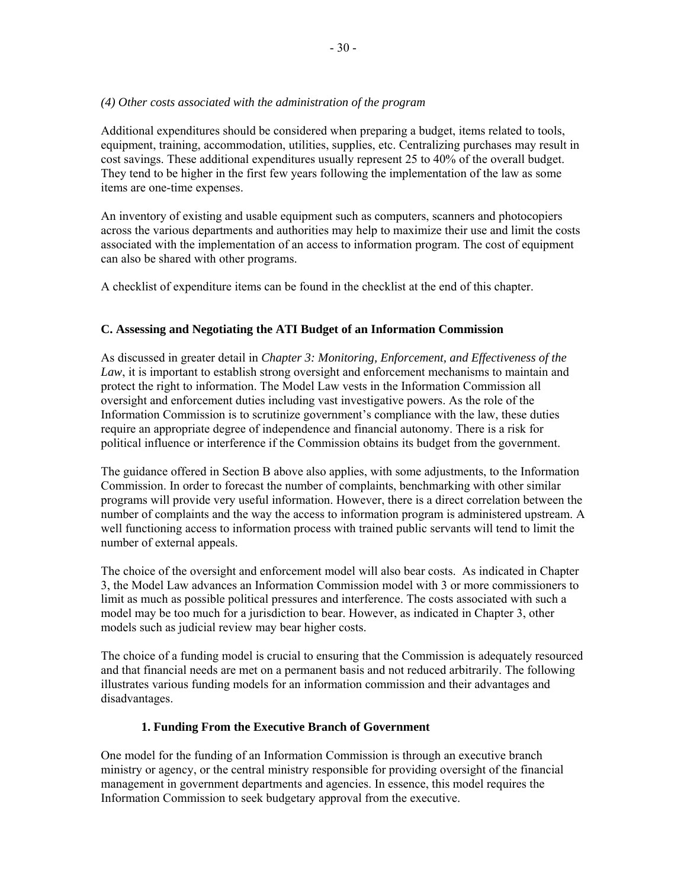### *(4) Other costs associated with the administration of the program*

Additional expenditures should be considered when preparing a budget, items related to tools, equipment, training, accommodation, utilities, supplies, etc. Centralizing purchases may result in cost savings. These additional expenditures usually represent 25 to 40% of the overall budget. They tend to be higher in the first few years following the implementation of the law as some items are one-time expenses.

An inventory of existing and usable equipment such as computers, scanners and photocopiers across the various departments and authorities may help to maximize their use and limit the costs associated with the implementation of an access to information program. The cost of equipment can also be shared with other programs.

A checklist of expenditure items can be found in the checklist at the end of this chapter.

## **C. Assessing and Negotiating the ATI Budget of an Information Commission**

As discussed in greater detail in *Chapter 3: Monitoring, Enforcement, and Effectiveness of the Law*, it is important to establish strong oversight and enforcement mechanisms to maintain and protect the right to information. The Model Law vests in the Information Commission all oversight and enforcement duties including vast investigative powers. As the role of the Information Commission is to scrutinize government's compliance with the law, these duties require an appropriate degree of independence and financial autonomy. There is a risk for political influence or interference if the Commission obtains its budget from the government.

The guidance offered in Section B above also applies, with some adjustments, to the Information Commission. In order to forecast the number of complaints, benchmarking with other similar programs will provide very useful information. However, there is a direct correlation between the number of complaints and the way the access to information program is administered upstream. A well functioning access to information process with trained public servants will tend to limit the number of external appeals.

The choice of the oversight and enforcement model will also bear costs. As indicated in Chapter 3, the Model Law advances an Information Commission model with 3 or more commissioners to limit as much as possible political pressures and interference. The costs associated with such a model may be too much for a jurisdiction to bear. However, as indicated in Chapter 3, other models such as judicial review may bear higher costs.

The choice of a funding model is crucial to ensuring that the Commission is adequately resourced and that financial needs are met on a permanent basis and not reduced arbitrarily. The following illustrates various funding models for an information commission and their advantages and disadvantages.

## **1. Funding From the Executive Branch of Government**

One model for the funding of an Information Commission is through an executive branch ministry or agency, or the central ministry responsible for providing oversight of the financial management in government departments and agencies. In essence, this model requires the Information Commission to seek budgetary approval from the executive.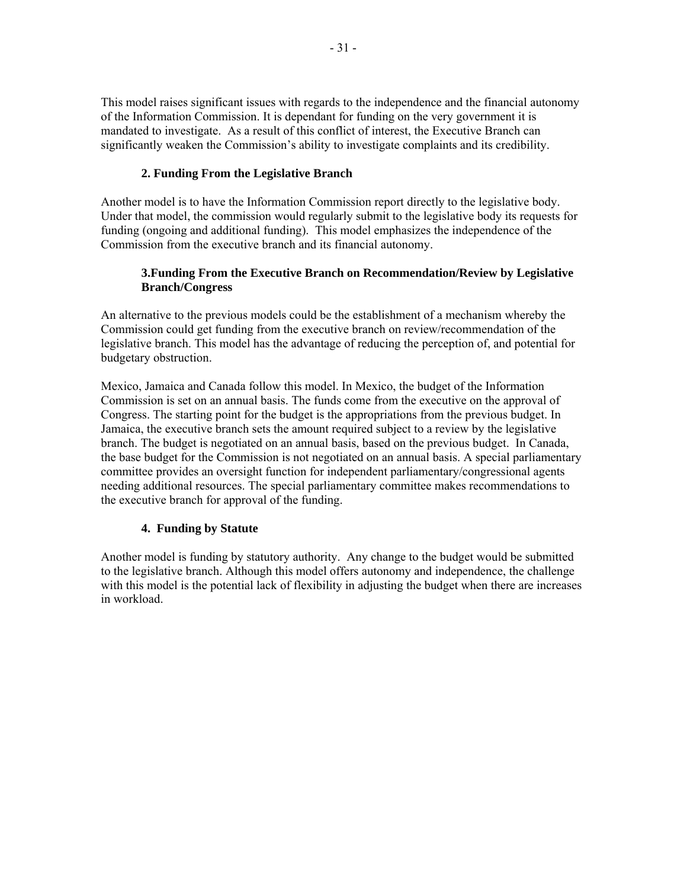This model raises significant issues with regards to the independence and the financial autonomy of the Information Commission. It is dependant for funding on the very government it is mandated to investigate. As a result of this conflict of interest, the Executive Branch can significantly weaken the Commission's ability to investigate complaints and its credibility.

## **2. Funding From the Legislative Branch**

Another model is to have the Information Commission report directly to the legislative body. Under that model, the commission would regularly submit to the legislative body its requests for funding (ongoing and additional funding). This model emphasizes the independence of the Commission from the executive branch and its financial autonomy.

## **3.Funding From the Executive Branch on Recommendation/Review by Legislative Branch/Congress**

An alternative to the previous models could be the establishment of a mechanism whereby the Commission could get funding from the executive branch on review/recommendation of the legislative branch. This model has the advantage of reducing the perception of, and potential for budgetary obstruction.

Mexico, Jamaica and Canada follow this model. In Mexico, the budget of the Information Commission is set on an annual basis. The funds come from the executive on the approval of Congress. The starting point for the budget is the appropriations from the previous budget. In Jamaica, the executive branch sets the amount required subject to a review by the legislative branch. The budget is negotiated on an annual basis, based on the previous budget. In Canada, the base budget for the Commission is not negotiated on an annual basis. A special parliamentary committee provides an oversight function for independent parliamentary/congressional agents needing additional resources. The special parliamentary committee makes recommendations to the executive branch for approval of the funding.

## **4. Funding by Statute**

Another model is funding by statutory authority. Any change to the budget would be submitted to the legislative branch. Although this model offers autonomy and independence, the challenge with this model is the potential lack of flexibility in adjusting the budget when there are increases in workload.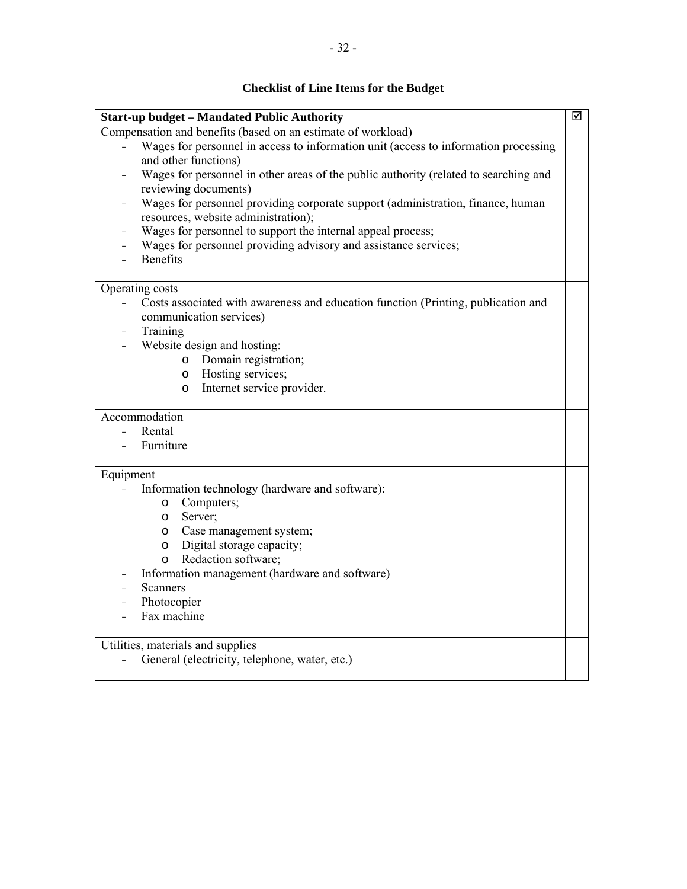# **Checklist of Line Items for the Budget**

| <b>Start-up budget - Mandated Public Authority</b>                                                            | ☑ |  |  |  |  |
|---------------------------------------------------------------------------------------------------------------|---|--|--|--|--|
| Compensation and benefits (based on an estimate of workload)                                                  |   |  |  |  |  |
| Wages for personnel in access to information unit (access to information processing<br>and other functions)   |   |  |  |  |  |
| Wages for personnel in other areas of the public authority (related to searching and<br>reviewing documents)  |   |  |  |  |  |
| Wages for personnel providing corporate support (administration, finance, human                               |   |  |  |  |  |
| resources, website administration);                                                                           |   |  |  |  |  |
| Wages for personnel to support the internal appeal process;                                                   |   |  |  |  |  |
| Wages for personnel providing advisory and assistance services;                                               |   |  |  |  |  |
| <b>Benefits</b>                                                                                               |   |  |  |  |  |
| Operating costs                                                                                               |   |  |  |  |  |
| Costs associated with awareness and education function (Printing, publication and<br>$\overline{\phantom{0}}$ |   |  |  |  |  |
| communication services)                                                                                       |   |  |  |  |  |
| Training                                                                                                      |   |  |  |  |  |
| Website design and hosting:                                                                                   |   |  |  |  |  |
| Domain registration;<br>$\circ$                                                                               |   |  |  |  |  |
| Hosting services;<br>O                                                                                        |   |  |  |  |  |
| Internet service provider.<br>$\circ$                                                                         |   |  |  |  |  |
| Accommodation                                                                                                 |   |  |  |  |  |
| Rental                                                                                                        |   |  |  |  |  |
| Furniture                                                                                                     |   |  |  |  |  |
|                                                                                                               |   |  |  |  |  |
| Equipment<br>Information technology (hardware and software):                                                  |   |  |  |  |  |
| Computers;<br>$\circ$                                                                                         |   |  |  |  |  |
| Server;                                                                                                       |   |  |  |  |  |
| $\circ$<br>Case management system;                                                                            |   |  |  |  |  |
| $\circ$<br>Digital storage capacity;                                                                          |   |  |  |  |  |
| $\circ$                                                                                                       |   |  |  |  |  |
| Redaction software;<br>$\circ$                                                                                |   |  |  |  |  |
| Information management (hardware and software)                                                                |   |  |  |  |  |
| Scanners                                                                                                      |   |  |  |  |  |
| Photocopier<br>Fax machine                                                                                    |   |  |  |  |  |
|                                                                                                               |   |  |  |  |  |
| Utilities, materials and supplies                                                                             |   |  |  |  |  |
| General (electricity, telephone, water, etc.)                                                                 |   |  |  |  |  |
|                                                                                                               |   |  |  |  |  |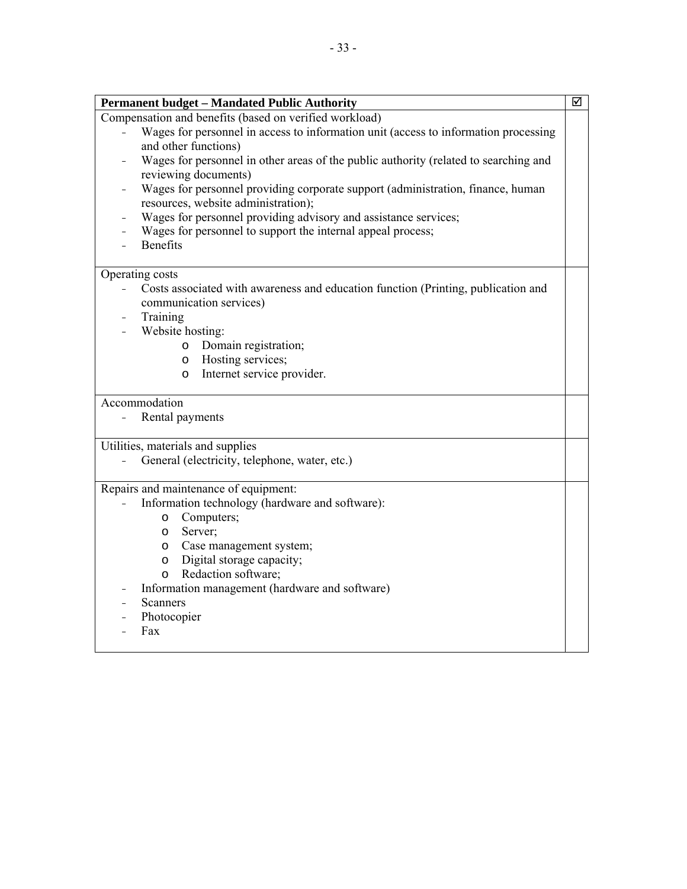| <b>Permanent budget - Mandated Public Authority</b><br>Compensation and benefits (based on verified workload)<br>Wages for personnel in access to information unit (access to information processing<br>and other functions)<br>Wages for personnel in other areas of the public authority (related to searching and |  |  |  |
|----------------------------------------------------------------------------------------------------------------------------------------------------------------------------------------------------------------------------------------------------------------------------------------------------------------------|--|--|--|
|                                                                                                                                                                                                                                                                                                                      |  |  |  |
|                                                                                                                                                                                                                                                                                                                      |  |  |  |
| reviewing documents)                                                                                                                                                                                                                                                                                                 |  |  |  |
| Wages for personnel providing corporate support (administration, finance, human<br>resources, website administration);<br>Wages for personnel providing advisory and assistance services;                                                                                                                            |  |  |  |
|                                                                                                                                                                                                                                                                                                                      |  |  |  |
| <b>Benefits</b>                                                                                                                                                                                                                                                                                                      |  |  |  |
| Operating costs                                                                                                                                                                                                                                                                                                      |  |  |  |
| Costs associated with awareness and education function (Printing, publication and<br>communication services)                                                                                                                                                                                                         |  |  |  |
| Training                                                                                                                                                                                                                                                                                                             |  |  |  |
| Website hosting:                                                                                                                                                                                                                                                                                                     |  |  |  |
| Domain registration;<br>$\circ$                                                                                                                                                                                                                                                                                      |  |  |  |
| Hosting services;<br>$\circ$                                                                                                                                                                                                                                                                                         |  |  |  |
| Internet service provider.<br>$\circ$                                                                                                                                                                                                                                                                                |  |  |  |
| Accommodation                                                                                                                                                                                                                                                                                                        |  |  |  |
| Rental payments                                                                                                                                                                                                                                                                                                      |  |  |  |
| Utilities, materials and supplies                                                                                                                                                                                                                                                                                    |  |  |  |
| General (electricity, telephone, water, etc.)                                                                                                                                                                                                                                                                        |  |  |  |
| Repairs and maintenance of equipment:                                                                                                                                                                                                                                                                                |  |  |  |
| Information technology (hardware and software):                                                                                                                                                                                                                                                                      |  |  |  |
| Computers;<br>$\circ$                                                                                                                                                                                                                                                                                                |  |  |  |
| Server;<br>O                                                                                                                                                                                                                                                                                                         |  |  |  |
| Case management system;<br>$\circ$                                                                                                                                                                                                                                                                                   |  |  |  |
| Digital storage capacity;<br>O                                                                                                                                                                                                                                                                                       |  |  |  |
| Redaction software;<br>$\circ$                                                                                                                                                                                                                                                                                       |  |  |  |
| Information management (hardware and software)                                                                                                                                                                                                                                                                       |  |  |  |
| <b>Scanners</b>                                                                                                                                                                                                                                                                                                      |  |  |  |
| Photocopier<br>Fax                                                                                                                                                                                                                                                                                                   |  |  |  |
|                                                                                                                                                                                                                                                                                                                      |  |  |  |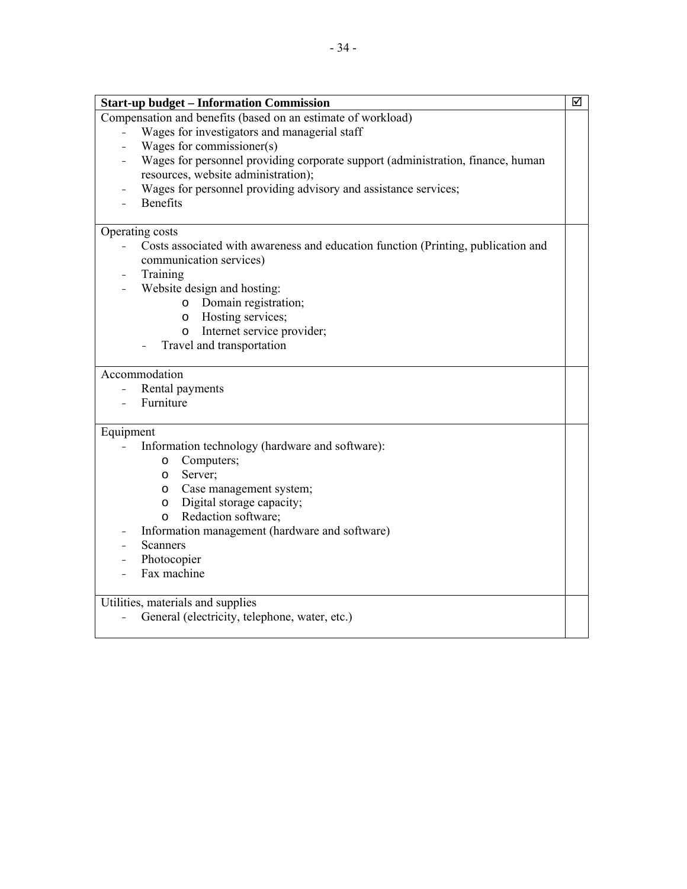| <b>Start-up budget – Information Commission</b>                                   | ☑ |
|-----------------------------------------------------------------------------------|---|
| Compensation and benefits (based on an estimate of workload)                      |   |
| Wages for investigators and managerial staff                                      |   |
| Wages for commissioner(s)                                                         |   |
| Wages for personnel providing corporate support (administration, finance, human   |   |
| resources, website administration);                                               |   |
| Wages for personnel providing advisory and assistance services;                   |   |
| <b>Benefits</b>                                                                   |   |
|                                                                                   |   |
| Operating costs                                                                   |   |
| Costs associated with awareness and education function (Printing, publication and |   |
| communication services)                                                           |   |
| Training                                                                          |   |
| Website design and hosting:                                                       |   |
| Domain registration;<br>$\circ$                                                   |   |
| Hosting services;<br>$\circ$                                                      |   |
| Internet service provider;<br>$\circ$                                             |   |
| Travel and transportation                                                         |   |
|                                                                                   |   |
| Accommodation                                                                     |   |

- Rental payments<br>- Furniture
- Furniture

## Equipment

- Information technology (hardware and software):
	- o Computers;
	- o Server;
	- o Case management system;
	- o Digital storage capacity;
	- o Redaction software;
- Information management (hardware and software)
- Scanners
- Photocopier<br>- Fax machine
- Fax machine

Utilities, materials and supplies

- General (electricity, telephone, water, etc.)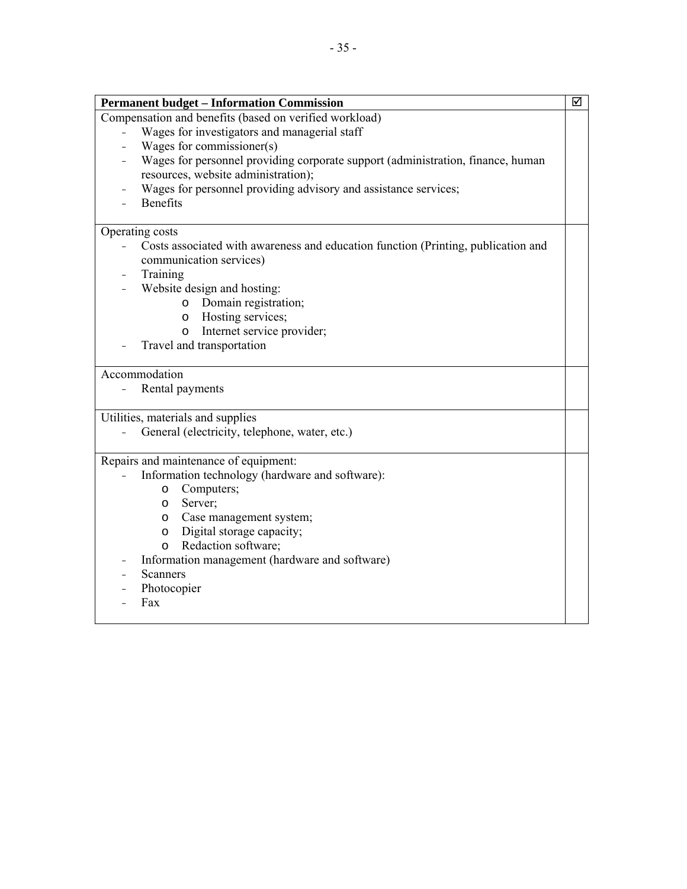| <b>Permanent budget - Information Commission</b>                                                    | ☑ |  |  |
|-----------------------------------------------------------------------------------------------------|---|--|--|
| Compensation and benefits (based on verified workload)                                              |   |  |  |
| Wages for investigators and managerial staff                                                        |   |  |  |
| Wages for commissioner(s)                                                                           |   |  |  |
| Wages for personnel providing corporate support (administration, finance, human                     |   |  |  |
| resources, website administration);                                                                 |   |  |  |
| Wages for personnel providing advisory and assistance services;                                     |   |  |  |
| <b>Benefits</b>                                                                                     |   |  |  |
| Operating costs                                                                                     |   |  |  |
| Costs associated with awareness and education function (Printing, publication and<br>$\overline{a}$ |   |  |  |
| communication services)                                                                             |   |  |  |
| Training                                                                                            |   |  |  |
| Website design and hosting:                                                                         |   |  |  |
| Domain registration;<br>$\circ$                                                                     |   |  |  |
| Hosting services;<br>$\circ$                                                                        |   |  |  |
| Internet service provider;<br>$\circ$                                                               |   |  |  |
| Travel and transportation                                                                           |   |  |  |
|                                                                                                     |   |  |  |
| Accommodation                                                                                       |   |  |  |
| Rental payments                                                                                     |   |  |  |
| Utilities, materials and supplies                                                                   |   |  |  |
| General (electricity, telephone, water, etc.)                                                       |   |  |  |
|                                                                                                     |   |  |  |
| Repairs and maintenance of equipment:                                                               |   |  |  |
| Information technology (hardware and software):<br>Computers;                                       |   |  |  |
| $\circ$<br>Server;<br>$\circ$                                                                       |   |  |  |
| Case management system;<br>$\circ$                                                                  |   |  |  |
| Digital storage capacity;<br>$\circ$                                                                |   |  |  |
| Redaction software;<br>$\circ$                                                                      |   |  |  |
| Information management (hardware and software)                                                      |   |  |  |
| <b>Scanners</b>                                                                                     |   |  |  |
| Photocopier                                                                                         |   |  |  |
| Fax                                                                                                 |   |  |  |
|                                                                                                     |   |  |  |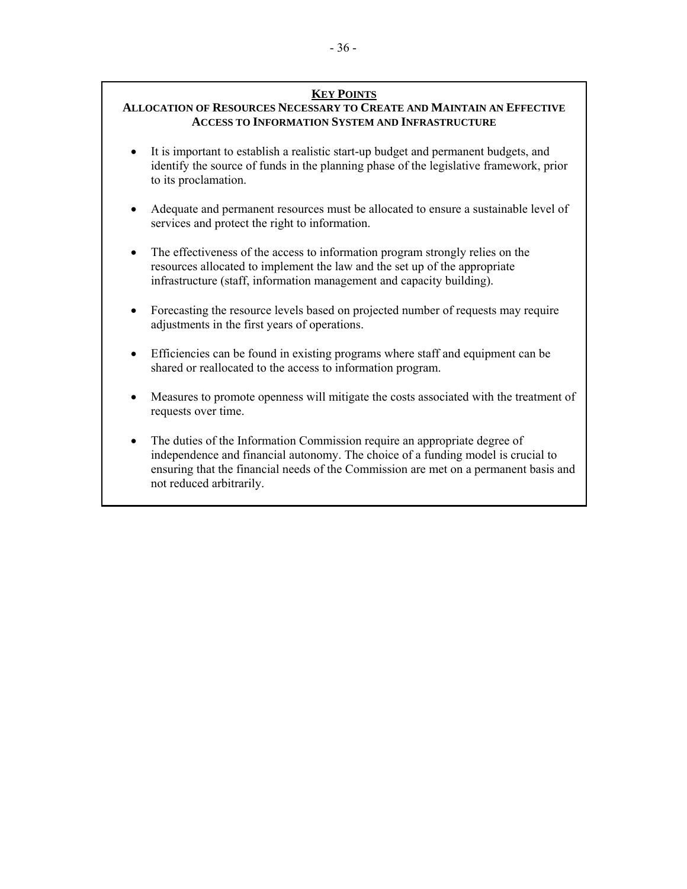## **KEY POINTS**

## **ALLOCATION OF RESOURCES NECESSARY TO CREATE AND MAINTAIN AN EFFECTIVE ACCESS TO INFORMATION SYSTEM AND INFRASTRUCTURE**

- It is important to establish a realistic start-up budget and permanent budgets, and identify the source of funds in the planning phase of the legislative framework, prior to its proclamation.
- Adequate and permanent resources must be allocated to ensure a sustainable level of services and protect the right to information.
- The effectiveness of the access to information program strongly relies on the resources allocated to implement the law and the set up of the appropriate infrastructure (staff, information management and capacity building).
- Forecasting the resource levels based on projected number of requests may require adjustments in the first years of operations.
- Efficiencies can be found in existing programs where staff and equipment can be shared or reallocated to the access to information program.
- Measures to promote openness will mitigate the costs associated with the treatment of requests over time.
- The duties of the Information Commission require an appropriate degree of independence and financial autonomy. The choice of a funding model is crucial to ensuring that the financial needs of the Commission are met on a permanent basis and not reduced arbitrarily.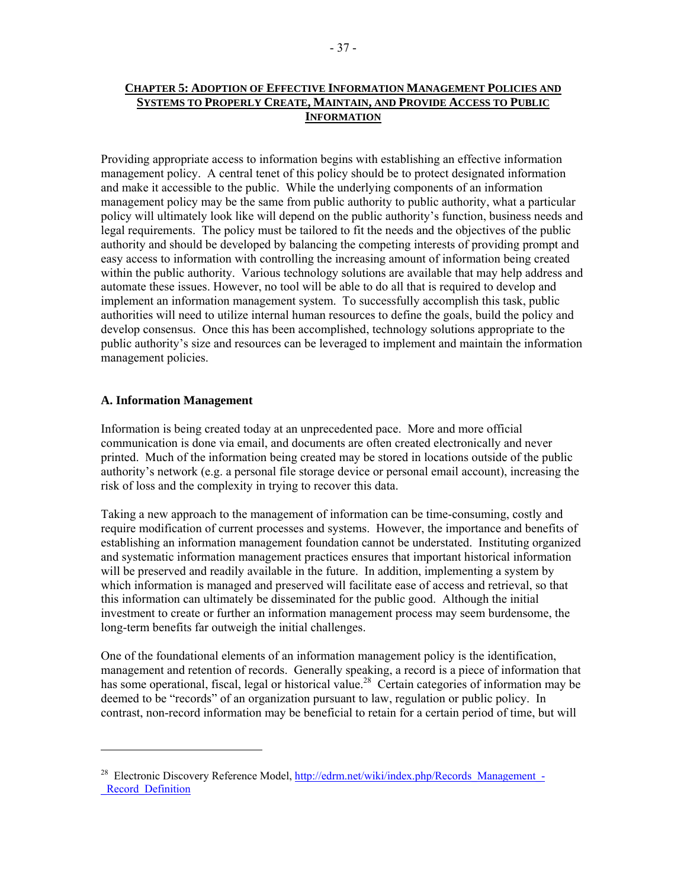## **CHAPTER 5: ADOPTION OF EFFECTIVE INFORMATION MANAGEMENT POLICIES AND SYSTEMS TO PROPERLY CREATE, MAINTAIN, AND PROVIDE ACCESS TO PUBLIC INFORMATION**

Providing appropriate access to information begins with establishing an effective information management policy. A central tenet of this policy should be to protect designated information and make it accessible to the public. While the underlying components of an information management policy may be the same from public authority to public authority, what a particular policy will ultimately look like will depend on the public authority's function, business needs and legal requirements. The policy must be tailored to fit the needs and the objectives of the public authority and should be developed by balancing the competing interests of providing prompt and easy access to information with controlling the increasing amount of information being created within the public authority. Various technology solutions are available that may help address and automate these issues. However, no tool will be able to do all that is required to develop and implement an information management system. To successfully accomplish this task, public authorities will need to utilize internal human resources to define the goals, build the policy and develop consensus. Once this has been accomplished, technology solutions appropriate to the public authority's size and resources can be leveraged to implement and maintain the information management policies.

## **A. Information Management**

Information is being created today at an unprecedented pace. More and more official communication is done via email, and documents are often created electronically and never printed. Much of the information being created may be stored in locations outside of the public authority's network (e.g. a personal file storage device or personal email account), increasing the risk of loss and the complexity in trying to recover this data.

Taking a new approach to the management of information can be time-consuming, costly and require modification of current processes and systems. However, the importance and benefits of establishing an information management foundation cannot be understated. Instituting organized and systematic information management practices ensures that important historical information will be preserved and readily available in the future. In addition, implementing a system by which information is managed and preserved will facilitate ease of access and retrieval, so that this information can ultimately be disseminated for the public good. Although the initial investment to create or further an information management process may seem burdensome, the long-term benefits far outweigh the initial challenges.

One of the foundational elements of an information management policy is the identification, management and retention of records. Generally speaking, a record is a piece of information that has some operational, fiscal, legal or historical value.<sup>28</sup> Certain categories of information may be deemed to be "records" of an organization pursuant to law, regulation or public policy. In contrast, non-record information may be beneficial to retain for a certain period of time, but will

<sup>&</sup>lt;sup>28</sup> Electronic Discovery Reference Model, http://edrm.net/wiki/index.php/Records\_Management\_-Record Definition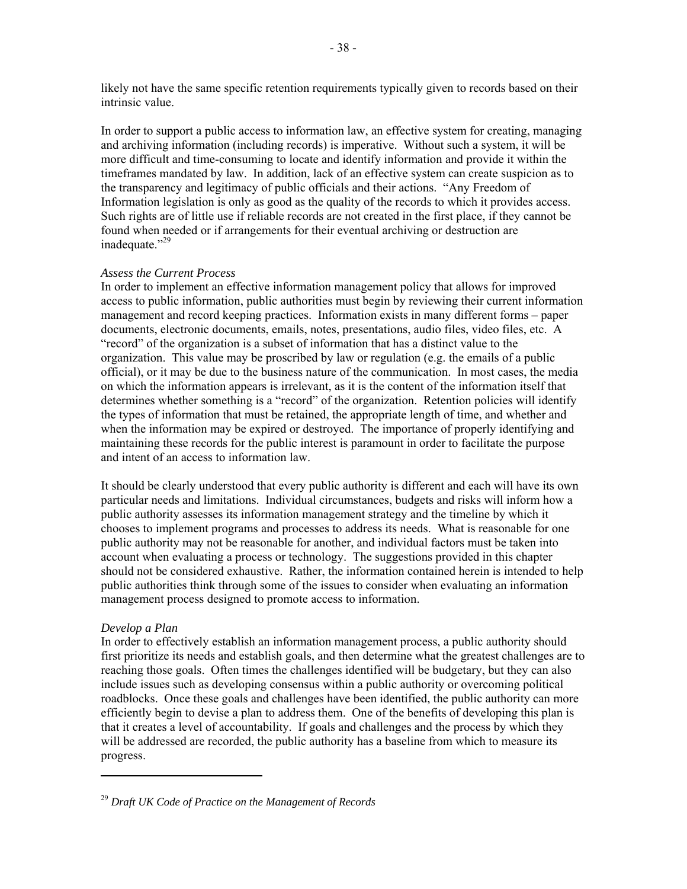likely not have the same specific retention requirements typically given to records based on their intrinsic value.

In order to support a public access to information law, an effective system for creating, managing and archiving information (including records) is imperative. Without such a system, it will be more difficult and time-consuming to locate and identify information and provide it within the timeframes mandated by law. In addition, lack of an effective system can create suspicion as to the transparency and legitimacy of public officials and their actions. "Any Freedom of Information legislation is only as good as the quality of the records to which it provides access. Such rights are of little use if reliable records are not created in the first place, if they cannot be found when needed or if arrangements for their eventual archiving or destruction are inadequate."<sup>29</sup>

#### *Assess the Current Process*

In order to implement an effective information management policy that allows for improved access to public information, public authorities must begin by reviewing their current information management and record keeping practices. Information exists in many different forms – paper documents, electronic documents, emails, notes, presentations, audio files, video files, etc. A "record" of the organization is a subset of information that has a distinct value to the organization. This value may be proscribed by law or regulation (e.g. the emails of a public official), or it may be due to the business nature of the communication. In most cases, the media on which the information appears is irrelevant, as it is the content of the information itself that determines whether something is a "record" of the organization. Retention policies will identify the types of information that must be retained, the appropriate length of time, and whether and when the information may be expired or destroyed. The importance of properly identifying and maintaining these records for the public interest is paramount in order to facilitate the purpose and intent of an access to information law.

It should be clearly understood that every public authority is different and each will have its own particular needs and limitations. Individual circumstances, budgets and risks will inform how a public authority assesses its information management strategy and the timeline by which it chooses to implement programs and processes to address its needs. What is reasonable for one public authority may not be reasonable for another, and individual factors must be taken into account when evaluating a process or technology. The suggestions provided in this chapter should not be considered exhaustive. Rather, the information contained herein is intended to help public authorities think through some of the issues to consider when evaluating an information management process designed to promote access to information.

#### *Develop a Plan*

In order to effectively establish an information management process, a public authority should first prioritize its needs and establish goals, and then determine what the greatest challenges are to reaching those goals. Often times the challenges identified will be budgetary, but they can also include issues such as developing consensus within a public authority or overcoming political roadblocks. Once these goals and challenges have been identified, the public authority can more efficiently begin to devise a plan to address them. One of the benefits of developing this plan is that it creates a level of accountability. If goals and challenges and the process by which they will be addressed are recorded, the public authority has a baseline from which to measure its progress.

<sup>29</sup> *Draft UK Code of Practice on the Management of Records*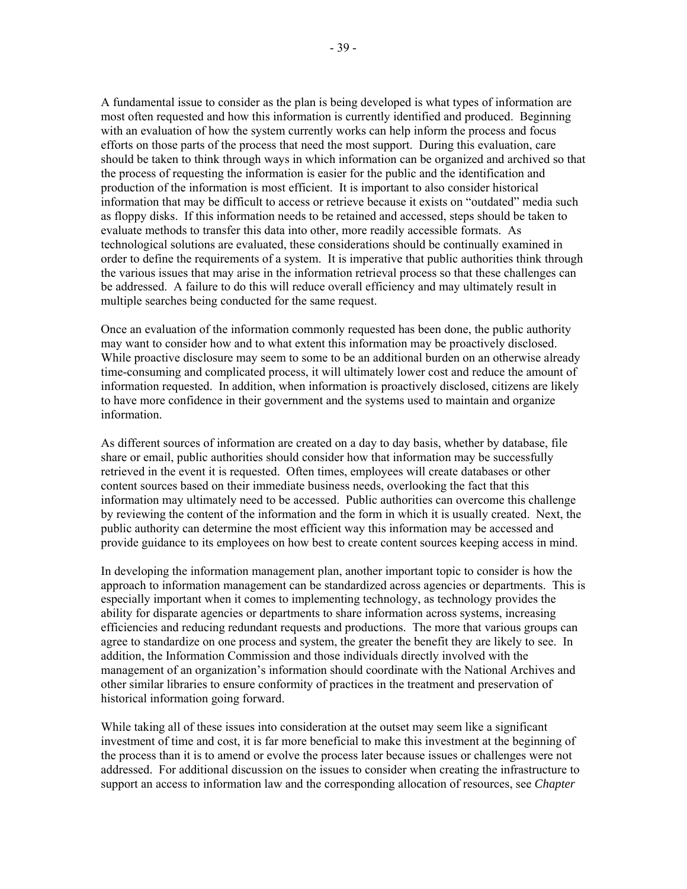A fundamental issue to consider as the plan is being developed is what types of information are most often requested and how this information is currently identified and produced. Beginning with an evaluation of how the system currently works can help inform the process and focus efforts on those parts of the process that need the most support. During this evaluation, care should be taken to think through ways in which information can be organized and archived so that the process of requesting the information is easier for the public and the identification and production of the information is most efficient. It is important to also consider historical information that may be difficult to access or retrieve because it exists on "outdated" media such as floppy disks. If this information needs to be retained and accessed, steps should be taken to evaluate methods to transfer this data into other, more readily accessible formats. As technological solutions are evaluated, these considerations should be continually examined in order to define the requirements of a system. It is imperative that public authorities think through the various issues that may arise in the information retrieval process so that these challenges can be addressed. A failure to do this will reduce overall efficiency and may ultimately result in multiple searches being conducted for the same request.

Once an evaluation of the information commonly requested has been done, the public authority may want to consider how and to what extent this information may be proactively disclosed. While proactive disclosure may seem to some to be an additional burden on an otherwise already time-consuming and complicated process, it will ultimately lower cost and reduce the amount of information requested. In addition, when information is proactively disclosed, citizens are likely to have more confidence in their government and the systems used to maintain and organize information.

As different sources of information are created on a day to day basis, whether by database, file share or email, public authorities should consider how that information may be successfully retrieved in the event it is requested. Often times, employees will create databases or other content sources based on their immediate business needs, overlooking the fact that this information may ultimately need to be accessed. Public authorities can overcome this challenge by reviewing the content of the information and the form in which it is usually created. Next, the public authority can determine the most efficient way this information may be accessed and provide guidance to its employees on how best to create content sources keeping access in mind.

In developing the information management plan, another important topic to consider is how the approach to information management can be standardized across agencies or departments. This is especially important when it comes to implementing technology, as technology provides the ability for disparate agencies or departments to share information across systems, increasing efficiencies and reducing redundant requests and productions. The more that various groups can agree to standardize on one process and system, the greater the benefit they are likely to see. In addition, the Information Commission and those individuals directly involved with the management of an organization's information should coordinate with the National Archives and other similar libraries to ensure conformity of practices in the treatment and preservation of historical information going forward.

While taking all of these issues into consideration at the outset may seem like a significant investment of time and cost, it is far more beneficial to make this investment at the beginning of the process than it is to amend or evolve the process later because issues or challenges were not addressed. For additional discussion on the issues to consider when creating the infrastructure to support an access to information law and the corresponding allocation of resources, see *Chapter*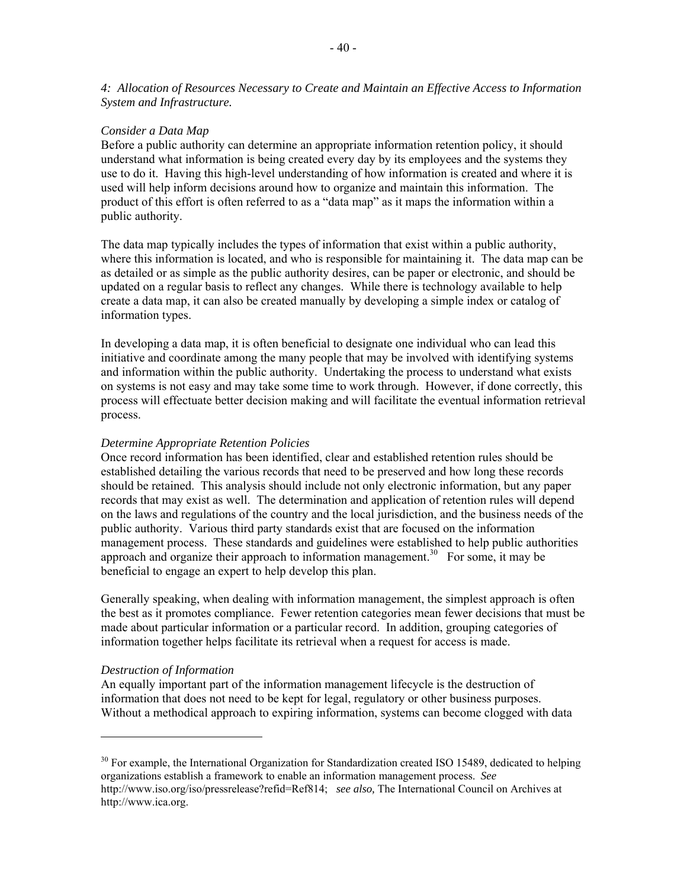#### *Consider a Data Map*

Before a public authority can determine an appropriate information retention policy, it should understand what information is being created every day by its employees and the systems they use to do it. Having this high-level understanding of how information is created and where it is used will help inform decisions around how to organize and maintain this information. The product of this effort is often referred to as a "data map" as it maps the information within a public authority.

The data map typically includes the types of information that exist within a public authority, where this information is located, and who is responsible for maintaining it. The data map can be as detailed or as simple as the public authority desires, can be paper or electronic, and should be updated on a regular basis to reflect any changes. While there is technology available to help create a data map, it can also be created manually by developing a simple index or catalog of information types.

In developing a data map, it is often beneficial to designate one individual who can lead this initiative and coordinate among the many people that may be involved with identifying systems and information within the public authority. Undertaking the process to understand what exists on systems is not easy and may take some time to work through. However, if done correctly, this process will effectuate better decision making and will facilitate the eventual information retrieval process.

### *Determine Appropriate Retention Policies*

Once record information has been identified, clear and established retention rules should be established detailing the various records that need to be preserved and how long these records should be retained. This analysis should include not only electronic information, but any paper records that may exist as well. The determination and application of retention rules will depend on the laws and regulations of the country and the local jurisdiction, and the business needs of the public authority. Various third party standards exist that are focused on the information management process. These standards and guidelines were established to help public authorities approach and organize their approach to information management.<sup>30</sup> For some, it may be beneficial to engage an expert to help develop this plan.

Generally speaking, when dealing with information management, the simplest approach is often the best as it promotes compliance. Fewer retention categories mean fewer decisions that must be made about particular information or a particular record. In addition, grouping categories of information together helps facilitate its retrieval when a request for access is made.

#### *Destruction of Information*

An equally important part of the information management lifecycle is the destruction of information that does not need to be kept for legal, regulatory or other business purposes. Without a methodical approach to expiring information, systems can become clogged with data

<sup>&</sup>lt;sup>30</sup> For example, the International Organization for Standardization created ISO 15489, dedicated to helping organizations establish a framework to enable an information management process. *See*  http://www.iso.org/iso/pressrelease?refid=Ref814; *see also,* The International Council on Archives at http://www.ica.org.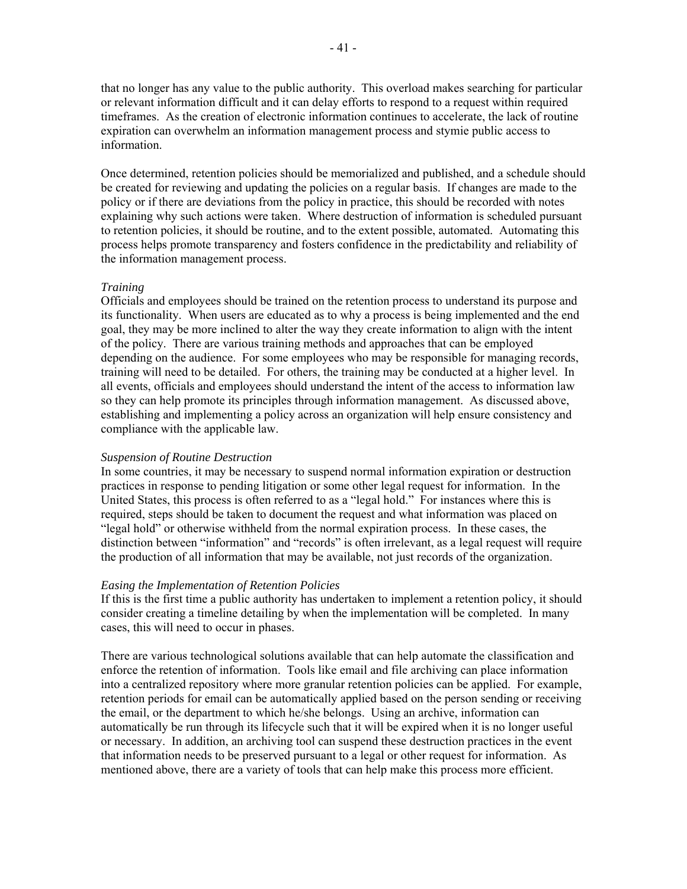that no longer has any value to the public authority. This overload makes searching for particular or relevant information difficult and it can delay efforts to respond to a request within required timeframes. As the creation of electronic information continues to accelerate, the lack of routine expiration can overwhelm an information management process and stymie public access to information.

Once determined, retention policies should be memorialized and published, and a schedule should be created for reviewing and updating the policies on a regular basis. If changes are made to the policy or if there are deviations from the policy in practice, this should be recorded with notes explaining why such actions were taken. Where destruction of information is scheduled pursuant to retention policies, it should be routine, and to the extent possible, automated. Automating this process helps promote transparency and fosters confidence in the predictability and reliability of the information management process.

#### *Training*

Officials and employees should be trained on the retention process to understand its purpose and its functionality. When users are educated as to why a process is being implemented and the end goal, they may be more inclined to alter the way they create information to align with the intent of the policy. There are various training methods and approaches that can be employed depending on the audience. For some employees who may be responsible for managing records, training will need to be detailed. For others, the training may be conducted at a higher level. In all events, officials and employees should understand the intent of the access to information law so they can help promote its principles through information management. As discussed above, establishing and implementing a policy across an organization will help ensure consistency and compliance with the applicable law.

## *Suspension of Routine Destruction*

In some countries, it may be necessary to suspend normal information expiration or destruction practices in response to pending litigation or some other legal request for information. In the United States, this process is often referred to as a "legal hold." For instances where this is required, steps should be taken to document the request and what information was placed on "legal hold" or otherwise withheld from the normal expiration process. In these cases, the distinction between "information" and "records" is often irrelevant, as a legal request will require the production of all information that may be available, not just records of the organization.

#### *Easing the Implementation of Retention Policies*

If this is the first time a public authority has undertaken to implement a retention policy, it should consider creating a timeline detailing by when the implementation will be completed. In many cases, this will need to occur in phases.

There are various technological solutions available that can help automate the classification and enforce the retention of information. Tools like email and file archiving can place information into a centralized repository where more granular retention policies can be applied. For example, retention periods for email can be automatically applied based on the person sending or receiving the email, or the department to which he/she belongs. Using an archive, information can automatically be run through its lifecycle such that it will be expired when it is no longer useful or necessary. In addition, an archiving tool can suspend these destruction practices in the event that information needs to be preserved pursuant to a legal or other request for information. As mentioned above, there are a variety of tools that can help make this process more efficient.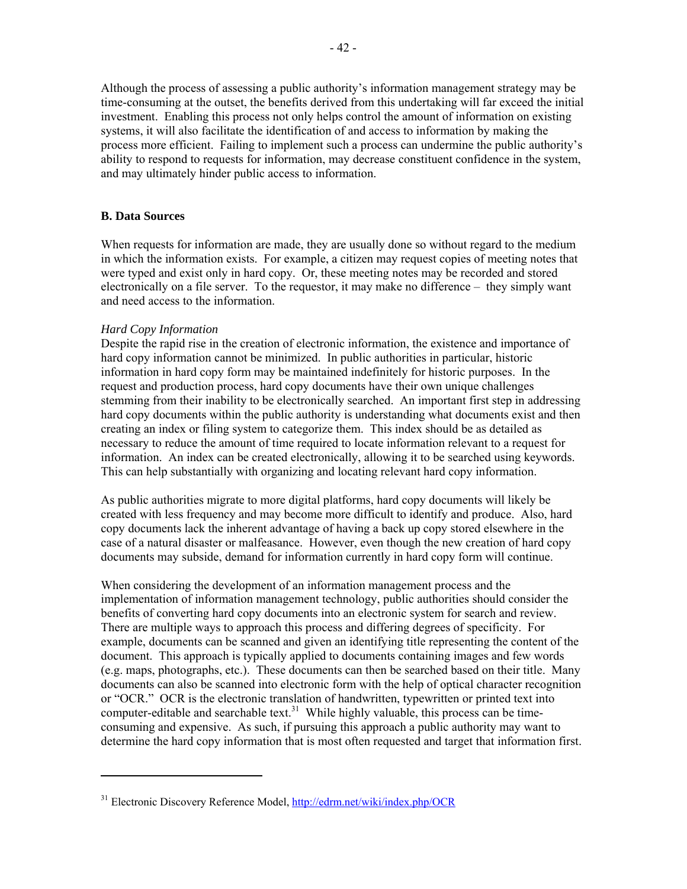Although the process of assessing a public authority's information management strategy may be time-consuming at the outset, the benefits derived from this undertaking will far exceed the initial investment. Enabling this process not only helps control the amount of information on existing systems, it will also facilitate the identification of and access to information by making the process more efficient. Failing to implement such a process can undermine the public authority's ability to respond to requests for information, may decrease constituent confidence in the system, and may ultimately hinder public access to information.

## **B. Data Sources**

When requests for information are made, they are usually done so without regard to the medium in which the information exists. For example, a citizen may request copies of meeting notes that were typed and exist only in hard copy. Or, these meeting notes may be recorded and stored electronically on a file server. To the requestor, it may make no difference – they simply want and need access to the information.

#### *Hard Copy Information*

Despite the rapid rise in the creation of electronic information, the existence and importance of hard copy information cannot be minimized. In public authorities in particular, historic information in hard copy form may be maintained indefinitely for historic purposes. In the request and production process, hard copy documents have their own unique challenges stemming from their inability to be electronically searched. An important first step in addressing hard copy documents within the public authority is understanding what documents exist and then creating an index or filing system to categorize them. This index should be as detailed as necessary to reduce the amount of time required to locate information relevant to a request for information. An index can be created electronically, allowing it to be searched using keywords. This can help substantially with organizing and locating relevant hard copy information.

As public authorities migrate to more digital platforms, hard copy documents will likely be created with less frequency and may become more difficult to identify and produce. Also, hard copy documents lack the inherent advantage of having a back up copy stored elsewhere in the case of a natural disaster or malfeasance. However, even though the new creation of hard copy documents may subside, demand for information currently in hard copy form will continue.

When considering the development of an information management process and the implementation of information management technology, public authorities should consider the benefits of converting hard copy documents into an electronic system for search and review. There are multiple ways to approach this process and differing degrees of specificity. For example, documents can be scanned and given an identifying title representing the content of the document. This approach is typically applied to documents containing images and few words (e.g. maps, photographs, etc.). These documents can then be searched based on their title. Many documents can also be scanned into electronic form with the help of optical character recognition or "OCR." OCR is the electronic translation of handwritten, typewritten or printed text into computer-editable and searchable text.<sup>31</sup> While highly valuable, this process can be timeconsuming and expensive. As such, if pursuing this approach a public authority may want to determine the hard copy information that is most often requested and target that information first.

<sup>&</sup>lt;sup>31</sup> Electronic Discovery Reference Model, http://edrm.net/wiki/index.php/OCR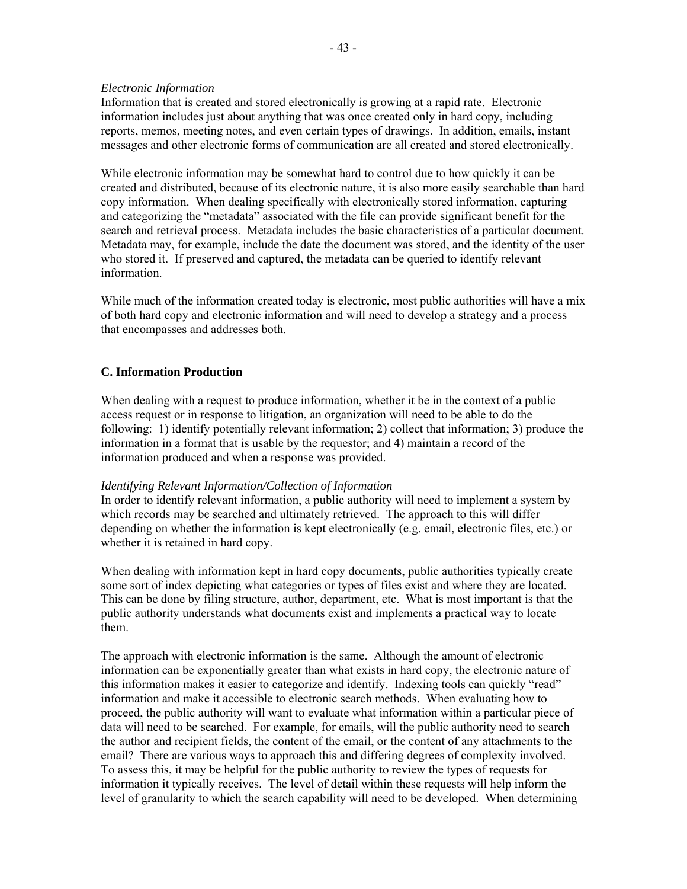#### *Electronic Information*

Information that is created and stored electronically is growing at a rapid rate. Electronic information includes just about anything that was once created only in hard copy, including reports, memos, meeting notes, and even certain types of drawings. In addition, emails, instant messages and other electronic forms of communication are all created and stored electronically.

While electronic information may be somewhat hard to control due to how quickly it can be created and distributed, because of its electronic nature, it is also more easily searchable than hard copy information. When dealing specifically with electronically stored information, capturing and categorizing the "metadata" associated with the file can provide significant benefit for the search and retrieval process. Metadata includes the basic characteristics of a particular document. Metadata may, for example, include the date the document was stored, and the identity of the user who stored it. If preserved and captured, the metadata can be queried to identify relevant information.

While much of the information created today is electronic, most public authorities will have a mix of both hard copy and electronic information and will need to develop a strategy and a process that encompasses and addresses both.

## **C. Information Production**

When dealing with a request to produce information, whether it be in the context of a public access request or in response to litigation, an organization will need to be able to do the following: 1) identify potentially relevant information; 2) collect that information; 3) produce the information in a format that is usable by the requestor; and 4) maintain a record of the information produced and when a response was provided.

#### *Identifying Relevant Information/Collection of Information*

In order to identify relevant information, a public authority will need to implement a system by which records may be searched and ultimately retrieved. The approach to this will differ depending on whether the information is kept electronically (e.g. email, electronic files, etc.) or whether it is retained in hard copy.

When dealing with information kept in hard copy documents, public authorities typically create some sort of index depicting what categories or types of files exist and where they are located. This can be done by filing structure, author, department, etc. What is most important is that the public authority understands what documents exist and implements a practical way to locate them.

The approach with electronic information is the same. Although the amount of electronic information can be exponentially greater than what exists in hard copy, the electronic nature of this information makes it easier to categorize and identify. Indexing tools can quickly "read" information and make it accessible to electronic search methods. When evaluating how to proceed, the public authority will want to evaluate what information within a particular piece of data will need to be searched. For example, for emails, will the public authority need to search the author and recipient fields, the content of the email, or the content of any attachments to the email? There are various ways to approach this and differing degrees of complexity involved. To assess this, it may be helpful for the public authority to review the types of requests for information it typically receives. The level of detail within these requests will help inform the level of granularity to which the search capability will need to be developed. When determining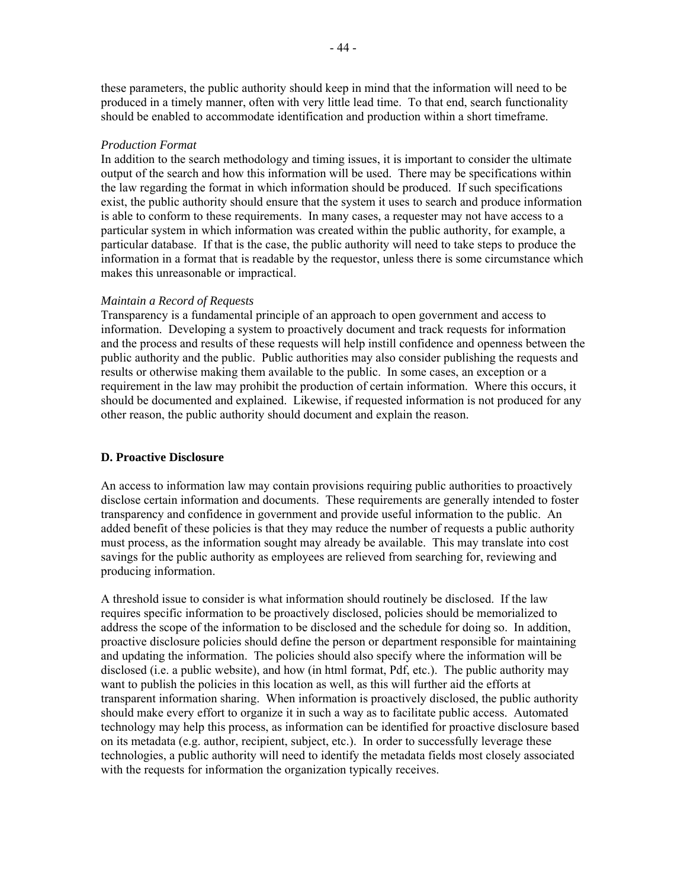these parameters, the public authority should keep in mind that the information will need to be produced in a timely manner, often with very little lead time. To that end, search functionality should be enabled to accommodate identification and production within a short timeframe.

#### *Production Format*

In addition to the search methodology and timing issues, it is important to consider the ultimate output of the search and how this information will be used. There may be specifications within the law regarding the format in which information should be produced. If such specifications exist, the public authority should ensure that the system it uses to search and produce information is able to conform to these requirements. In many cases, a requester may not have access to a particular system in which information was created within the public authority, for example, a particular database. If that is the case, the public authority will need to take steps to produce the information in a format that is readable by the requestor, unless there is some circumstance which makes this unreasonable or impractical.

#### *Maintain a Record of Requests*

Transparency is a fundamental principle of an approach to open government and access to information. Developing a system to proactively document and track requests for information and the process and results of these requests will help instill confidence and openness between the public authority and the public. Public authorities may also consider publishing the requests and results or otherwise making them available to the public. In some cases, an exception or a requirement in the law may prohibit the production of certain information. Where this occurs, it should be documented and explained. Likewise, if requested information is not produced for any other reason, the public authority should document and explain the reason.

#### **D. Proactive Disclosure**

An access to information law may contain provisions requiring public authorities to proactively disclose certain information and documents. These requirements are generally intended to foster transparency and confidence in government and provide useful information to the public. An added benefit of these policies is that they may reduce the number of requests a public authority must process, as the information sought may already be available. This may translate into cost savings for the public authority as employees are relieved from searching for, reviewing and producing information.

A threshold issue to consider is what information should routinely be disclosed. If the law requires specific information to be proactively disclosed, policies should be memorialized to address the scope of the information to be disclosed and the schedule for doing so. In addition, proactive disclosure policies should define the person or department responsible for maintaining and updating the information. The policies should also specify where the information will be disclosed (i.e. a public website), and how (in html format, Pdf, etc.). The public authority may want to publish the policies in this location as well, as this will further aid the efforts at transparent information sharing. When information is proactively disclosed, the public authority should make every effort to organize it in such a way as to facilitate public access. Automated technology may help this process, as information can be identified for proactive disclosure based on its metadata (e.g. author, recipient, subject, etc.). In order to successfully leverage these technologies, a public authority will need to identify the metadata fields most closely associated with the requests for information the organization typically receives.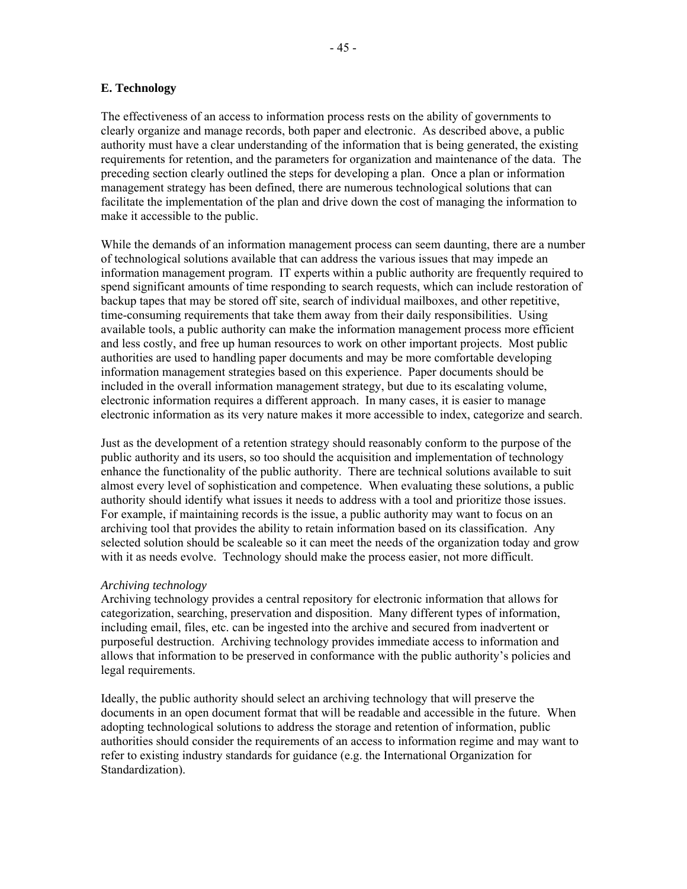The effectiveness of an access to information process rests on the ability of governments to clearly organize and manage records, both paper and electronic. As described above, a public authority must have a clear understanding of the information that is being generated, the existing requirements for retention, and the parameters for organization and maintenance of the data. The preceding section clearly outlined the steps for developing a plan. Once a plan or information management strategy has been defined, there are numerous technological solutions that can facilitate the implementation of the plan and drive down the cost of managing the information to make it accessible to the public.

While the demands of an information management process can seem daunting, there are a number of technological solutions available that can address the various issues that may impede an information management program. IT experts within a public authority are frequently required to spend significant amounts of time responding to search requests, which can include restoration of backup tapes that may be stored off site, search of individual mailboxes, and other repetitive, time-consuming requirements that take them away from their daily responsibilities. Using available tools, a public authority can make the information management process more efficient and less costly, and free up human resources to work on other important projects. Most public authorities are used to handling paper documents and may be more comfortable developing information management strategies based on this experience. Paper documents should be included in the overall information management strategy, but due to its escalating volume, electronic information requires a different approach. In many cases, it is easier to manage electronic information as its very nature makes it more accessible to index, categorize and search.

Just as the development of a retention strategy should reasonably conform to the purpose of the public authority and its users, so too should the acquisition and implementation of technology enhance the functionality of the public authority. There are technical solutions available to suit almost every level of sophistication and competence. When evaluating these solutions, a public authority should identify what issues it needs to address with a tool and prioritize those issues. For example, if maintaining records is the issue, a public authority may want to focus on an archiving tool that provides the ability to retain information based on its classification. Any selected solution should be scaleable so it can meet the needs of the organization today and grow with it as needs evolve. Technology should make the process easier, not more difficult.

### *Archiving technology*

Archiving technology provides a central repository for electronic information that allows for categorization, searching, preservation and disposition. Many different types of information, including email, files, etc. can be ingested into the archive and secured from inadvertent or purposeful destruction. Archiving technology provides immediate access to information and allows that information to be preserved in conformance with the public authority's policies and legal requirements.

Ideally, the public authority should select an archiving technology that will preserve the documents in an open document format that will be readable and accessible in the future. When adopting technological solutions to address the storage and retention of information, public authorities should consider the requirements of an access to information regime and may want to refer to existing industry standards for guidance (e.g. the International Organization for Standardization).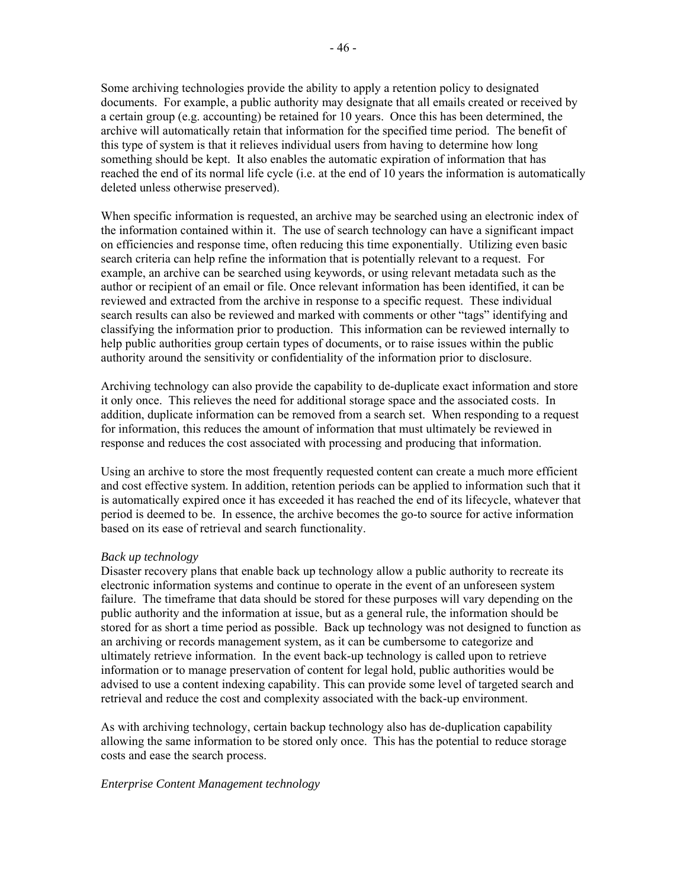Some archiving technologies provide the ability to apply a retention policy to designated documents. For example, a public authority may designate that all emails created or received by a certain group (e.g. accounting) be retained for 10 years. Once this has been determined, the archive will automatically retain that information for the specified time period. The benefit of this type of system is that it relieves individual users from having to determine how long something should be kept. It also enables the automatic expiration of information that has reached the end of its normal life cycle (i.e. at the end of 10 years the information is automatically deleted unless otherwise preserved).

When specific information is requested, an archive may be searched using an electronic index of the information contained within it. The use of search technology can have a significant impact on efficiencies and response time, often reducing this time exponentially. Utilizing even basic search criteria can help refine the information that is potentially relevant to a request. For example, an archive can be searched using keywords, or using relevant metadata such as the author or recipient of an email or file. Once relevant information has been identified, it can be reviewed and extracted from the archive in response to a specific request. These individual search results can also be reviewed and marked with comments or other "tags" identifying and classifying the information prior to production. This information can be reviewed internally to help public authorities group certain types of documents, or to raise issues within the public authority around the sensitivity or confidentiality of the information prior to disclosure.

Archiving technology can also provide the capability to de-duplicate exact information and store it only once. This relieves the need for additional storage space and the associated costs. In addition, duplicate information can be removed from a search set. When responding to a request for information, this reduces the amount of information that must ultimately be reviewed in response and reduces the cost associated with processing and producing that information.

Using an archive to store the most frequently requested content can create a much more efficient and cost effective system. In addition, retention periods can be applied to information such that it is automatically expired once it has exceeded it has reached the end of its lifecycle, whatever that period is deemed to be. In essence, the archive becomes the go-to source for active information based on its ease of retrieval and search functionality.

### *Back up technology*

Disaster recovery plans that enable back up technology allow a public authority to recreate its electronic information systems and continue to operate in the event of an unforeseen system failure. The timeframe that data should be stored for these purposes will vary depending on the public authority and the information at issue, but as a general rule, the information should be stored for as short a time period as possible. Back up technology was not designed to function as an archiving or records management system, as it can be cumbersome to categorize and ultimately retrieve information. In the event back-up technology is called upon to retrieve information or to manage preservation of content for legal hold, public authorities would be advised to use a content indexing capability. This can provide some level of targeted search and retrieval and reduce the cost and complexity associated with the back-up environment.

As with archiving technology, certain backup technology also has de-duplication capability allowing the same information to be stored only once. This has the potential to reduce storage costs and ease the search process.

### *Enterprise Content Management technology*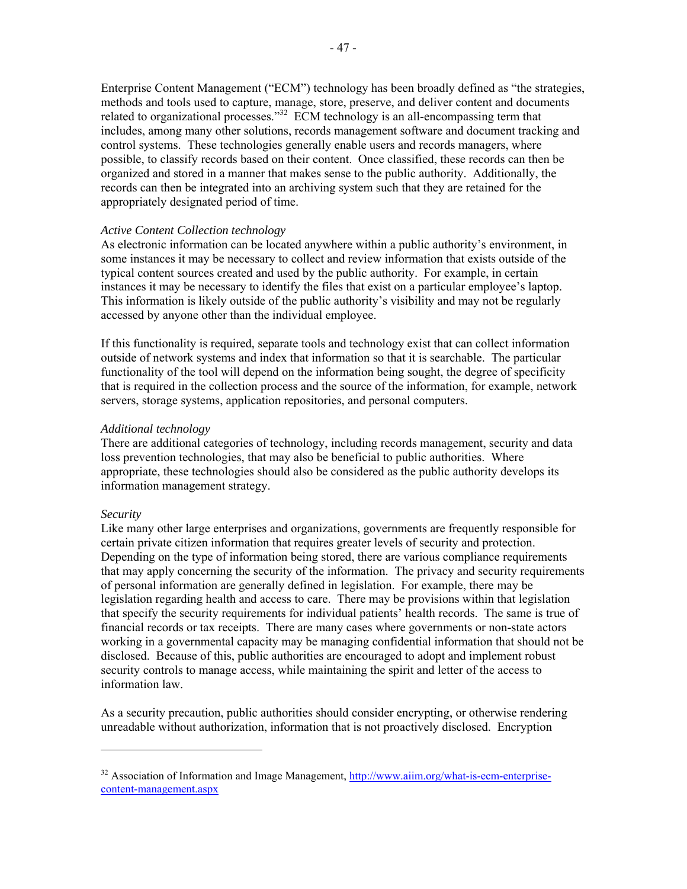Enterprise Content Management ("ECM") technology has been broadly defined as "the strategies, methods and tools used to capture, manage, store, preserve, and deliver content and documents related to organizational processes."<sup>32</sup> ECM technology is an all-encompassing term that includes, among many other solutions, records management software and document tracking and control systems. These technologies generally enable users and records managers, where possible, to classify records based on their content. Once classified, these records can then be organized and stored in a manner that makes sense to the public authority. Additionally, the records can then be integrated into an archiving system such that they are retained for the appropriately designated period of time.

### *Active Content Collection technology*

As electronic information can be located anywhere within a public authority's environment, in some instances it may be necessary to collect and review information that exists outside of the typical content sources created and used by the public authority. For example, in certain instances it may be necessary to identify the files that exist on a particular employee's laptop. This information is likely outside of the public authority's visibility and may not be regularly accessed by anyone other than the individual employee.

If this functionality is required, separate tools and technology exist that can collect information outside of network systems and index that information so that it is searchable. The particular functionality of the tool will depend on the information being sought, the degree of specificity that is required in the collection process and the source of the information, for example, network servers, storage systems, application repositories, and personal computers.

#### *Additional technology*

There are additional categories of technology, including records management, security and data loss prevention technologies, that may also be beneficial to public authorities. Where appropriate, these technologies should also be considered as the public authority develops its information management strategy.

#### *Security*

Like many other large enterprises and organizations, governments are frequently responsible for certain private citizen information that requires greater levels of security and protection. Depending on the type of information being stored, there are various compliance requirements that may apply concerning the security of the information. The privacy and security requirements of personal information are generally defined in legislation. For example, there may be legislation regarding health and access to care. There may be provisions within that legislation that specify the security requirements for individual patients' health records. The same is true of financial records or tax receipts. There are many cases where governments or non-state actors working in a governmental capacity may be managing confidential information that should not be disclosed. Because of this, public authorities are encouraged to adopt and implement robust security controls to manage access, while maintaining the spirit and letter of the access to information law.

As a security precaution, public authorities should consider encrypting, or otherwise rendering unreadable without authorization, information that is not proactively disclosed. Encryption

 $32$  Association of Information and Image Management, http://www.aiim.org/what-is-ecm-enterprisecontent-management.aspx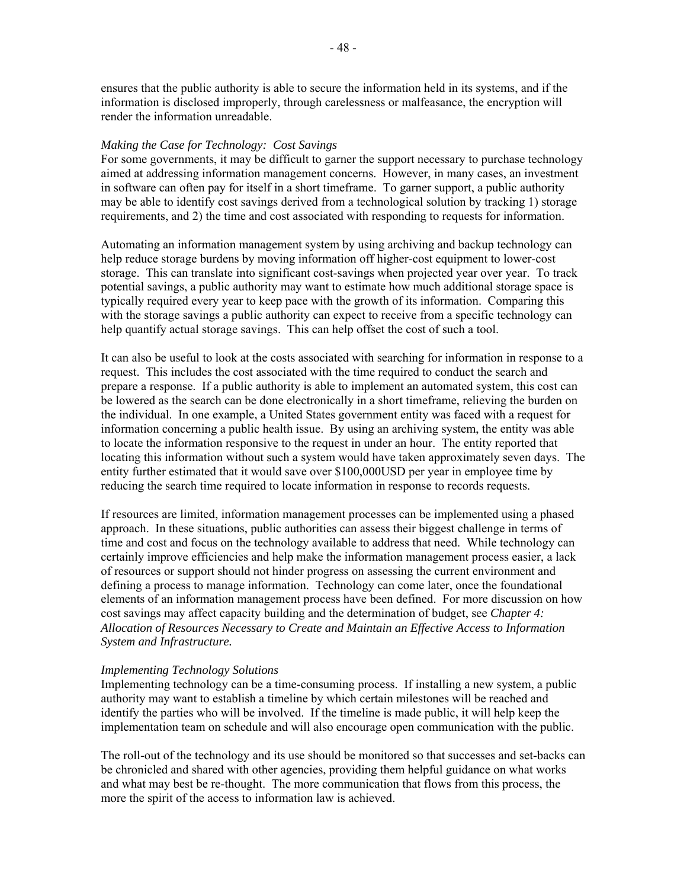ensures that the public authority is able to secure the information held in its systems, and if the information is disclosed improperly, through carelessness or malfeasance, the encryption will render the information unreadable.

#### *Making the Case for Technology: Cost Savings*

For some governments, it may be difficult to garner the support necessary to purchase technology aimed at addressing information management concerns. However, in many cases, an investment in software can often pay for itself in a short timeframe. To garner support, a public authority may be able to identify cost savings derived from a technological solution by tracking 1) storage requirements, and 2) the time and cost associated with responding to requests for information.

Automating an information management system by using archiving and backup technology can help reduce storage burdens by moving information off higher-cost equipment to lower-cost storage. This can translate into significant cost-savings when projected year over year. To track potential savings, a public authority may want to estimate how much additional storage space is typically required every year to keep pace with the growth of its information. Comparing this with the storage savings a public authority can expect to receive from a specific technology can help quantify actual storage savings. This can help offset the cost of such a tool.

It can also be useful to look at the costs associated with searching for information in response to a request. This includes the cost associated with the time required to conduct the search and prepare a response. If a public authority is able to implement an automated system, this cost can be lowered as the search can be done electronically in a short timeframe, relieving the burden on the individual. In one example, a United States government entity was faced with a request for information concerning a public health issue. By using an archiving system, the entity was able to locate the information responsive to the request in under an hour. The entity reported that locating this information without such a system would have taken approximately seven days. The entity further estimated that it would save over \$100,000USD per year in employee time by reducing the search time required to locate information in response to records requests.

If resources are limited, information management processes can be implemented using a phased approach. In these situations, public authorities can assess their biggest challenge in terms of time and cost and focus on the technology available to address that need. While technology can certainly improve efficiencies and help make the information management process easier, a lack of resources or support should not hinder progress on assessing the current environment and defining a process to manage information. Technology can come later, once the foundational elements of an information management process have been defined. For more discussion on how cost savings may affect capacity building and the determination of budget, see *Chapter 4: Allocation of Resources Necessary to Create and Maintain an Effective Access to Information System and Infrastructure.* 

#### *Implementing Technology Solutions*

Implementing technology can be a time-consuming process. If installing a new system, a public authority may want to establish a timeline by which certain milestones will be reached and identify the parties who will be involved. If the timeline is made public, it will help keep the implementation team on schedule and will also encourage open communication with the public.

The roll-out of the technology and its use should be monitored so that successes and set-backs can be chronicled and shared with other agencies, providing them helpful guidance on what works and what may best be re-thought. The more communication that flows from this process, the more the spirit of the access to information law is achieved.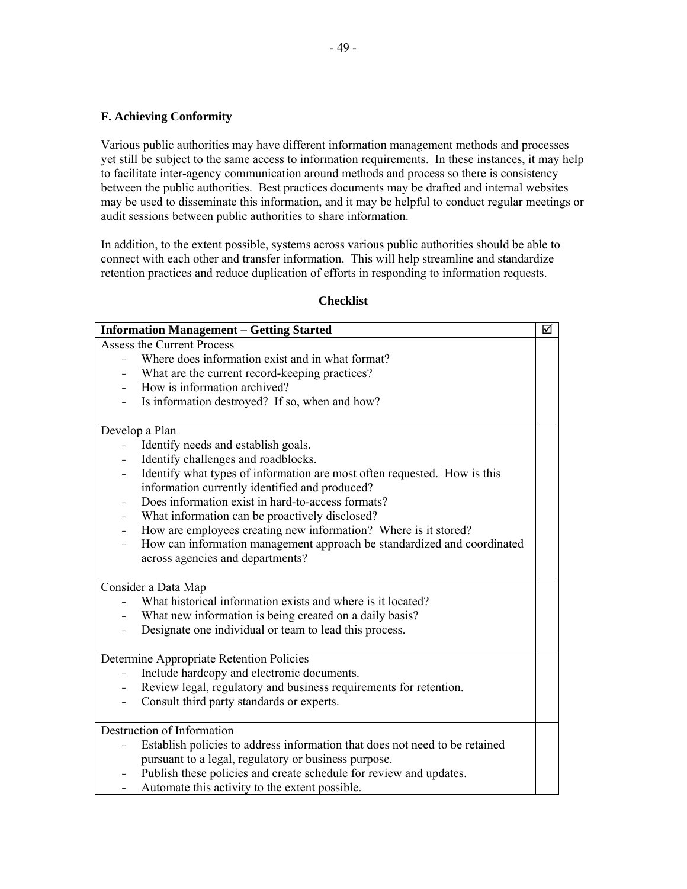## **F. Achieving Conformity**

Various public authorities may have different information management methods and processes yet still be subject to the same access to information requirements. In these instances, it may help to facilitate inter-agency communication around methods and process so there is consistency between the public authorities. Best practices documents may be drafted and internal websites may be used to disseminate this information, and it may be helpful to conduct regular meetings or audit sessions between public authorities to share information.

In addition, to the extent possible, systems across various public authorities should be able to connect with each other and transfer information. This will help streamline and standardize retention practices and reduce duplication of efforts in responding to information requests.

|                | <b>Information Management - Getting Started</b>                             | ☑ |
|----------------|-----------------------------------------------------------------------------|---|
|                | <b>Assess the Current Process</b>                                           |   |
| $\equiv$       | Where does information exist and in what format?                            |   |
|                | What are the current record-keeping practices?                              |   |
|                | How is information archived?                                                |   |
|                | Is information destroyed? If so, when and how?                              |   |
|                |                                                                             |   |
| Develop a Plan |                                                                             |   |
|                | Identify needs and establish goals.                                         |   |
|                | Identify challenges and roadblocks.                                         |   |
|                | Identify what types of information are most often requested. How is this    |   |
|                | information currently identified and produced?                              |   |
|                | Does information exist in hard-to-access formats?                           |   |
|                | What information can be proactively disclosed?                              |   |
|                | How are employees creating new information? Where is it stored?             |   |
|                | How can information management approach be standardized and coordinated     |   |
|                | across agencies and departments?                                            |   |
|                |                                                                             |   |
|                | Consider a Data Map                                                         |   |
|                | What historical information exists and where is it located?                 |   |
|                | What new information is being created on a daily basis?                     |   |
|                | Designate one individual or team to lead this process.                      |   |
|                | Determine Appropriate Retention Policies                                    |   |
|                | Include hardcopy and electronic documents.                                  |   |
|                | Review legal, regulatory and business requirements for retention.           |   |
|                | Consult third party standards or experts.                                   |   |
|                |                                                                             |   |
|                | Destruction of Information                                                  |   |
|                | Establish policies to address information that does not need to be retained |   |
|                | pursuant to a legal, regulatory or business purpose.                        |   |
|                | Publish these policies and create schedule for review and updates.          |   |
|                | Automate this activity to the extent possible.                              |   |

### **Checklist**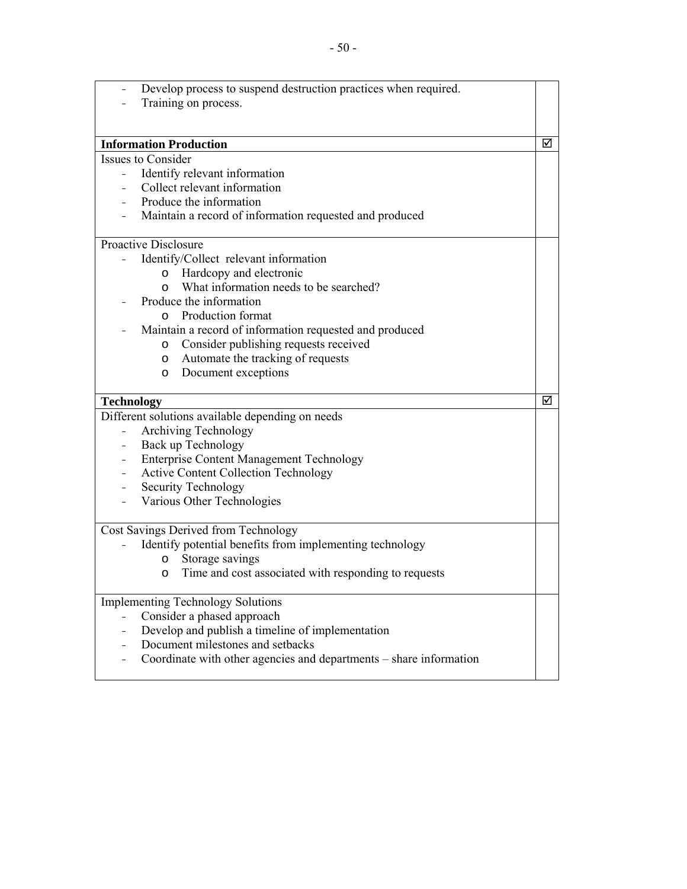|                          | Develop process to suspend destruction practices when required.     |   |
|--------------------------|---------------------------------------------------------------------|---|
|                          | Training on process.                                                |   |
|                          |                                                                     |   |
|                          |                                                                     |   |
|                          | <b>Information Production</b>                                       | ☑ |
|                          | <b>Issues to Consider</b>                                           |   |
|                          | Identify relevant information                                       |   |
|                          | Collect relevant information                                        |   |
|                          | Produce the information                                             |   |
|                          | Maintain a record of information requested and produced             |   |
|                          | <b>Proactive Disclosure</b>                                         |   |
|                          | Identify/Collect relevant information                               |   |
|                          | o Hardcopy and electronic                                           |   |
|                          | What information needs to be searched?<br>$\circ$                   |   |
|                          | Produce the information                                             |   |
|                          | o Production format                                                 |   |
|                          | Maintain a record of information requested and produced             |   |
|                          | o Consider publishing requests received                             |   |
|                          | Automate the tracking of requests<br>$\circ$                        |   |
|                          | Document exceptions<br>$\circ$                                      |   |
|                          |                                                                     |   |
|                          |                                                                     |   |
|                          |                                                                     | ☑ |
| <b>Technology</b>        |                                                                     |   |
|                          | Different solutions available depending on needs                    |   |
|                          | Archiving Technology                                                |   |
| $-$                      | Back up Technology                                                  |   |
| $\overline{\phantom{0}}$ | <b>Enterprise Content Management Technology</b>                     |   |
| $\equiv$                 | <b>Active Content Collection Technology</b>                         |   |
| $\overline{\phantom{0}}$ | Security Technology                                                 |   |
|                          | Various Other Technologies                                          |   |
|                          |                                                                     |   |
|                          | Cost Savings Derived from Technology                                |   |
|                          | Identify potential benefits from implementing technology<br>$\circ$ |   |
|                          | Storage savings<br>$\circ$                                          |   |
|                          | Time and cost associated with responding to requests                |   |
|                          | <b>Implementing Technology Solutions</b>                            |   |
|                          | Consider a phased approach                                          |   |
|                          | Develop and publish a timeline of implementation                    |   |
|                          | Document milestones and setbacks                                    |   |
|                          | Coordinate with other agencies and departments – share information  |   |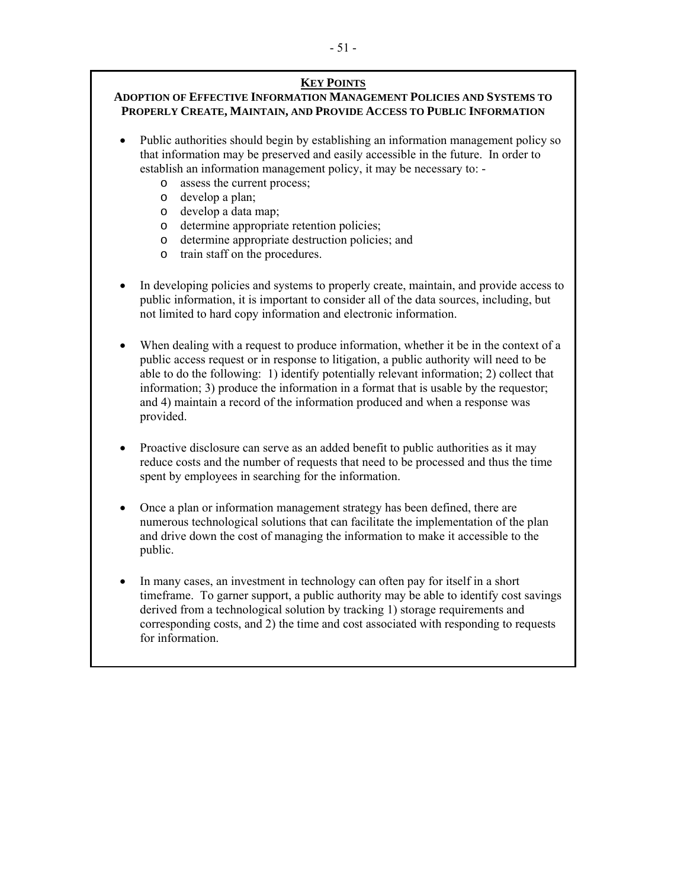# **KEY POINTS**

## **ADOPTION OF EFFECTIVE INFORMATION MANAGEMENT POLICIES AND SYSTEMS TO PROPERLY CREATE, MAINTAIN, AND PROVIDE ACCESS TO PUBLIC INFORMATION**

 Public authorities should begin by establishing an information management policy so that information may be preserved and easily accessible in the future. In order to establish an information management policy, it may be necessary to: -

- o assess the current process;
- o develop a plan;
- o develop a data map;
- o determine appropriate retention policies;
- o determine appropriate destruction policies; and
- o train staff on the procedures.
- In developing policies and systems to properly create, maintain, and provide access to public information, it is important to consider all of the data sources, including, but not limited to hard copy information and electronic information.
- When dealing with a request to produce information, whether it be in the context of a public access request or in response to litigation, a public authority will need to be able to do the following: 1) identify potentially relevant information; 2) collect that information; 3) produce the information in a format that is usable by the requestor; and 4) maintain a record of the information produced and when a response was provided.
- Proactive disclosure can serve as an added benefit to public authorities as it may reduce costs and the number of requests that need to be processed and thus the time spent by employees in searching for the information.
- Once a plan or information management strategy has been defined, there are numerous technological solutions that can facilitate the implementation of the plan and drive down the cost of managing the information to make it accessible to the public.
- In many cases, an investment in technology can often pay for itself in a short timeframe. To garner support, a public authority may be able to identify cost savings derived from a technological solution by tracking 1) storage requirements and corresponding costs, and 2) the time and cost associated with responding to requests for information.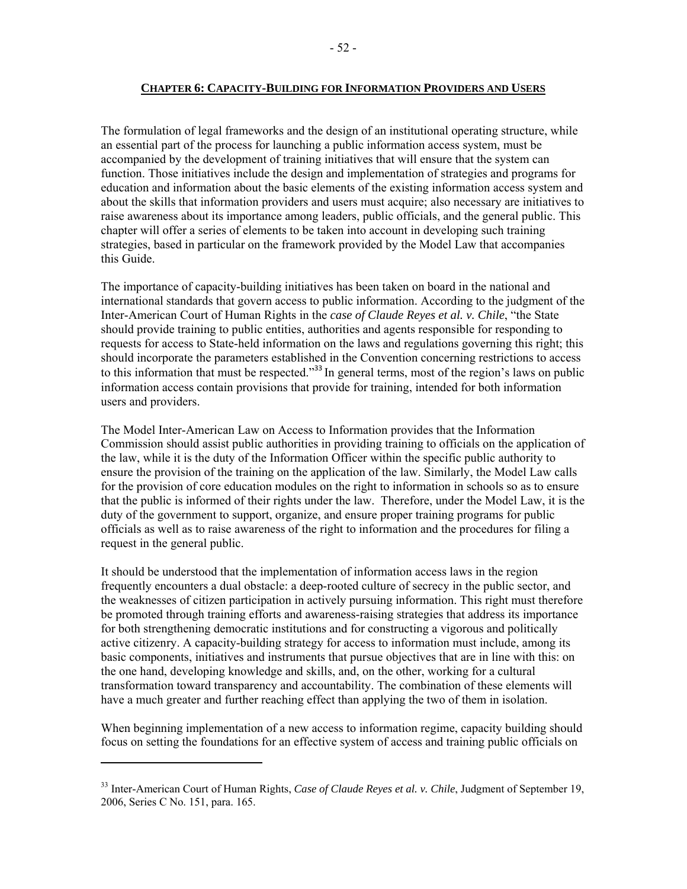The formulation of legal frameworks and the design of an institutional operating structure, while an essential part of the process for launching a public information access system, must be accompanied by the development of training initiatives that will ensure that the system can function. Those initiatives include the design and implementation of strategies and programs for education and information about the basic elements of the existing information access system and about the skills that information providers and users must acquire; also necessary are initiatives to raise awareness about its importance among leaders, public officials, and the general public. This chapter will offer a series of elements to be taken into account in developing such training strategies, based in particular on the framework provided by the Model Law that accompanies this Guide.

The importance of capacity-building initiatives has been taken on board in the national and international standards that govern access to public information. According to the judgment of the Inter-American Court of Human Rights in the *case of Claude Reyes et al. v. Chile*, "the State should provide training to public entities, authorities and agents responsible for responding to requests for access to State-held information on the laws and regulations governing this right; this should incorporate the parameters established in the Convention concerning restrictions to access to this information that must be respected."<sup>33</sup> In general terms, most of the region's laws on public information access contain provisions that provide for training, intended for both information users and providers.

The Model Inter-American Law on Access to Information provides that the Information Commission should assist public authorities in providing training to officials on the application of the law, while it is the duty of the Information Officer within the specific public authority to ensure the provision of the training on the application of the law. Similarly, the Model Law calls for the provision of core education modules on the right to information in schools so as to ensure that the public is informed of their rights under the law. Therefore, under the Model Law, it is the duty of the government to support, organize, and ensure proper training programs for public officials as well as to raise awareness of the right to information and the procedures for filing a request in the general public.

It should be understood that the implementation of information access laws in the region frequently encounters a dual obstacle: a deep-rooted culture of secrecy in the public sector, and the weaknesses of citizen participation in actively pursuing information. This right must therefore be promoted through training efforts and awareness-raising strategies that address its importance for both strengthening democratic institutions and for constructing a vigorous and politically active citizenry. A capacity-building strategy for access to information must include, among its basic components, initiatives and instruments that pursue objectives that are in line with this: on the one hand, developing knowledge and skills, and, on the other, working for a cultural transformation toward transparency and accountability. The combination of these elements will have a much greater and further reaching effect than applying the two of them in isolation.

When beginning implementation of a new access to information regime, capacity building should focus on setting the foundations for an effective system of access and training public officials on

<sup>33</sup> Inter-American Court of Human Rights, *Case of Claude Reyes et al. v. Chile*, Judgment of September 19, 2006, Series C No. 151, para. 165.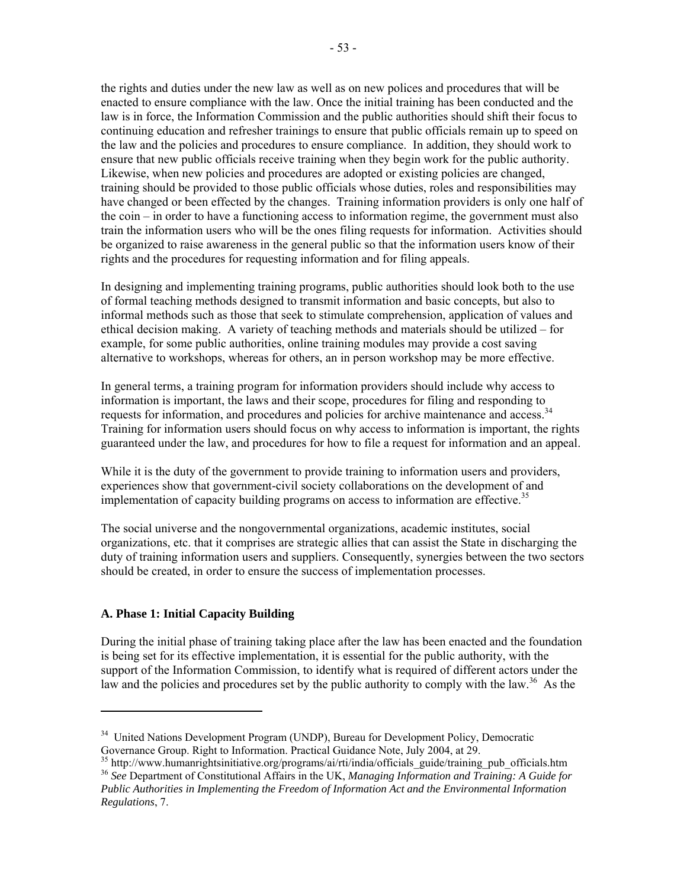the rights and duties under the new law as well as on new polices and procedures that will be enacted to ensure compliance with the law. Once the initial training has been conducted and the law is in force, the Information Commission and the public authorities should shift their focus to continuing education and refresher trainings to ensure that public officials remain up to speed on the law and the policies and procedures to ensure compliance. In addition, they should work to ensure that new public officials receive training when they begin work for the public authority. Likewise, when new policies and procedures are adopted or existing policies are changed, training should be provided to those public officials whose duties, roles and responsibilities may have changed or been effected by the changes. Training information providers is only one half of the coin – in order to have a functioning access to information regime, the government must also train the information users who will be the ones filing requests for information. Activities should be organized to raise awareness in the general public so that the information users know of their rights and the procedures for requesting information and for filing appeals.

In designing and implementing training programs, public authorities should look both to the use of formal teaching methods designed to transmit information and basic concepts, but also to informal methods such as those that seek to stimulate comprehension, application of values and ethical decision making. A variety of teaching methods and materials should be utilized – for example, for some public authorities, online training modules may provide a cost saving alternative to workshops, whereas for others, an in person workshop may be more effective.

In general terms, a training program for information providers should include why access to information is important, the laws and their scope, procedures for filing and responding to requests for information, and procedures and policies for archive maintenance and access.<sup>34</sup> Training for information users should focus on why access to information is important, the rights guaranteed under the law, and procedures for how to file a request for information and an appeal.

While it is the duty of the government to provide training to information users and providers, experiences show that government-civil society collaborations on the development of and implementation of capacity building programs on access to information are effective.<sup>35</sup>

The social universe and the nongovernmental organizations, academic institutes, social organizations, etc. that it comprises are strategic allies that can assist the State in discharging the duty of training information users and suppliers. Consequently, synergies between the two sectors should be created, in order to ensure the success of implementation processes.

### **A. Phase 1: Initial Capacity Building**

During the initial phase of training taking place after the law has been enacted and the foundation is being set for its effective implementation, it is essential for the public authority, with the support of the Information Commission, to identify what is required of different actors under the law and the policies and procedures set by the public authority to comply with the law.<sup>36</sup> As the

<sup>&</sup>lt;sup>34</sup> United Nations Development Program (UNDP), Bureau for Development Policy, Democratic Governance Group. Right to Information. Practical Guidance Note, July 2004, at 29.<br><sup>35</sup> http://www.humanrightsinitiative.org/programs/ai/rti/india/officials\_guide/training\_pub\_officials.htm

<sup>&</sup>lt;sup>36</sup> See Department of Constitutional Affairs in the UK, *Managing Information and Training: A Guide for Public Authorities in Implementing the Freedom of Information Act and the Environmental Information Regulations*, 7.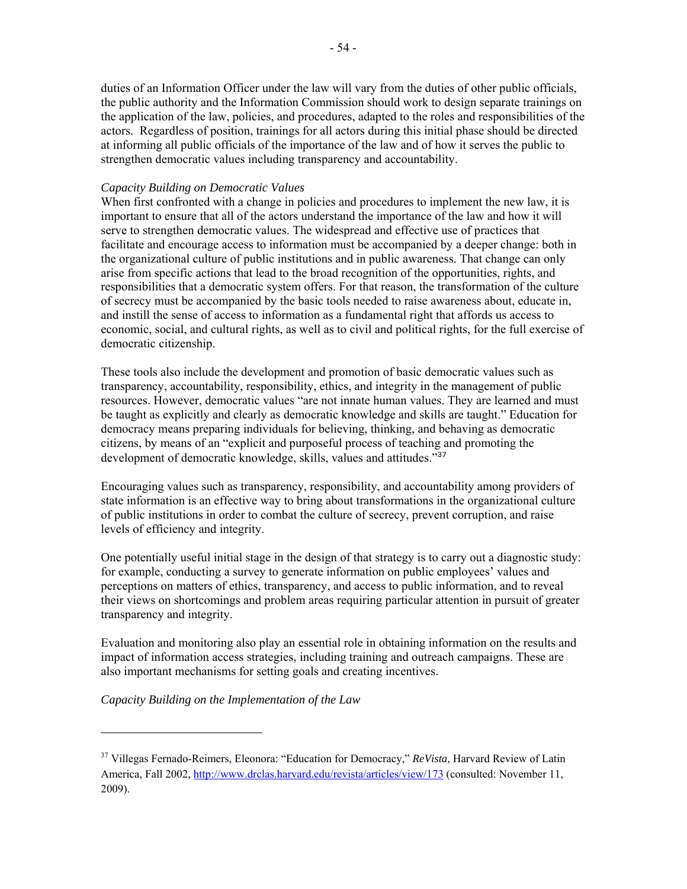duties of an Information Officer under the law will vary from the duties of other public officials, the public authority and the Information Commission should work to design separate trainings on the application of the law, policies, and procedures, adapted to the roles and responsibilities of the actors. Regardless of position, trainings for all actors during this initial phase should be directed at informing all public officials of the importance of the law and of how it serves the public to strengthen democratic values including transparency and accountability.

## *Capacity Building on Democratic Values*

When first confronted with a change in policies and procedures to implement the new law, it is important to ensure that all of the actors understand the importance of the law and how it will serve to strengthen democratic values. The widespread and effective use of practices that facilitate and encourage access to information must be accompanied by a deeper change: both in the organizational culture of public institutions and in public awareness. That change can only arise from specific actions that lead to the broad recognition of the opportunities, rights, and responsibilities that a democratic system offers. For that reason, the transformation of the culture of secrecy must be accompanied by the basic tools needed to raise awareness about, educate in, and instill the sense of access to information as a fundamental right that affords us access to economic, social, and cultural rights, as well as to civil and political rights, for the full exercise of democratic citizenship.

These tools also include the development and promotion of basic democratic values such as transparency, accountability, responsibility, ethics, and integrity in the management of public resources. However, democratic values "are not innate human values. They are learned and must be taught as explicitly and clearly as democratic knowledge and skills are taught." Education for democracy means preparing individuals for believing, thinking, and behaving as democratic citizens, by means of an "explicit and purposeful process of teaching and promoting the development of democratic knowledge, skills, values and attitudes."<sup>37</sup>

Encouraging values such as transparency, responsibility, and accountability among providers of state information is an effective way to bring about transformations in the organizational culture of public institutions in order to combat the culture of secrecy, prevent corruption, and raise levels of efficiency and integrity.

One potentially useful initial stage in the design of that strategy is to carry out a diagnostic study: for example, conducting a survey to generate information on public employees' values and perceptions on matters of ethics, transparency, and access to public information, and to reveal their views on shortcomings and problem areas requiring particular attention in pursuit of greater transparency and integrity.

Evaluation and monitoring also play an essential role in obtaining information on the results and impact of information access strategies, including training and outreach campaigns. These are also important mechanisms for setting goals and creating incentives.

*Capacity Building on the Implementation of the Law* 

<sup>37</sup> Villegas Fernado-Reimers, Eleonora: "Education for Democracy," *ReVista*, Harvard Review of Latin America, Fall 2002, http://www.drclas.harvard.edu/revista/articles/view/173 (consulted: November 11, 2009).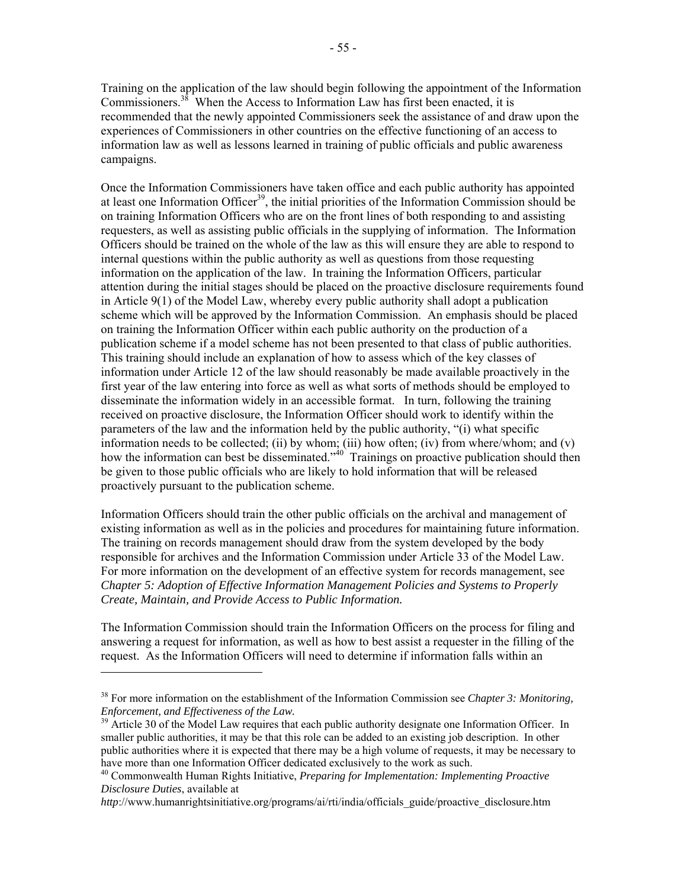Training on the application of the law should begin following the appointment of the Information Commissioners.<sup>38</sup> When the Access to Information Law has first been enacted, it is recommended that the newly appointed Commissioners seek the assistance of and draw upon the experiences of Commissioners in other countries on the effective functioning of an access to information law as well as lessons learned in training of public officials and public awareness campaigns.

Once the Information Commissioners have taken office and each public authority has appointed at least one Information Officer<sup>39</sup>, the initial priorities of the Information Commission should be on training Information Officers who are on the front lines of both responding to and assisting requesters, as well as assisting public officials in the supplying of information. The Information Officers should be trained on the whole of the law as this will ensure they are able to respond to internal questions within the public authority as well as questions from those requesting information on the application of the law. In training the Information Officers, particular attention during the initial stages should be placed on the proactive disclosure requirements found in Article 9(1) of the Model Law, whereby every public authority shall adopt a publication scheme which will be approved by the Information Commission. An emphasis should be placed on training the Information Officer within each public authority on the production of a publication scheme if a model scheme has not been presented to that class of public authorities. This training should include an explanation of how to assess which of the key classes of information under Article 12 of the law should reasonably be made available proactively in the first year of the law entering into force as well as what sorts of methods should be employed to disseminate the information widely in an accessible format. In turn, following the training received on proactive disclosure, the Information Officer should work to identify within the parameters of the law and the information held by the public authority, "(i) what specific information needs to be collected; (ii) by whom; (iii) how often; (iv) from where/whom; and (v) how the information can best be disseminated."<sup>40</sup> Trainings on proactive publication should then be given to those public officials who are likely to hold information that will be released proactively pursuant to the publication scheme.

Information Officers should train the other public officials on the archival and management of existing information as well as in the policies and procedures for maintaining future information. The training on records management should draw from the system developed by the body responsible for archives and the Information Commission under Article 33 of the Model Law. For more information on the development of an effective system for records management, see *Chapter 5: Adoption of Effective Information Management Policies and Systems to Properly Create, Maintain, and Provide Access to Public Information.*

The Information Commission should train the Information Officers on the process for filing and answering a request for information, as well as how to best assist a requester in the filling of the request. As the Information Officers will need to determine if information falls within an

<sup>38</sup> For more information on the establishment of the Information Commission see *Chapter 3: Monitoring, Enforcement, and Effectiveness of the Law.*<br><sup>39</sup> Article 30 of the Model Law requires that each public authority designate one Information Officer. In

smaller public authorities, it may be that this role can be added to an existing job description. In other public authorities where it is expected that there may be a high volume of requests, it may be necessary to have more than one Information Officer dedicated exclusively to the work as such. 40 Commonwealth Human Rights Initiative, *Preparing for Implementation: Implementing Proactive* 

*Disclosure Duties*, available at

*http*://www.humanrightsinitiative.org/programs/ai/rti/india/officials\_guide/proactive\_disclosure.htm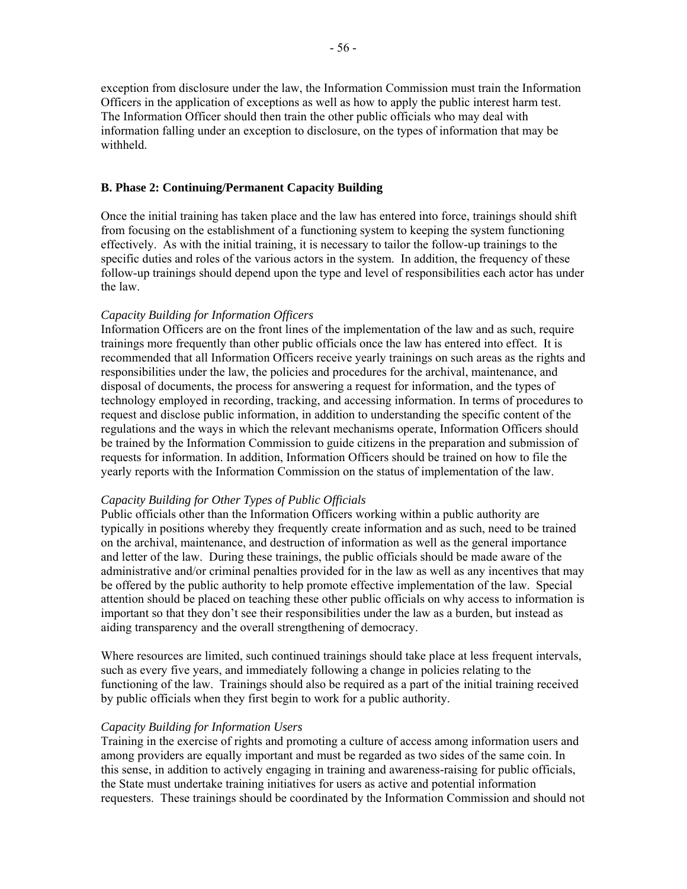exception from disclosure under the law, the Information Commission must train the Information Officers in the application of exceptions as well as how to apply the public interest harm test. The Information Officer should then train the other public officials who may deal with information falling under an exception to disclosure, on the types of information that may be withheld.

### **B. Phase 2: Continuing/Permanent Capacity Building**

Once the initial training has taken place and the law has entered into force, trainings should shift from focusing on the establishment of a functioning system to keeping the system functioning effectively. As with the initial training, it is necessary to tailor the follow-up trainings to the specific duties and roles of the various actors in the system. In addition, the frequency of these follow-up trainings should depend upon the type and level of responsibilities each actor has under the law.

### *Capacity Building for Information Officers*

Information Officers are on the front lines of the implementation of the law and as such, require trainings more frequently than other public officials once the law has entered into effect. It is recommended that all Information Officers receive yearly trainings on such areas as the rights and responsibilities under the law, the policies and procedures for the archival, maintenance, and disposal of documents, the process for answering a request for information, and the types of technology employed in recording, tracking, and accessing information. In terms of procedures to request and disclose public information, in addition to understanding the specific content of the regulations and the ways in which the relevant mechanisms operate, Information Officers should be trained by the Information Commission to guide citizens in the preparation and submission of requests for information. In addition, Information Officers should be trained on how to file the yearly reports with the Information Commission on the status of implementation of the law.

### *Capacity Building for Other Types of Public Officials*

Public officials other than the Information Officers working within a public authority are typically in positions whereby they frequently create information and as such, need to be trained on the archival, maintenance, and destruction of information as well as the general importance and letter of the law. During these trainings, the public officials should be made aware of the administrative and/or criminal penalties provided for in the law as well as any incentives that may be offered by the public authority to help promote effective implementation of the law. Special attention should be placed on teaching these other public officials on why access to information is important so that they don't see their responsibilities under the law as a burden, but instead as aiding transparency and the overall strengthening of democracy.

Where resources are limited, such continued trainings should take place at less frequent intervals, such as every five years, and immediately following a change in policies relating to the functioning of the law. Trainings should also be required as a part of the initial training received by public officials when they first begin to work for a public authority.

### *Capacity Building for Information Users*

Training in the exercise of rights and promoting a culture of access among information users and among providers are equally important and must be regarded as two sides of the same coin. In this sense, in addition to actively engaging in training and awareness-raising for public officials, the State must undertake training initiatives for users as active and potential information requesters. These trainings should be coordinated by the Information Commission and should not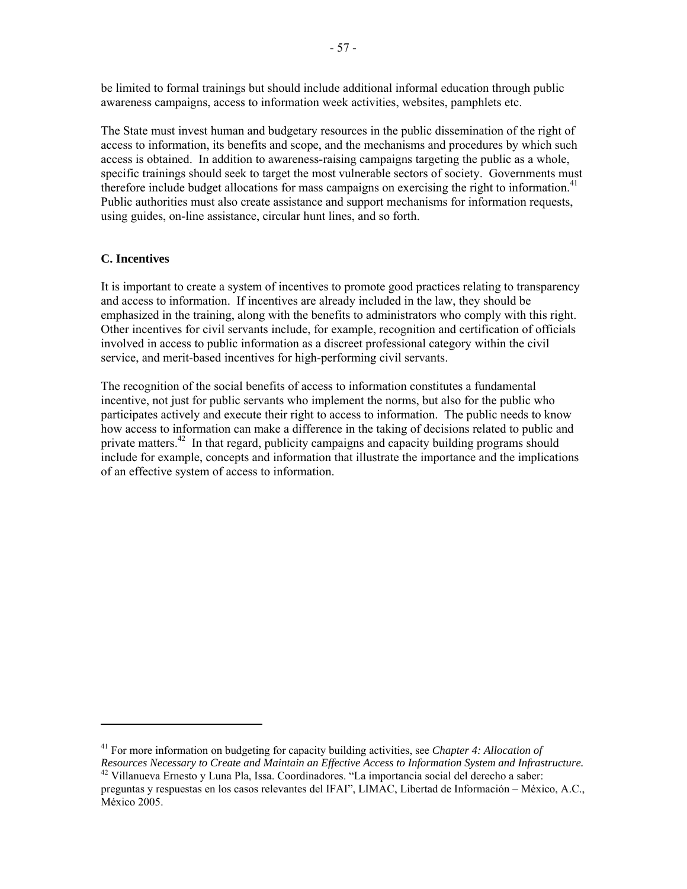be limited to formal trainings but should include additional informal education through public awareness campaigns, access to information week activities, websites, pamphlets etc.

The State must invest human and budgetary resources in the public dissemination of the right of access to information, its benefits and scope, and the mechanisms and procedures by which such access is obtained. In addition to awareness-raising campaigns targeting the public as a whole, specific trainings should seek to target the most vulnerable sectors of society. Governments must therefore include budget allocations for mass campaigns on exercising the right to information.<sup>41</sup> Public authorities must also create assistance and support mechanisms for information requests, using guides, on-line assistance, circular hunt lines, and so forth.

# **C. Incentives**

It is important to create a system of incentives to promote good practices relating to transparency and access to information. If incentives are already included in the law, they should be emphasized in the training, along with the benefits to administrators who comply with this right. Other incentives for civil servants include, for example, recognition and certification of officials involved in access to public information as a discreet professional category within the civil service, and merit-based incentives for high-performing civil servants.

The recognition of the social benefits of access to information constitutes a fundamental incentive, not just for public servants who implement the norms, but also for the public who participates actively and execute their right to access to information. The public needs to know how access to information can make a difference in the taking of decisions related to public and private matters.<sup>42</sup> In that regard, publicity campaigns and capacity building programs should include for example, concepts and information that illustrate the importance and the implications of an effective system of access to information.

<sup>&</sup>lt;sup>41</sup> For more information on budgeting for capacity building activities, see *Chapter 4: Allocation of Resources Necessary to Create and Maintain an Effective Access to Information System and Infrastructure.* 

*Resources Necessary to Create and Maintain an Effective Access to Information System and Infrastructure.* 42 Villanueva Ernesto y Luna Pla, Issa. Coordinadores. "La importancia social del derecho a saber:

preguntas y respuestas en los casos relevantes del IFAI", LIMAC, Libertad de Información – México, A.C., México 2005.